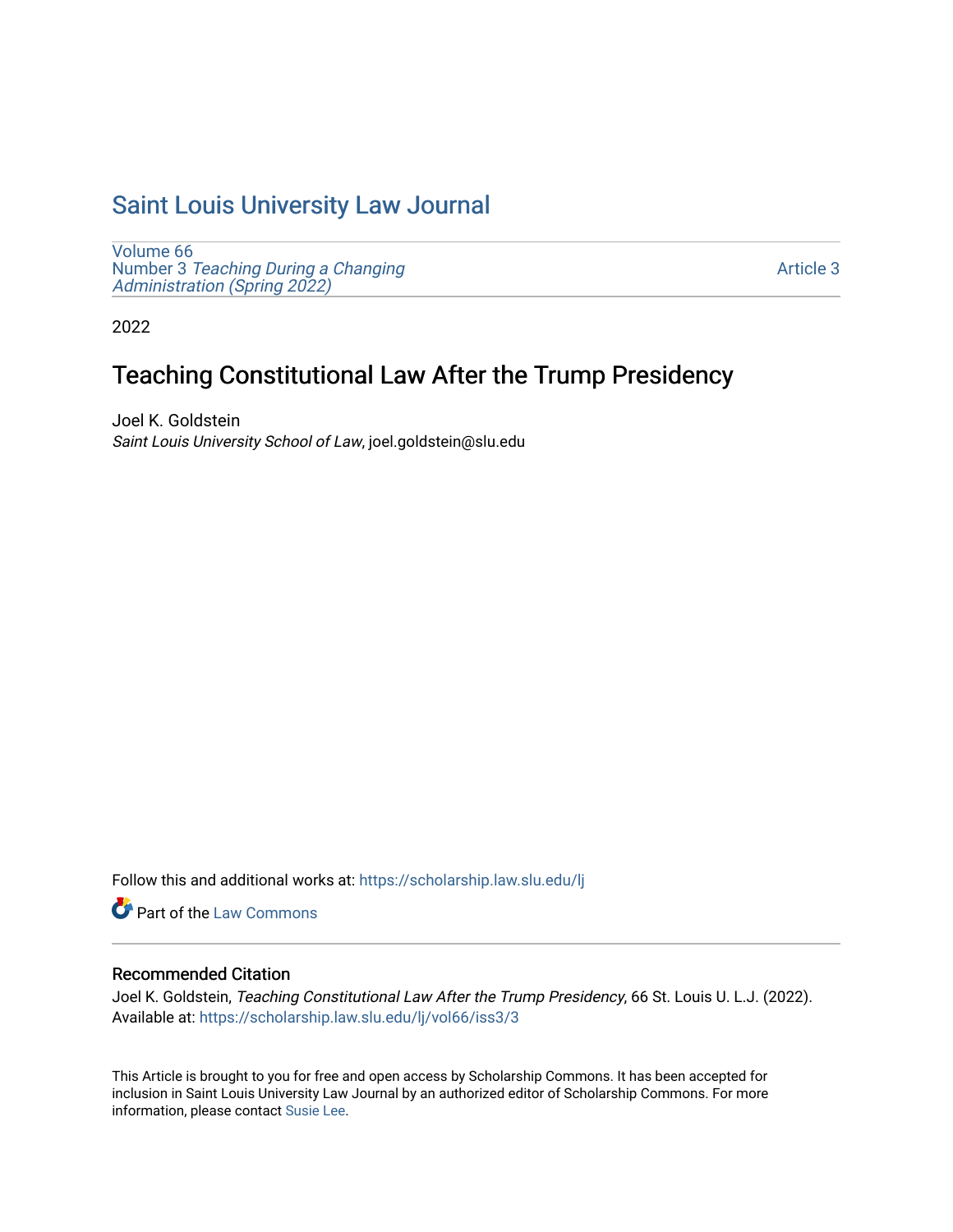# [Saint Louis University Law Journal](https://scholarship.law.slu.edu/lj)

[Volume 66](https://scholarship.law.slu.edu/lj/vol66) Number 3 [Teaching During a Changing](https://scholarship.law.slu.edu/lj/vol66/iss3)  Administration (Spring 2022)

[Article 3](https://scholarship.law.slu.edu/lj/vol66/iss3/3) 

2022

# Teaching Constitutional Law After the Trump Presidency

Joel K. Goldstein Saint Louis University School of Law, joel.goldstein@slu.edu

Follow this and additional works at: [https://scholarship.law.slu.edu/lj](https://scholarship.law.slu.edu/lj?utm_source=scholarship.law.slu.edu%2Flj%2Fvol66%2Fiss3%2F3&utm_medium=PDF&utm_campaign=PDFCoverPages) 

Part of the [Law Commons](https://network.bepress.com/hgg/discipline/578?utm_source=scholarship.law.slu.edu%2Flj%2Fvol66%2Fiss3%2F3&utm_medium=PDF&utm_campaign=PDFCoverPages)

# Recommended Citation

Joel K. Goldstein, Teaching Constitutional Law After the Trump Presidency, 66 St. Louis U. L.J. (2022). Available at: [https://scholarship.law.slu.edu/lj/vol66/iss3/3](https://scholarship.law.slu.edu/lj/vol66/iss3/3?utm_source=scholarship.law.slu.edu%2Flj%2Fvol66%2Fiss3%2F3&utm_medium=PDF&utm_campaign=PDFCoverPages) 

This Article is brought to you for free and open access by Scholarship Commons. It has been accepted for inclusion in Saint Louis University Law Journal by an authorized editor of Scholarship Commons. For more information, please contact [Susie Lee](mailto:susie.lee@slu.edu).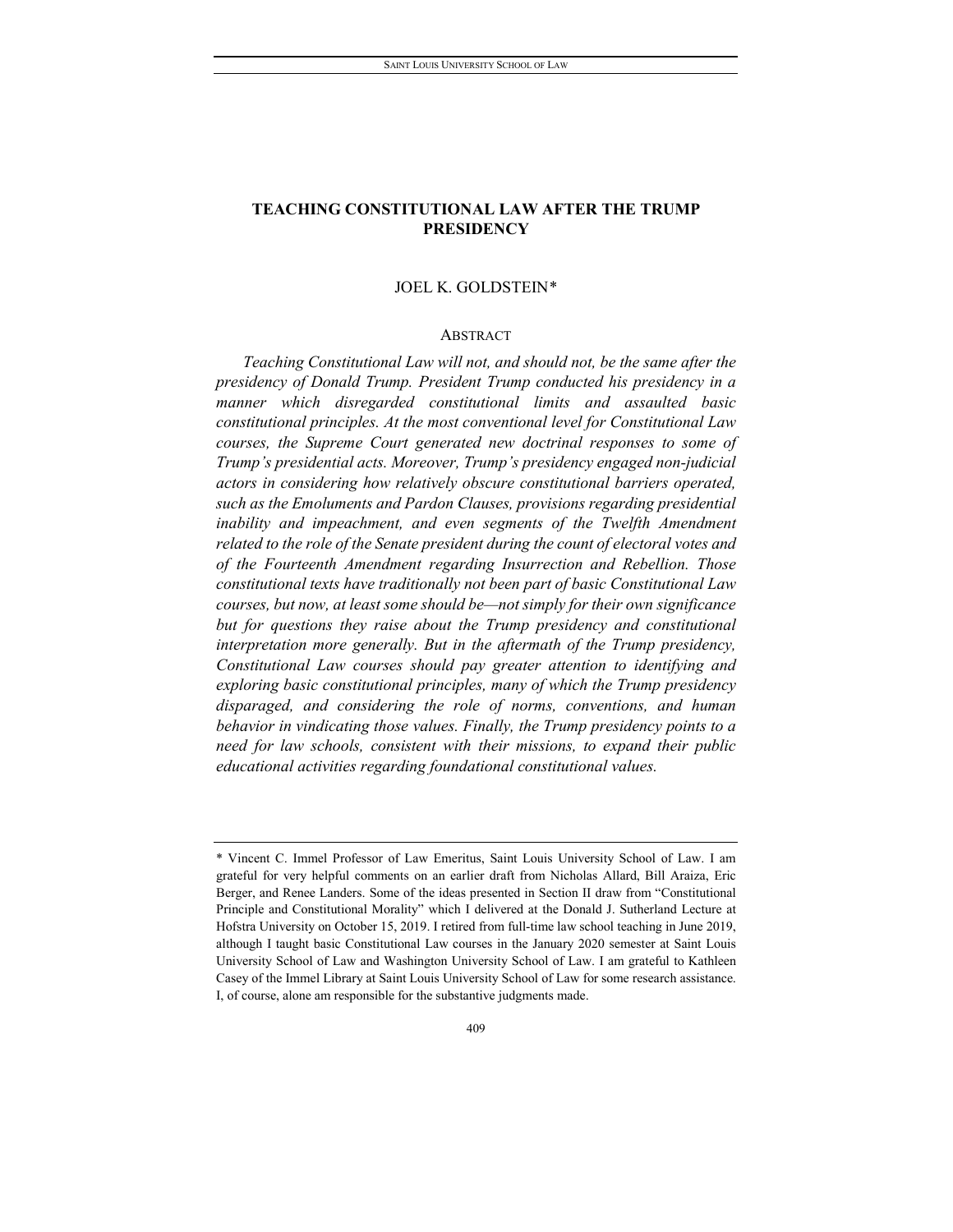# JOEL K. GOLDSTEIN[\\*](#page-1-0)

#### ABSTRACT

*Teaching Constitutional Law will not, and should not, be the same after the presidency of Donald Trump. President Trump conducted his presidency in a manner which disregarded constitutional limits and assaulted basic constitutional principles. At the most conventional level for Constitutional Law courses, the Supreme Court generated new doctrinal responses to some of Trump's presidential acts. Moreover, Trump's presidency engaged non-judicial actors in considering how relatively obscure constitutional barriers operated, such as the Emoluments and Pardon Clauses, provisions regarding presidential inability and impeachment, and even segments of the Twelfth Amendment related to the role of the Senate president during the count of electoral votes and of the Fourteenth Amendment regarding Insurrection and Rebellion. Those constitutional texts have traditionally not been part of basic Constitutional Law courses, but now, at least some should be—not simply for their own significance*  but for questions they raise about the Trump presidency and constitutional *interpretation more generally. But in the aftermath of the Trump presidency, Constitutional Law courses should pay greater attention to identifying and exploring basic constitutional principles, many of which the Trump presidency disparaged, and considering the role of norms, conventions, and human behavior in vindicating those values. Finally, the Trump presidency points to a need for law schools, consistent with their missions, to expand their public educational activities regarding foundational constitutional values.*

<span id="page-1-0"></span><sup>\*</sup> Vincent C. Immel Professor of Law Emeritus, Saint Louis University School of Law. I am grateful for very helpful comments on an earlier draft from Nicholas Allard, Bill Araiza, Eric Berger, and Renee Landers. Some of the ideas presented in Section II draw from "Constitutional Principle and Constitutional Morality" which I delivered at the Donald J. Sutherland Lecture at Hofstra University on October 15, 2019. I retired from full-time law school teaching in June 2019, although I taught basic Constitutional Law courses in the January 2020 semester at Saint Louis University School of Law and Washington University School of Law. I am grateful to Kathleen Casey of the Immel Library at Saint Louis University School of Law for some research assistance. I, of course, alone am responsible for the substantive judgments made.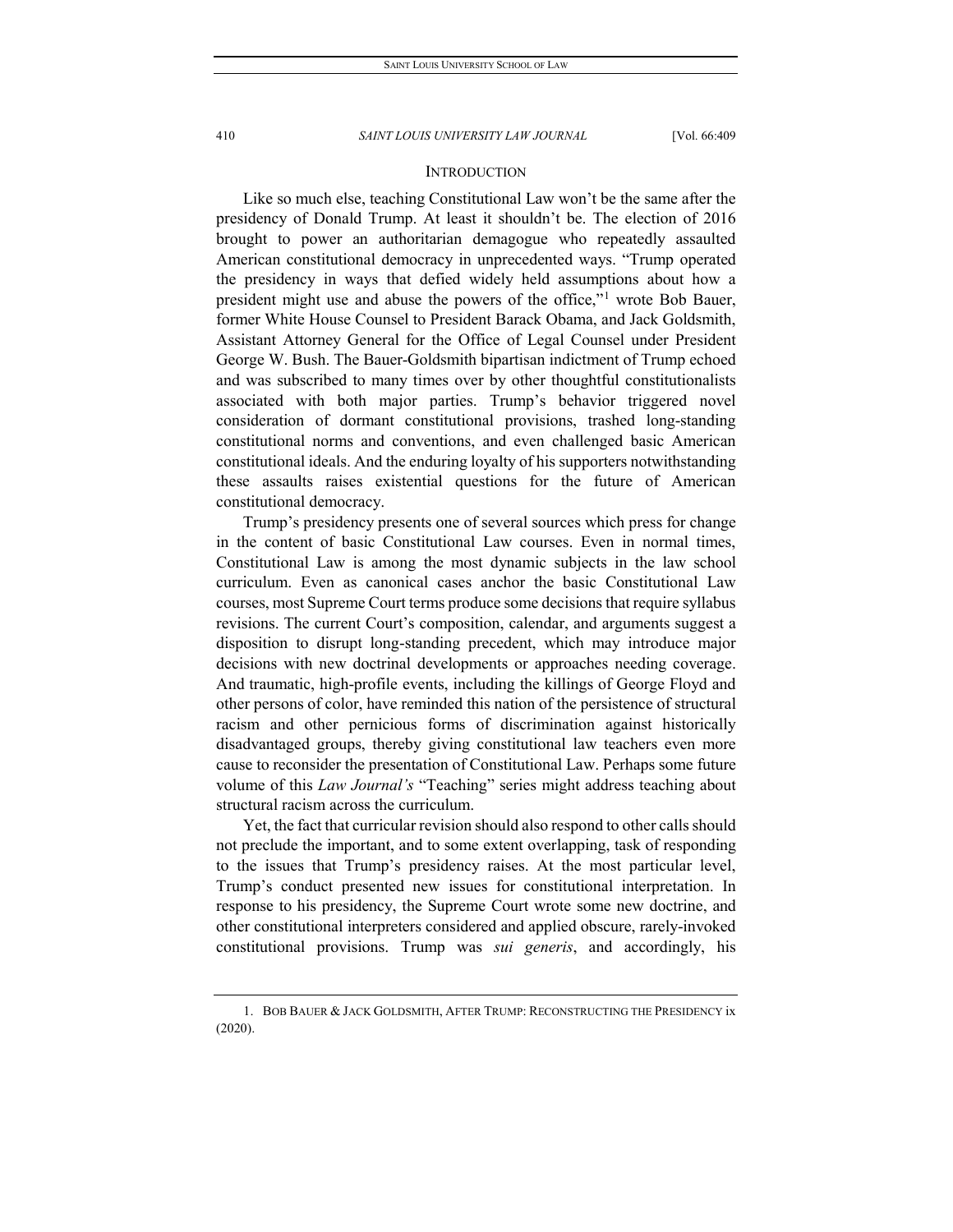# **INTRODUCTION**

Like so much else, teaching Constitutional Law won't be the same after the presidency of Donald Trump. At least it shouldn't be. The election of 2016 brought to power an authoritarian demagogue who repeatedly assaulted American constitutional democracy in unprecedented ways. "Trump operated the presidency in ways that defied widely held assumptions about how a president might use and abuse the powers of the office,"<sup>[1](#page-2-0)</sup> wrote Bob Bauer, former White House Counsel to President Barack Obama, and Jack Goldsmith, Assistant Attorney General for the Office of Legal Counsel under President George W. Bush. The Bauer-Goldsmith bipartisan indictment of Trump echoed and was subscribed to many times over by other thoughtful constitutionalists associated with both major parties. Trump's behavior triggered novel consideration of dormant constitutional provisions, trashed long-standing constitutional norms and conventions, and even challenged basic American constitutional ideals. And the enduring loyalty of his supporters notwithstanding these assaults raises existential questions for the future of American constitutional democracy.

Trump's presidency presents one of several sources which press for change in the content of basic Constitutional Law courses. Even in normal times, Constitutional Law is among the most dynamic subjects in the law school curriculum. Even as canonical cases anchor the basic Constitutional Law courses, most Supreme Court terms produce some decisions that require syllabus revisions. The current Court's composition, calendar, and arguments suggest a disposition to disrupt long-standing precedent, which may introduce major decisions with new doctrinal developments or approaches needing coverage. And traumatic, high-profile events, including the killings of George Floyd and other persons of color, have reminded this nation of the persistence of structural racism and other pernicious forms of discrimination against historically disadvantaged groups, thereby giving constitutional law teachers even more cause to reconsider the presentation of Constitutional Law. Perhaps some future volume of this *Law Journal's* "Teaching" series might address teaching about structural racism across the curriculum.

Yet, the fact that curricular revision should also respond to other calls should not preclude the important, and to some extent overlapping, task of responding to the issues that Trump's presidency raises. At the most particular level, Trump's conduct presented new issues for constitutional interpretation. In response to his presidency, the Supreme Court wrote some new doctrine, and other constitutional interpreters considered and applied obscure, rarely-invoked constitutional provisions. Trump was *sui generis*, and accordingly, his

<span id="page-2-0"></span><sup>1.</sup> BOB BAUER & JACK GOLDSMITH, AFTER TRUMP: RECONSTRUCTING THE PRESIDENCY ix (2020).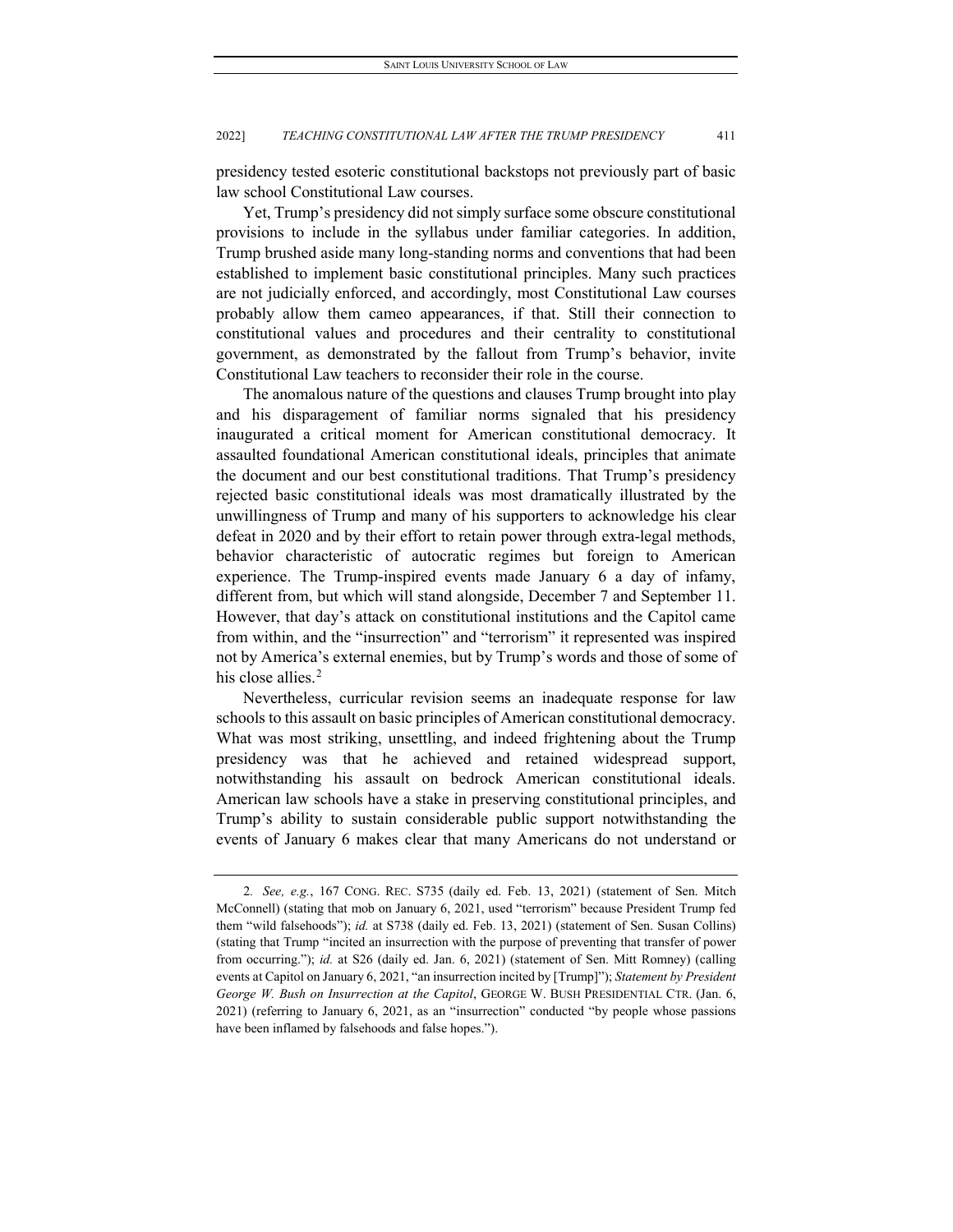presidency tested esoteric constitutional backstops not previously part of basic law school Constitutional Law courses.

Yet, Trump's presidency did not simply surface some obscure constitutional provisions to include in the syllabus under familiar categories. In addition, Trump brushed aside many long-standing norms and conventions that had been established to implement basic constitutional principles. Many such practices are not judicially enforced, and accordingly, most Constitutional Law courses probably allow them cameo appearances, if that. Still their connection to constitutional values and procedures and their centrality to constitutional government, as demonstrated by the fallout from Trump's behavior, invite Constitutional Law teachers to reconsider their role in the course.

The anomalous nature of the questions and clauses Trump brought into play and his disparagement of familiar norms signaled that his presidency inaugurated a critical moment for American constitutional democracy. It assaulted foundational American constitutional ideals, principles that animate the document and our best constitutional traditions. That Trump's presidency rejected basic constitutional ideals was most dramatically illustrated by the unwillingness of Trump and many of his supporters to acknowledge his clear defeat in 2020 and by their effort to retain power through extra-legal methods, behavior characteristic of autocratic regimes but foreign to American experience. The Trump-inspired events made January 6 a day of infamy, different from, but which will stand alongside, December 7 and September 11. However, that day's attack on constitutional institutions and the Capitol came from within, and the "insurrection" and "terrorism" it represented was inspired not by America's external enemies, but by Trump's words and those of some of his close allies.<sup>[2](#page-3-0)</sup>

Nevertheless, curricular revision seems an inadequate response for law schools to this assault on basic principles of American constitutional democracy. What was most striking, unsettling, and indeed frightening about the Trump presidency was that he achieved and retained widespread support, notwithstanding his assault on bedrock American constitutional ideals. American law schools have a stake in preserving constitutional principles, and Trump's ability to sustain considerable public support notwithstanding the events of January 6 makes clear that many Americans do not understand or

<span id="page-3-0"></span><sup>2</sup>*. See, e.g.*, 167 CONG. REC. S735 (daily ed. Feb. 13, 2021) (statement of Sen. Mitch McConnell) (stating that mob on January 6, 2021, used "terrorism" because President Trump fed them "wild falsehoods"); *id.* at S738 (daily ed. Feb. 13, 2021) (statement of Sen. Susan Collins) (stating that Trump "incited an insurrection with the purpose of preventing that transfer of power from occurring."); *id.* at S26 (daily ed. Jan. 6, 2021) (statement of Sen. Mitt Romney) (calling events at Capitol on January 6, 2021, "an insurrection incited by [Trump]"); *Statement by President George W. Bush on Insurrection at the Capitol*, GEORGE W. BUSH PRESIDENTIAL CTR. (Jan. 6, 2021) (referring to January 6, 2021, as an "insurrection" conducted "by people whose passions have been inflamed by falsehoods and false hopes.").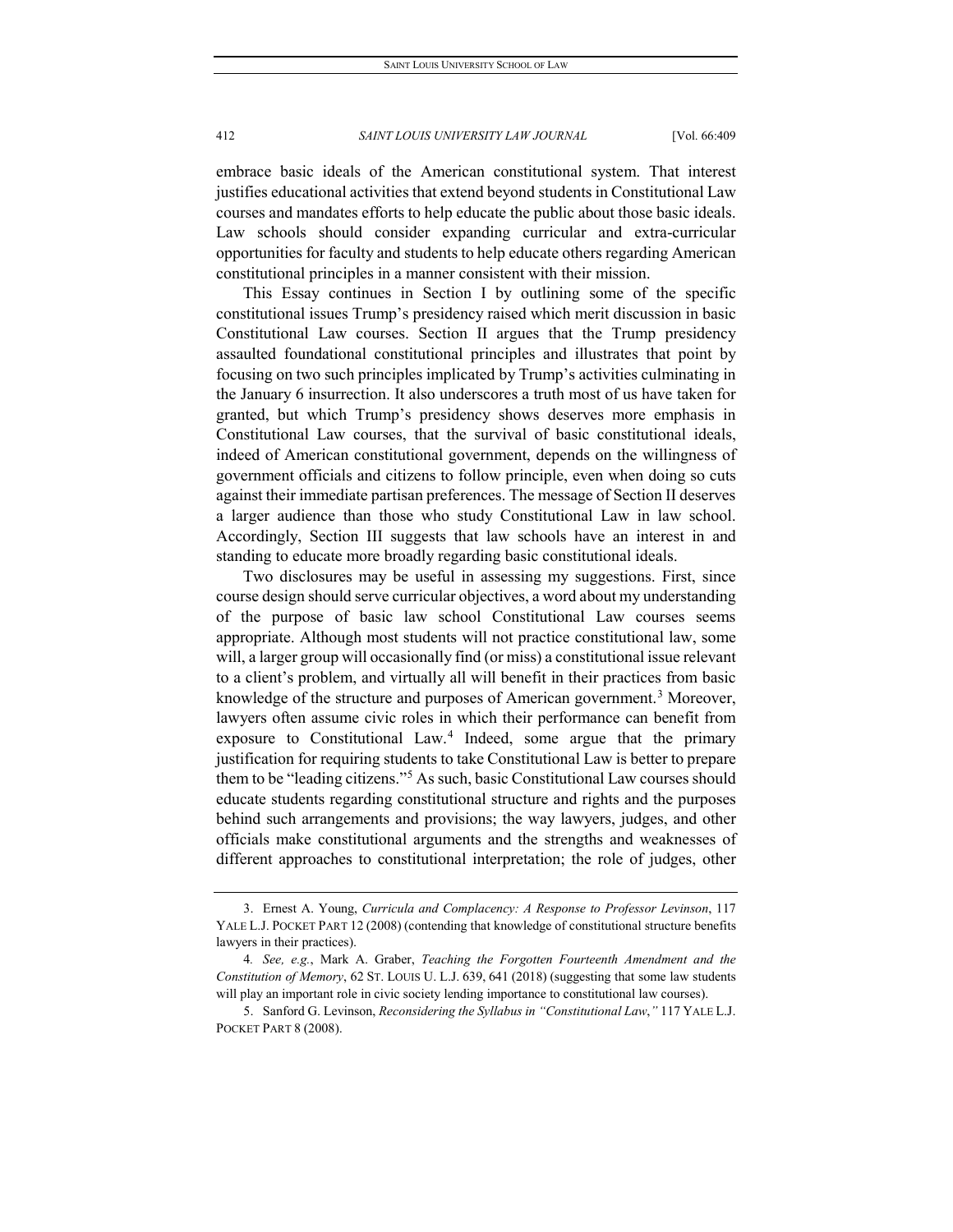embrace basic ideals of the American constitutional system. That interest justifies educational activities that extend beyond students in Constitutional Law courses and mandates efforts to help educate the public about those basic ideals. Law schools should consider expanding curricular and extra-curricular opportunities for faculty and students to help educate others regarding American constitutional principles in a manner consistent with their mission.

This Essay continues in Section I by outlining some of the specific constitutional issues Trump's presidency raised which merit discussion in basic Constitutional Law courses. Section II argues that the Trump presidency assaulted foundational constitutional principles and illustrates that point by focusing on two such principles implicated by Trump's activities culminating in the January 6 insurrection. It also underscores a truth most of us have taken for granted, but which Trump's presidency shows deserves more emphasis in Constitutional Law courses, that the survival of basic constitutional ideals, indeed of American constitutional government, depends on the willingness of government officials and citizens to follow principle, even when doing so cuts against their immediate partisan preferences. The message of Section II deserves a larger audience than those who study Constitutional Law in law school. Accordingly, Section III suggests that law schools have an interest in and standing to educate more broadly regarding basic constitutional ideals.

Two disclosures may be useful in assessing my suggestions. First, since course design should serve curricular objectives, a word about my understanding of the purpose of basic law school Constitutional Law courses seems appropriate. Although most students will not practice constitutional law, some will, a larger group will occasionally find (or miss) a constitutional issue relevant to a client's problem, and virtually all will benefit in their practices from basic knowledge of the structure and purposes of American government.<sup>[3](#page-4-0)</sup> Moreover, lawyers often assume civic roles in which their performance can benefit from exposure to Constitutional Law.<sup>[4](#page-4-1)</sup> Indeed, some argue that the primary justification for requiring students to take Constitutional Law is better to prepare them to be "leading citizens."[5](#page-4-2) As such, basic Constitutional Law courses should educate students regarding constitutional structure and rights and the purposes behind such arrangements and provisions; the way lawyers, judges, and other officials make constitutional arguments and the strengths and weaknesses of different approaches to constitutional interpretation; the role of judges, other

<span id="page-4-0"></span><sup>3.</sup> Ernest A. Young, *Curricula and Complacency: A Response to Professor Levinson*, 117 YALE L.J. POCKET PART 12 (2008) (contending that knowledge of constitutional structure benefits lawyers in their practices).

<span id="page-4-1"></span><sup>4</sup>*. See, e.g.*, Mark A. Graber, *Teaching the Forgotten Fourteenth Amendment and the Constitution of Memory*, 62 ST. LOUIS U. L.J. 639, 641 (2018) (suggesting that some law students will play an important role in civic society lending importance to constitutional law courses).

<span id="page-4-2"></span><sup>5.</sup> Sanford G. Levinson, *Reconsidering the Syllabus in "Constitutional Law*,*"* 117 YALE L.J. POCKET PART 8 (2008).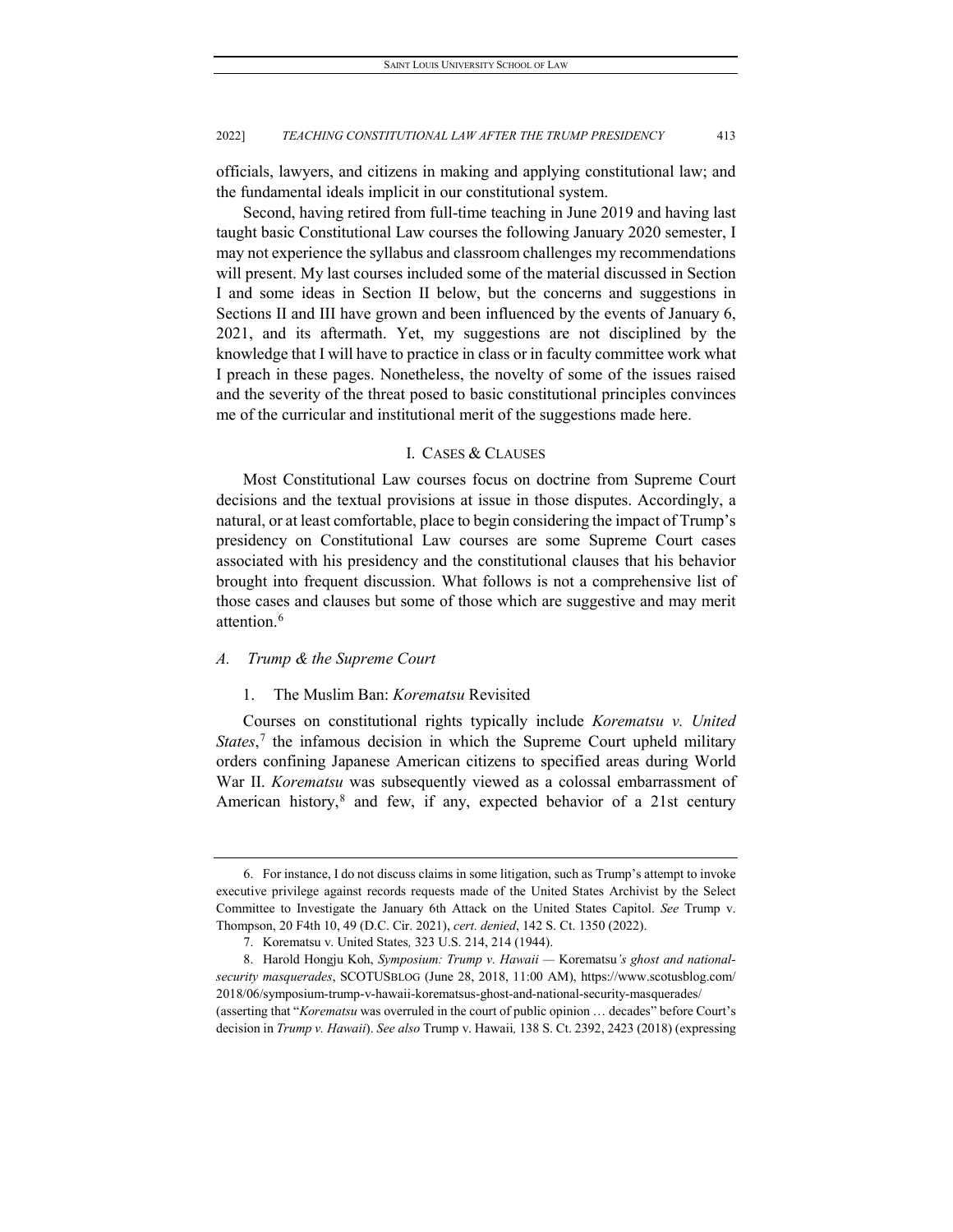officials, lawyers, and citizens in making and applying constitutional law; and the fundamental ideals implicit in our constitutional system.

Second, having retired from full-time teaching in June 2019 and having last taught basic Constitutional Law courses the following January 2020 semester, I may not experience the syllabus and classroom challenges my recommendations will present. My last courses included some of the material discussed in Section I and some ideas in Section II below, but the concerns and suggestions in Sections II and III have grown and been influenced by the events of January 6, 2021, and its aftermath. Yet, my suggestions are not disciplined by the knowledge that I will have to practice in class or in faculty committee work what I preach in these pages. Nonetheless, the novelty of some of the issues raised and the severity of the threat posed to basic constitutional principles convinces me of the curricular and institutional merit of the suggestions made here.

# I. CASES & CLAUSES

Most Constitutional Law courses focus on doctrine from Supreme Court decisions and the textual provisions at issue in those disputes. Accordingly, a natural, or at least comfortable, place to begin considering the impact of Trump's presidency on Constitutional Law courses are some Supreme Court cases associated with his presidency and the constitutional clauses that his behavior brought into frequent discussion. What follows is not a comprehensive list of those cases and clauses but some of those which are suggestive and may merit attention.[6](#page-5-0)

# *A. Trump & the Supreme Court*

# 1. The Muslim Ban: *Korematsu* Revisited

Courses on constitutional rights typically include *Korematsu v. United*  States,<sup>[7](#page-5-1)</sup> the infamous decision in which the Supreme Court upheld military orders confining Japanese American citizens to specified areas during World War II. *Korematsu* was subsequently viewed as a colossal embarrassment of American history, $8$  and few, if any, expected behavior of a 21st century

<span id="page-5-0"></span><sup>6.</sup> For instance, I do not discuss claims in some litigation, such as Trump's attempt to invoke executive privilege against records requests made of the United States Archivist by the Select Committee to Investigate the January 6th Attack on the United States Capitol. *See* Trump v. Thompson, 20 F4th 10, 49 (D.C. Cir. 2021), *cert. denied*, 142 S. Ct. 1350 (2022).

<sup>7.</sup> Korematsu v. United States*,* 323 U.S. 214, 214 (1944).

<span id="page-5-2"></span><span id="page-5-1"></span><sup>8.</sup> Harold Hongju Koh, *Symposium: Trump v. Hawaii —* Korematsu*'s ghost and nationalsecurity masquerades*, SCOTUSBLOG (June 28, 2018, 11:00 AM), https://www.scotusblog.com/ 2018/06/symposium-trump-v-hawaii-korematsus-ghost-and-national-security-masquerades/ (asserting that "*Korematsu* was overruled in the court of public opinion … decades" before Court's

decision in *Trump v. Hawaii*). *See also* Trump v. Hawaii*,* 138 S. Ct. 2392, 2423 (2018) (expressing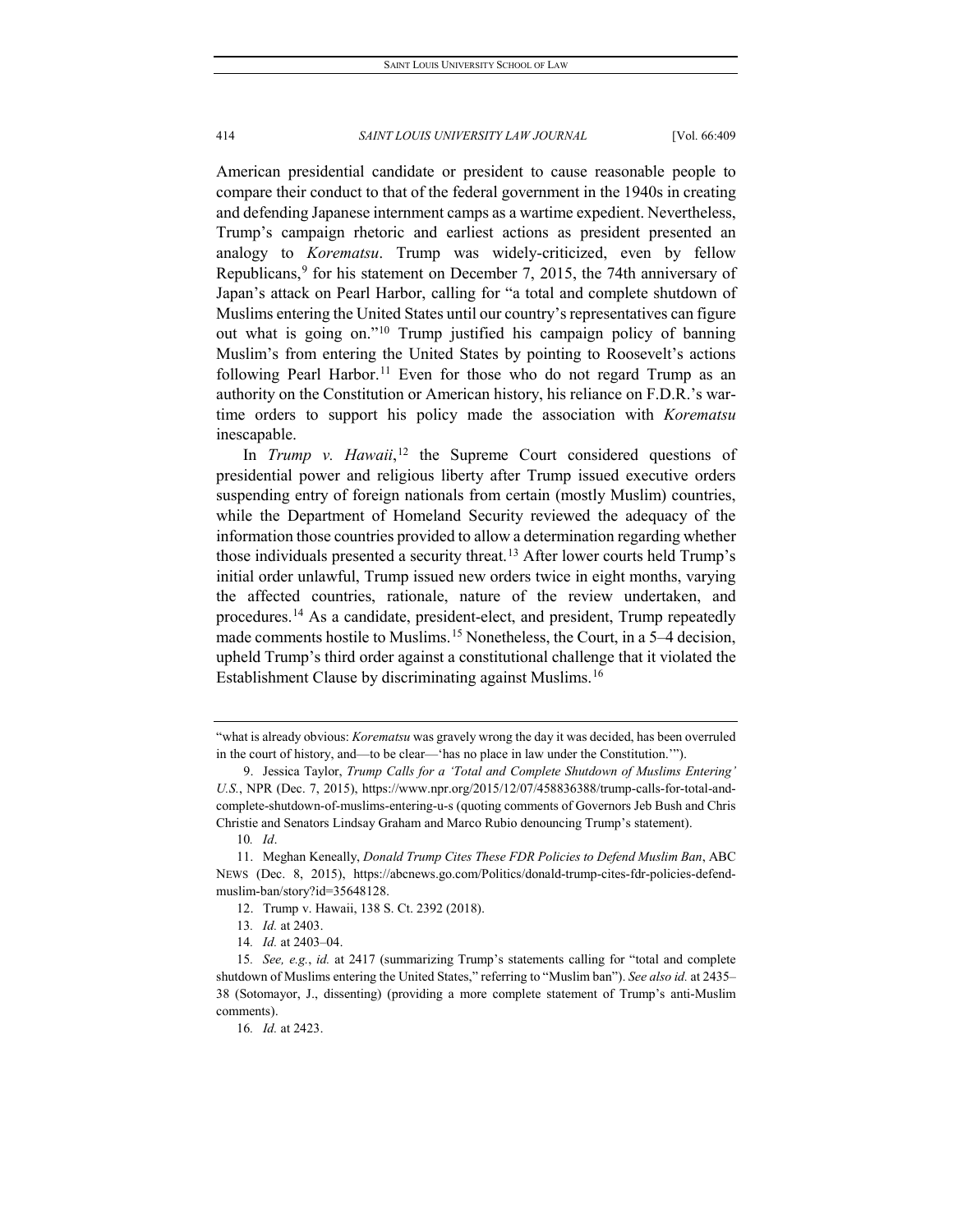American presidential candidate or president to cause reasonable people to compare their conduct to that of the federal government in the 1940s in creating and defending Japanese internment camps as a wartime expedient. Nevertheless, Trump's campaign rhetoric and earliest actions as president presented an analogy to *Korematsu*. Trump was widely-criticized, even by fellow Republicans,<sup>[9](#page-6-0)</sup> for his statement on December 7, 2015, the 74th anniversary of Japan's attack on Pearl Harbor, calling for "a total and complete shutdown of Muslims entering the United States until our country's representatives can figure out what is going on.["10](#page-6-1) Trump justified his campaign policy of banning Muslim's from entering the United States by pointing to Roosevelt's actions following Pearl Harbor.<sup>[11](#page-6-2)</sup> Even for those who do not regard Trump as an authority on the Constitution or American history, his reliance on F.D.R.'s wartime orders to support his policy made the association with *Korematsu*  inescapable.

In *Trump v. Hawaii*,<sup>[12](#page-6-3)</sup> the Supreme Court considered questions of presidential power and religious liberty after Trump issued executive orders suspending entry of foreign nationals from certain (mostly Muslim) countries, while the Department of Homeland Security reviewed the adequacy of the information those countries provided to allow a determination regarding whether those individuals presented a security threat.<sup>[13](#page-6-4)</sup> After lower courts held Trump's initial order unlawful, Trump issued new orders twice in eight months, varying the affected countries, rationale, nature of the review undertaken, and procedures.[14](#page-6-5) As a candidate, president-elect, and president, Trump repeatedly made comments hostile to Muslims.<sup>[15](#page-6-6)</sup> Nonetheless, the Court, in a 5–4 decision, upheld Trump's third order against a constitutional challenge that it violated the Establishment Clause by discriminating against Muslims.<sup>[16](#page-6-7)</sup>

<sup>&</sup>quot;what is already obvious: *Korematsu* was gravely wrong the day it was decided, has been overruled in the court of history, and—to be clear—'has no place in law under the Constitution.'").

<span id="page-6-0"></span><sup>9.</sup> Jessica Taylor, *Trump Calls for a 'Total and Complete Shutdown of Muslims Entering' U.S.*, NPR (Dec. 7, 2015), https://www.npr.org/2015/12/07/458836388/trump-calls-for-total-andcomplete-shutdown-of-muslims-entering-u-s (quoting comments of Governors Jeb Bush and Chris Christie and Senators Lindsay Graham and Marco Rubio denouncing Trump's statement).

<sup>10</sup>*. Id*.

<span id="page-6-3"></span><span id="page-6-2"></span><span id="page-6-1"></span><sup>11.</sup> Meghan Keneally, *Donald Trump Cites These FDR Policies to Defend Muslim Ban*, ABC NEWS (Dec. 8, 2015), https://abcnews.go.com/Politics/donald-trump-cites-fdr-policies-defendmuslim-ban/story?id=35648128.

<sup>12.</sup> Trump v. Hawaii, 138 S. Ct. 2392 (2018).

<sup>13</sup>*. Id.* at 2403.

<sup>14</sup>*. Id.* at 2403–04.

<span id="page-6-7"></span><span id="page-6-6"></span><span id="page-6-5"></span><span id="page-6-4"></span><sup>15</sup>*. See, e.g.*, *id.* at 2417 (summarizing Trump's statements calling for "total and complete shutdown of Muslims entering the United States," referring to "Muslim ban"). *See also id.* at 2435– 38 (Sotomayor, J., dissenting) (providing a more complete statement of Trump's anti-Muslim comments).

<sup>16</sup>*. Id.* at 2423.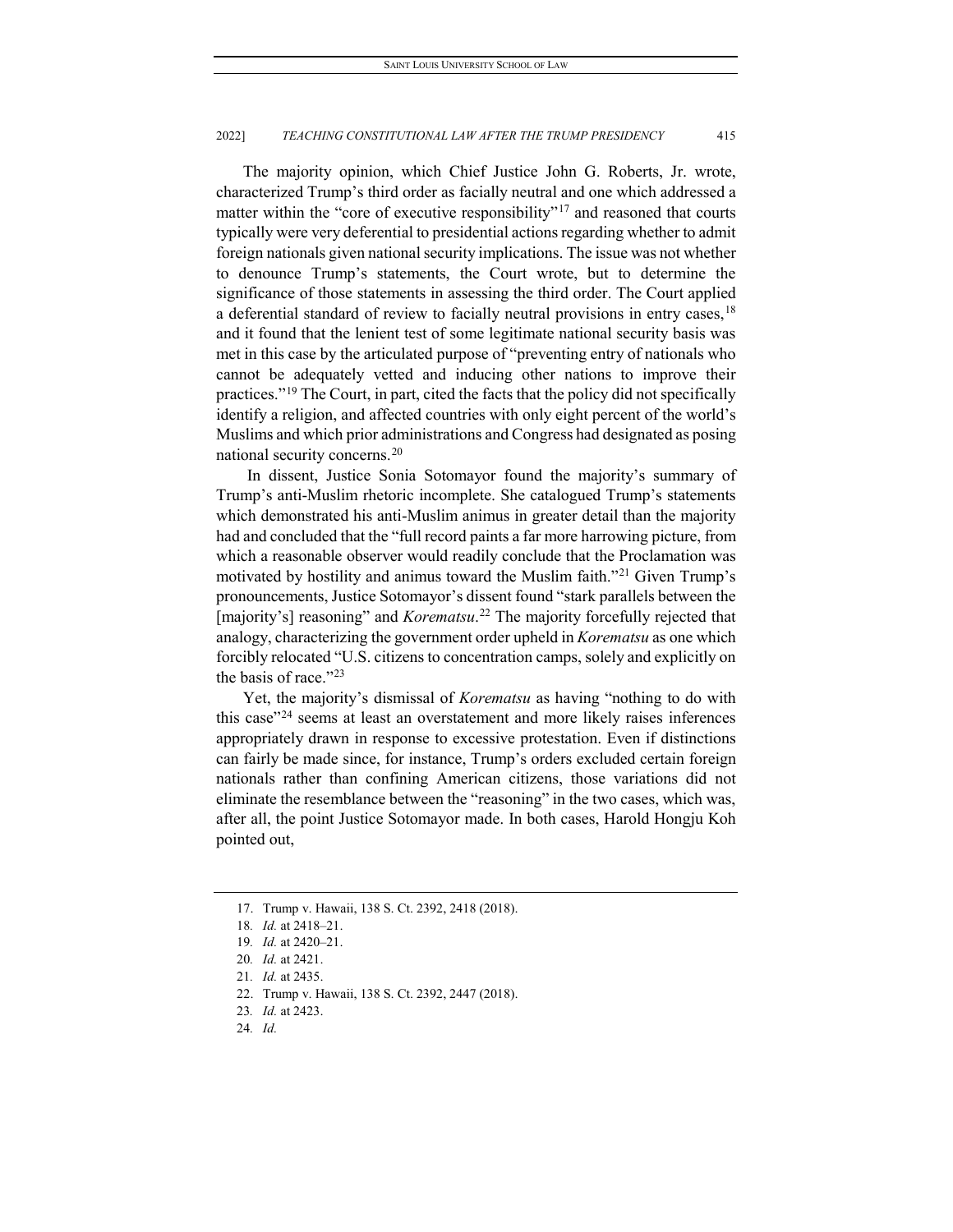The majority opinion, which Chief Justice John G. Roberts, Jr. wrote, characterized Trump's third order as facially neutral and one which addressed a matter within the "core of executive responsibility"<sup>[17](#page-7-0)</sup> and reasoned that courts typically were very deferential to presidential actions regarding whether to admit foreign nationals given national security implications. The issue was not whether to denounce Trump's statements, the Court wrote, but to determine the significance of those statements in assessing the third order. The Court applied a deferential standard of review to facially neutral provisions in entry cases, <sup>[18](#page-7-1)</sup> and it found that the lenient test of some legitimate national security basis was met in this case by the articulated purpose of "preventing entry of nationals who cannot be adequately vetted and inducing other nations to improve their practices."[19](#page-7-2) The Court, in part, cited the facts that the policy did not specifically identify a religion, and affected countries with only eight percent of the world's Muslims and which prior administrations and Congress had designated as posing national security concerns.[20](#page-7-3)

In dissent, Justice Sonia Sotomayor found the majority's summary of Trump's anti-Muslim rhetoric incomplete. She catalogued Trump's statements which demonstrated his anti-Muslim animus in greater detail than the majority had and concluded that the "full record paints a far more harrowing picture, from which a reasonable observer would readily conclude that the Proclamation was motivated by hostility and animus toward the Muslim faith."<sup>[21](#page-7-4)</sup> Given Trump's pronouncements, Justice Sotomayor's dissent found "stark parallels between the [majority's] reasoning" and *Korematsu*.<sup>[22](#page-7-5)</sup> The majority forcefully rejected that analogy, characterizing the government order upheld in *Korematsu* as one which forcibly relocated "U.S. citizens to concentration camps, solely and explicitly on the basis of race."<sup>[23](#page-7-6)</sup>

Yet, the majority's dismissal of *Korematsu* as having "nothing to do with this case"[24](#page-7-7) seems at least an overstatement and more likely raises inferences appropriately drawn in response to excessive protestation. Even if distinctions can fairly be made since, for instance, Trump's orders excluded certain foreign nationals rather than confining American citizens, those variations did not eliminate the resemblance between the "reasoning" in the two cases, which was, after all, the point Justice Sotomayor made. In both cases, Harold Hongju Koh pointed out,

<span id="page-7-0"></span><sup>17.</sup> Trump v. Hawaii, 138 S. Ct. 2392, 2418 (2018).

<span id="page-7-1"></span><sup>18</sup>*. Id.* at 2418–21.

<sup>19</sup>*. Id.* at 2420–21.

<span id="page-7-3"></span><span id="page-7-2"></span><sup>20</sup>*. Id.* at 2421.

<sup>21</sup>*. Id.* at 2435.

<span id="page-7-7"></span><span id="page-7-6"></span><span id="page-7-5"></span><span id="page-7-4"></span><sup>22.</sup> Trump v. Hawaii, 138 S. Ct. 2392, 2447 (2018).

<sup>23</sup>*. Id.* at 2423.

<sup>24</sup>*. Id.*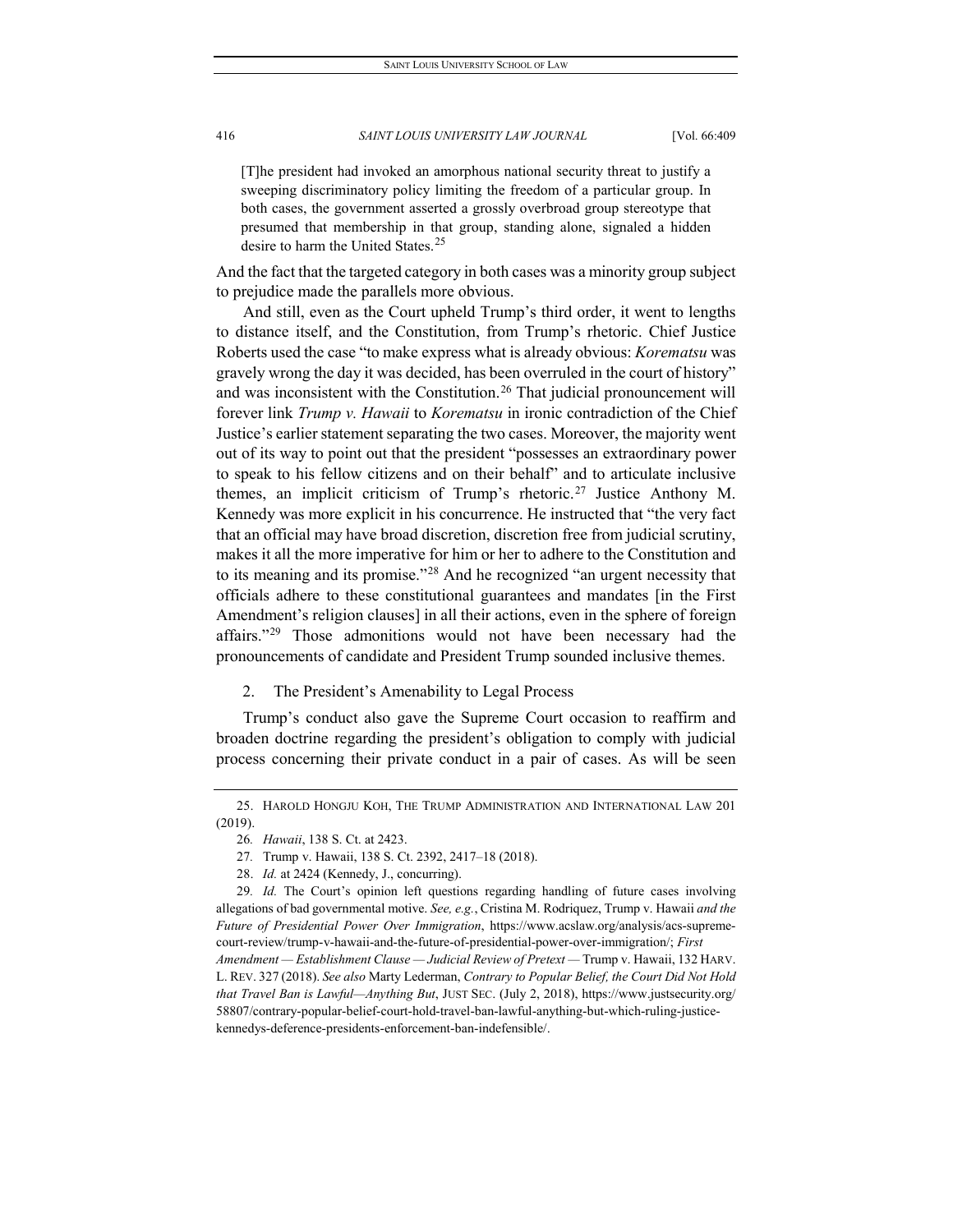[T]he president had invoked an amorphous national security threat to justify a sweeping discriminatory policy limiting the freedom of a particular group. In both cases, the government asserted a grossly overbroad group stereotype that presumed that membership in that group, standing alone, signaled a hidden desire to harm the United States.<sup>[25](#page-8-0)</sup>

And the fact that the targeted category in both cases was a minority group subject to prejudice made the parallels more obvious.

And still, even as the Court upheld Trump's third order, it went to lengths to distance itself, and the Constitution, from Trump's rhetoric. Chief Justice Roberts used the case "to make express what is already obvious: *Korematsu* was gravely wrong the day it was decided, has been overruled in the court of history" and was inconsistent with the Constitution.<sup>[26](#page-8-1)</sup> That judicial pronouncement will forever link *Trump v. Hawaii* to *Korematsu* in ironic contradiction of the Chief Justice's earlier statement separating the two cases. Moreover, the majority went out of its way to point out that the president "possesses an extraordinary power to speak to his fellow citizens and on their behalf" and to articulate inclusive themes, an implicit criticism of Trump's rhetoric.[27](#page-8-2) Justice Anthony M. Kennedy was more explicit in his concurrence. He instructed that "the very fact that an official may have broad discretion, discretion free from judicial scrutiny, makes it all the more imperative for him or her to adhere to the Constitution and to its meaning and its promise."[28](#page-8-3) And he recognized "an urgent necessity that officials adhere to these constitutional guarantees and mandates [in the First Amendment's religion clauses] in all their actions, even in the sphere of foreign affairs."<sup>[29](#page-8-4)</sup> Those admonitions would not have been necessary had the pronouncements of candidate and President Trump sounded inclusive themes.

# 2. The President's Amenability to Legal Process

Trump's conduct also gave the Supreme Court occasion to reaffirm and broaden doctrine regarding the president's obligation to comply with judicial process concerning their private conduct in a pair of cases. As will be seen

<span id="page-8-1"></span><span id="page-8-0"></span><sup>25.</sup> HAROLD HONGJU KOH, THE TRUMP ADMINISTRATION AND INTERNATIONAL LAW 201 (2019).

<sup>26</sup>*. Hawaii*, 138 S. Ct. at 2423.

<sup>27</sup>*.* Trump v. Hawaii, 138 S. Ct. 2392, 2417–18 (2018).

<sup>28.</sup> *Id.* at 2424 (Kennedy, J., concurring).

<span id="page-8-4"></span><span id="page-8-3"></span><span id="page-8-2"></span><sup>29</sup>*. Id.* The Court's opinion left questions regarding handling of future cases involving allegations of bad governmental motive. *See, e.g.*, Cristina M. Rodriquez, Trump v. Hawaii *and the Future of Presidential Power Over Immigration*, https://www.acslaw.org/analysis/acs-supremecourt-review/trump-v-hawaii-and-the-future-of-presidential-power-over-immigration/; *First Amendment — Establishment Clause — Judicial Review of Pretext —* Trump v. Hawaii, 132 HARV. L. REV. 327 (2018). *See also* Marty Lederman, *Contrary to Popular Belief, the Court Did Not Hold that Travel Ban is Lawful—Anything But*, JUST SEC. (July 2, 2018), https://www.justsecurity.org/ 58807/contrary-popular-belief-court-hold-travel-ban-lawful-anything-but-which-ruling-justicekennedys-deference-presidents-enforcement-ban-indefensible/.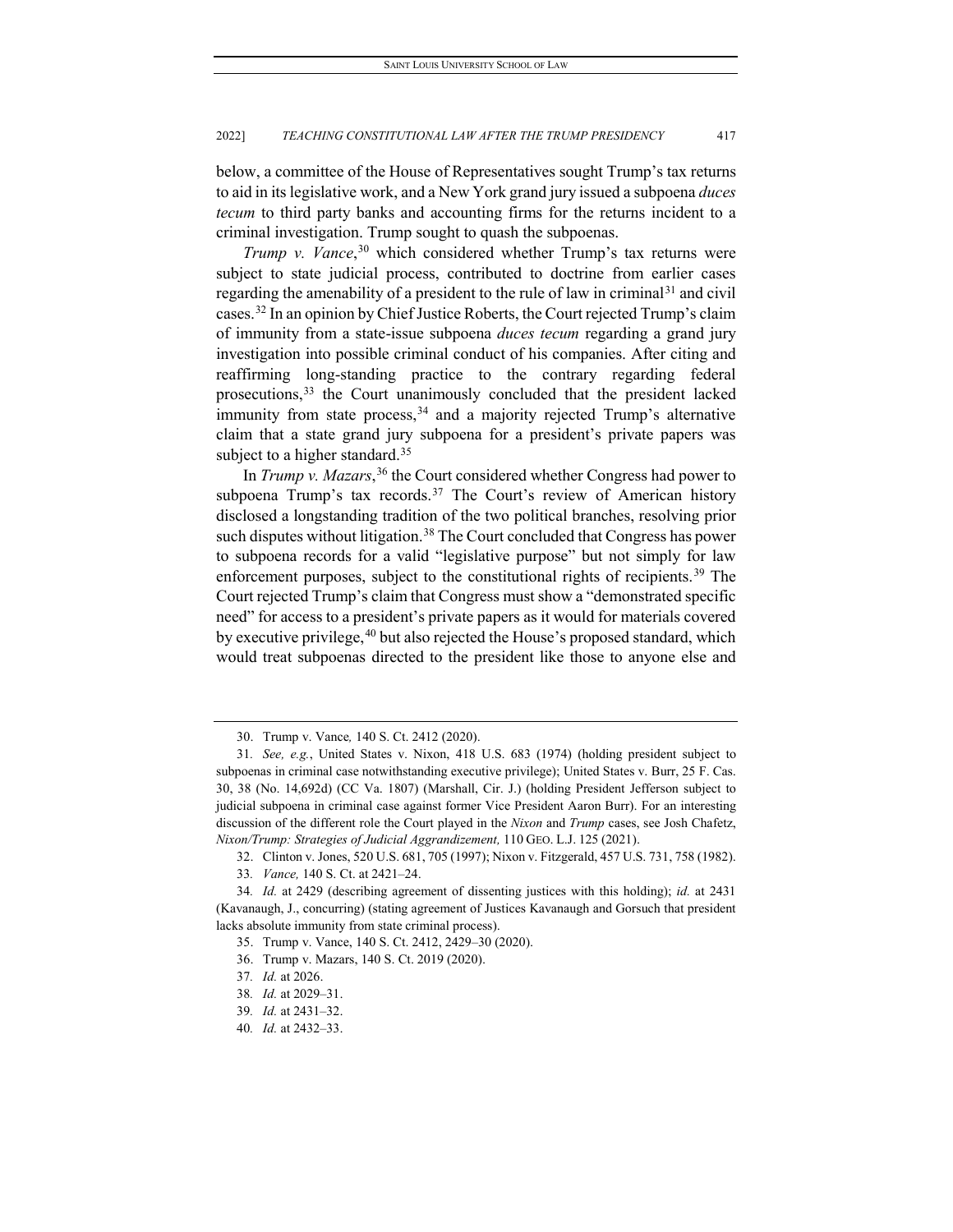below, a committee of the House of Representatives sought Trump's tax returns to aid in its legislative work, and a New York grand jury issued a subpoena *duces tecum* to third party banks and accounting firms for the returns incident to a criminal investigation. Trump sought to quash the subpoenas.

*Trump v. Vance*, [30](#page-9-0) which considered whether Trump's tax returns were subject to state judicial process, contributed to doctrine from earlier cases regarding the amenability of a president to the rule of law in criminal<sup>[31](#page-9-1)</sup> and civil cases.[32](#page-9-2) In an opinion by Chief Justice Roberts, the Court rejected Trump's claim of immunity from a state-issue subpoena *duces tecum* regarding a grand jury investigation into possible criminal conduct of his companies. After citing and reaffirming long-standing practice to the contrary regarding federal prosecutions,<sup>[33](#page-9-3)</sup> the Court unanimously concluded that the president lacked immunity from state process,  $34$  and a majority rejected Trump's alternative claim that a state grand jury subpoena for a president's private papers was subject to a higher standard.<sup>[35](#page-9-5)</sup>

In *Trump v. Mazars*, [36](#page-9-6) the Court considered whether Congress had power to subpoena Trump's tax records.<sup>[37](#page-9-7)</sup> The Court's review of American history disclosed a longstanding tradition of the two political branches, resolving prior such disputes without litigation.<sup>[38](#page-9-8)</sup> The Court concluded that Congress has power to subpoena records for a valid "legislative purpose" but not simply for law enforcement purposes, subject to the constitutional rights of recipients.<sup>[39](#page-9-9)</sup> The Court rejected Trump's claim that Congress must show a "demonstrated specific need" for access to a president's private papers as it would for materials covered by executive privilege, <sup>[40](#page-9-10)</sup> but also rejected the House's proposed standard, which would treat subpoenas directed to the president like those to anyone else and

<sup>30.</sup> Trump v. Vance*,* 140 S. Ct. 2412 (2020).

<span id="page-9-1"></span><span id="page-9-0"></span><sup>31</sup>*. See, e.g.*, United States v. Nixon, 418 U.S. 683 (1974) (holding president subject to subpoenas in criminal case notwithstanding executive privilege); United States v. Burr, 25 F. Cas. 30, 38 (No. 14,692d) (CC Va. 1807) (Marshall, Cir. J.) (holding President Jefferson subject to judicial subpoena in criminal case against former Vice President Aaron Burr). For an interesting discussion of the different role the Court played in the *Nixon* and *Trump* cases, see Josh Chafetz, *Nixon/Trump: Strategies of Judicial Aggrandizement,* 110 GEO. L.J. 125 (2021).

<sup>32.</sup> Clinton v. Jones, 520 U.S. 681, 705 (1997); Nixon v. Fitzgerald, 457 U.S. 731, 758 (1982).

<sup>33</sup>*. Vance,* 140 S. Ct. at 2421–24.

<span id="page-9-7"></span><span id="page-9-6"></span><span id="page-9-5"></span><span id="page-9-4"></span><span id="page-9-3"></span><span id="page-9-2"></span><sup>34</sup>*. Id.* at 2429 (describing agreement of dissenting justices with this holding); *id.* at 2431 (Kavanaugh, J., concurring) (stating agreement of Justices Kavanaugh and Gorsuch that president lacks absolute immunity from state criminal process).

<sup>35.</sup> Trump v. Vance, 140 S. Ct. 2412, 2429–30 (2020).

<sup>36.</sup> Trump v. Mazars, 140 S. Ct. 2019 (2020).

<sup>37</sup>*. Id.* at 2026.

<span id="page-9-8"></span><sup>38</sup>*. Id.* at 2029–31.

<span id="page-9-10"></span><span id="page-9-9"></span><sup>39</sup>*. Id.* at 2431–32.

<sup>40</sup>*. Id.* at 2432–33.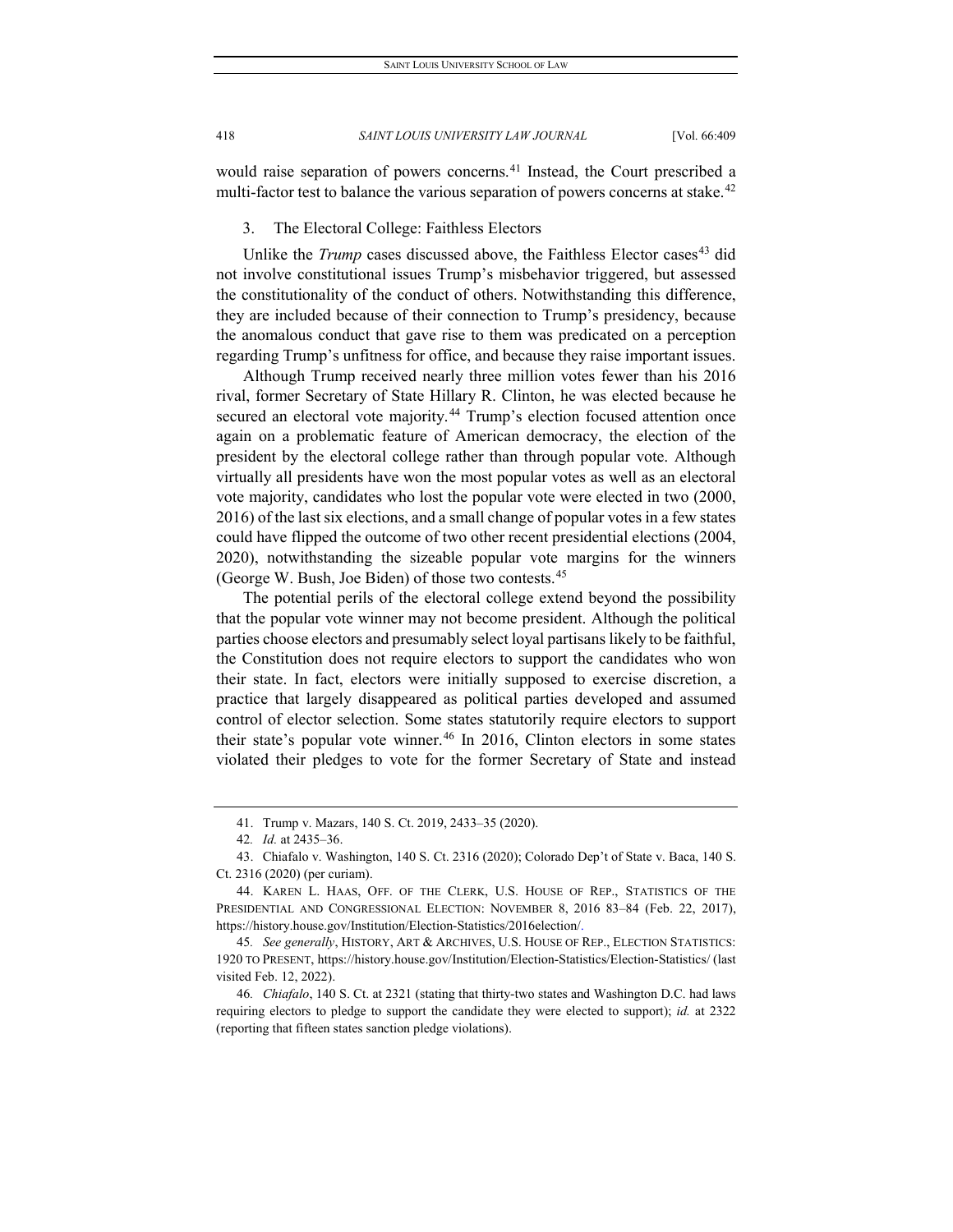would raise separation of powers concerns.<sup>[41](#page-10-0)</sup> Instead, the Court prescribed a multi-factor test to balance the various separation of powers concerns at stake.<sup>[42](#page-10-1)</sup>

3. The Electoral College: Faithless Electors

Unlike the *Trump* cases discussed above, the Faithless Elector cases<sup>[43](#page-10-2)</sup> did not involve constitutional issues Trump's misbehavior triggered, but assessed the constitutionality of the conduct of others. Notwithstanding this difference, they are included because of their connection to Trump's presidency, because the anomalous conduct that gave rise to them was predicated on a perception regarding Trump's unfitness for office, and because they raise important issues.

Although Trump received nearly three million votes fewer than his 2016 rival, former Secretary of State Hillary R. Clinton, he was elected because he secured an electoral vote majority.<sup>[44](#page-10-3)</sup> Trump's election focused attention once again on a problematic feature of American democracy, the election of the president by the electoral college rather than through popular vote. Although virtually all presidents have won the most popular votes as well as an electoral vote majority, candidates who lost the popular vote were elected in two (2000, 2016) of the last six elections, and a small change of popular votes in a few states could have flipped the outcome of two other recent presidential elections (2004, 2020), notwithstanding the sizeable popular vote margins for the winners (George W. Bush, Joe Biden) of those two contests.[45](#page-10-4)

The potential perils of the electoral college extend beyond the possibility that the popular vote winner may not become president. Although the political parties choose electors and presumably select loyal partisans likely to be faithful, the Constitution does not require electors to support the candidates who won their state. In fact, electors were initially supposed to exercise discretion, a practice that largely disappeared as political parties developed and assumed control of elector selection. Some states statutorily require electors to support their state's popular vote winner.<sup>[46](#page-10-5)</sup> In 2016, Clinton electors in some states violated their pledges to vote for the former Secretary of State and instead

<sup>41.</sup> Trump v. Mazars, 140 S. Ct. 2019, 2433–35 (2020).

<sup>42</sup>*. Id.* at 2435–36.

<span id="page-10-2"></span><span id="page-10-1"></span><span id="page-10-0"></span><sup>43.</sup> Chiafalo v. Washington, 140 S. Ct. 2316 (2020); Colorado Dep't of State v. Baca, 140 S. Ct. 2316 (2020) (per curiam).

<span id="page-10-3"></span><sup>44.</sup> KAREN L. HAAS, OFF. OF THE CLERK, U.S. HOUSE OF REP., STATISTICS OF THE PRESIDENTIAL AND CONGRESSIONAL ELECTION: NOVEMBER 8, 2016 83–84 (Feb. 22, 2017), https://history.house.gov/Institution/Election-Statistics/2016election/.

<span id="page-10-4"></span><sup>45</sup>*. See generally*, HISTORY, ART & ARCHIVES, U.S. HOUSE OF REP., ELECTION STATISTICS: 1920 TO PRESENT, https://history.house.gov/Institution/Election-Statistics/Election-Statistics/ (last visited Feb. 12, 2022).

<span id="page-10-5"></span><sup>46</sup>*. Chiafalo*, 140 S. Ct. at 2321 (stating that thirty-two states and Washington D.C. had laws requiring electors to pledge to support the candidate they were elected to support); *id.* at 2322 (reporting that fifteen states sanction pledge violations).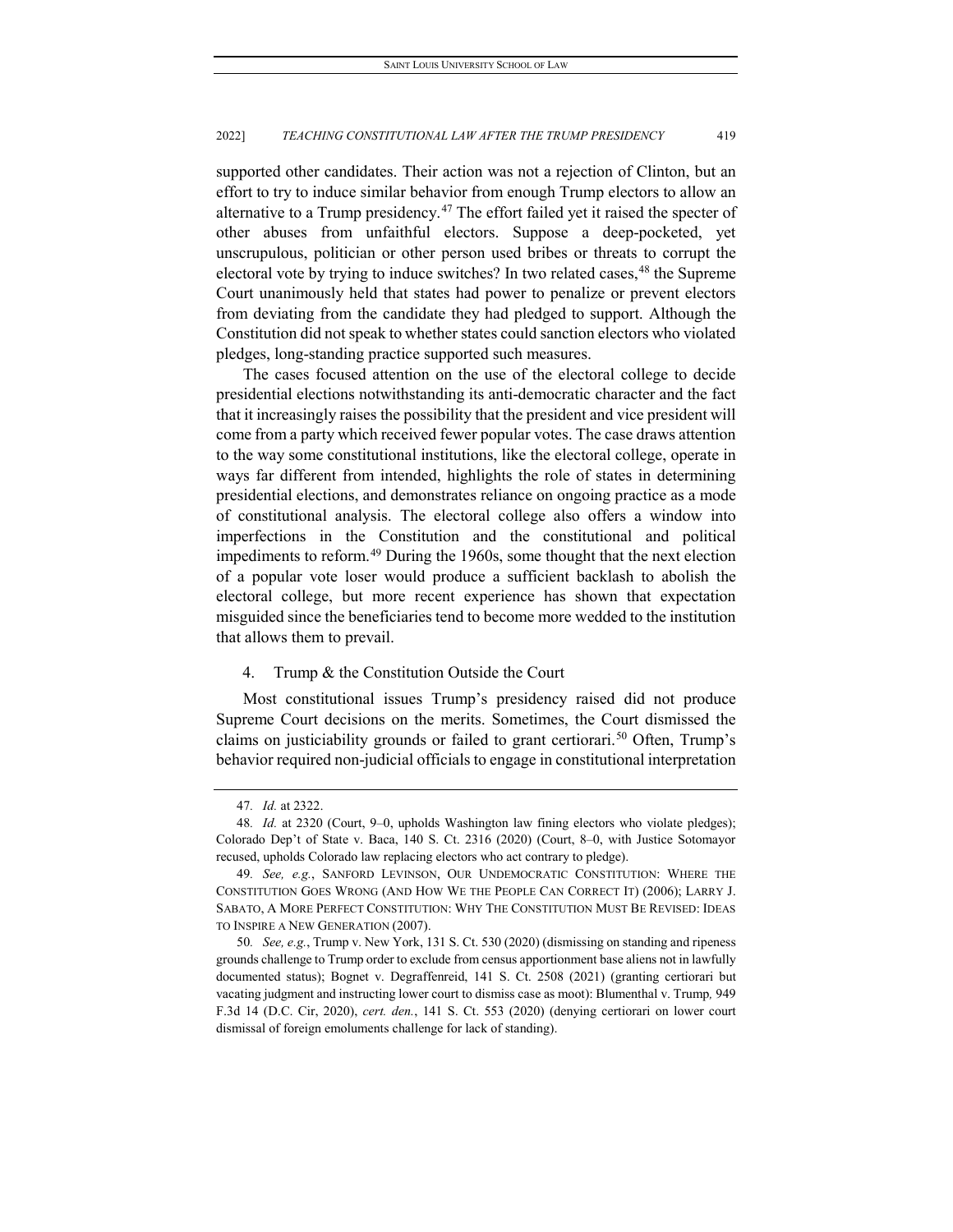supported other candidates. Their action was not a rejection of Clinton, but an effort to try to induce similar behavior from enough Trump electors to allow an alternative to a Trump presidency.<sup>[47](#page-11-0)</sup> The effort failed yet it raised the specter of other abuses from unfaithful electors. Suppose a deep-pocketed, yet unscrupulous, politician or other person used bribes or threats to corrupt the electoral vote by trying to induce switches? In two related cases,<sup>[48](#page-11-1)</sup> the Supreme Court unanimously held that states had power to penalize or prevent electors from deviating from the candidate they had pledged to support. Although the Constitution did not speak to whether states could sanction electors who violated pledges, long-standing practice supported such measures.

The cases focused attention on the use of the electoral college to decide presidential elections notwithstanding its anti-democratic character and the fact that it increasingly raises the possibility that the president and vice president will come from a party which received fewer popular votes. The case draws attention to the way some constitutional institutions, like the electoral college, operate in ways far different from intended, highlights the role of states in determining presidential elections, and demonstrates reliance on ongoing practice as a mode of constitutional analysis. The electoral college also offers a window into imperfections in the Constitution and the constitutional and political impediments to reform.<sup>[49](#page-11-2)</sup> During the 1960s, some thought that the next election of a popular vote loser would produce a sufficient backlash to abolish the electoral college, but more recent experience has shown that expectation misguided since the beneficiaries tend to become more wedded to the institution that allows them to prevail.

#### 4. Trump & the Constitution Outside the Court

Most constitutional issues Trump's presidency raised did not produce Supreme Court decisions on the merits. Sometimes, the Court dismissed the claims on justiciability grounds or failed to grant certiorari.<sup>[50](#page-11-3)</sup> Often, Trump's behavior required non-judicial officials to engage in constitutional interpretation

<sup>47</sup>*. Id.* at 2322.

<span id="page-11-1"></span><span id="page-11-0"></span><sup>48</sup>*. Id.* at 2320 (Court, 9–0, upholds Washington law fining electors who violate pledges); Colorado Dep't of State v. Baca, 140 S. Ct. 2316 (2020) (Court, 8–0, with Justice Sotomayor recused, upholds Colorado law replacing electors who act contrary to pledge).

<span id="page-11-2"></span><sup>49</sup>*. See, e.g.*, SANFORD LEVINSON, OUR UNDEMOCRATIC CONSTITUTION: WHERE THE CONSTITUTION GOES WRONG (AND HOW WE THE PEOPLE CAN CORRECT IT) (2006); LARRY J. SABATO, A MORE PERFECT CONSTITUTION: WHY THE CONSTITUTION MUST BE REVISED: IDEAS TO INSPIRE A NEW GENERATION (2007).

<span id="page-11-3"></span><sup>50</sup>*. See, e.g.*, Trump v. New York, 131 S. Ct. 530 (2020) (dismissing on standing and ripeness grounds challenge to Trump order to exclude from census apportionment base aliens not in lawfully documented status); Bognet v. Degraffenreid, 141 S. Ct. 2508 (2021) (granting certiorari but vacating judgment and instructing lower court to dismiss case as moot): Blumenthal v. Trump*,* 949 F.3d 14 (D.C. Cir, 2020), *cert. den.*, 141 S. Ct. 553 (2020) (denying certiorari on lower court dismissal of foreign emoluments challenge for lack of standing).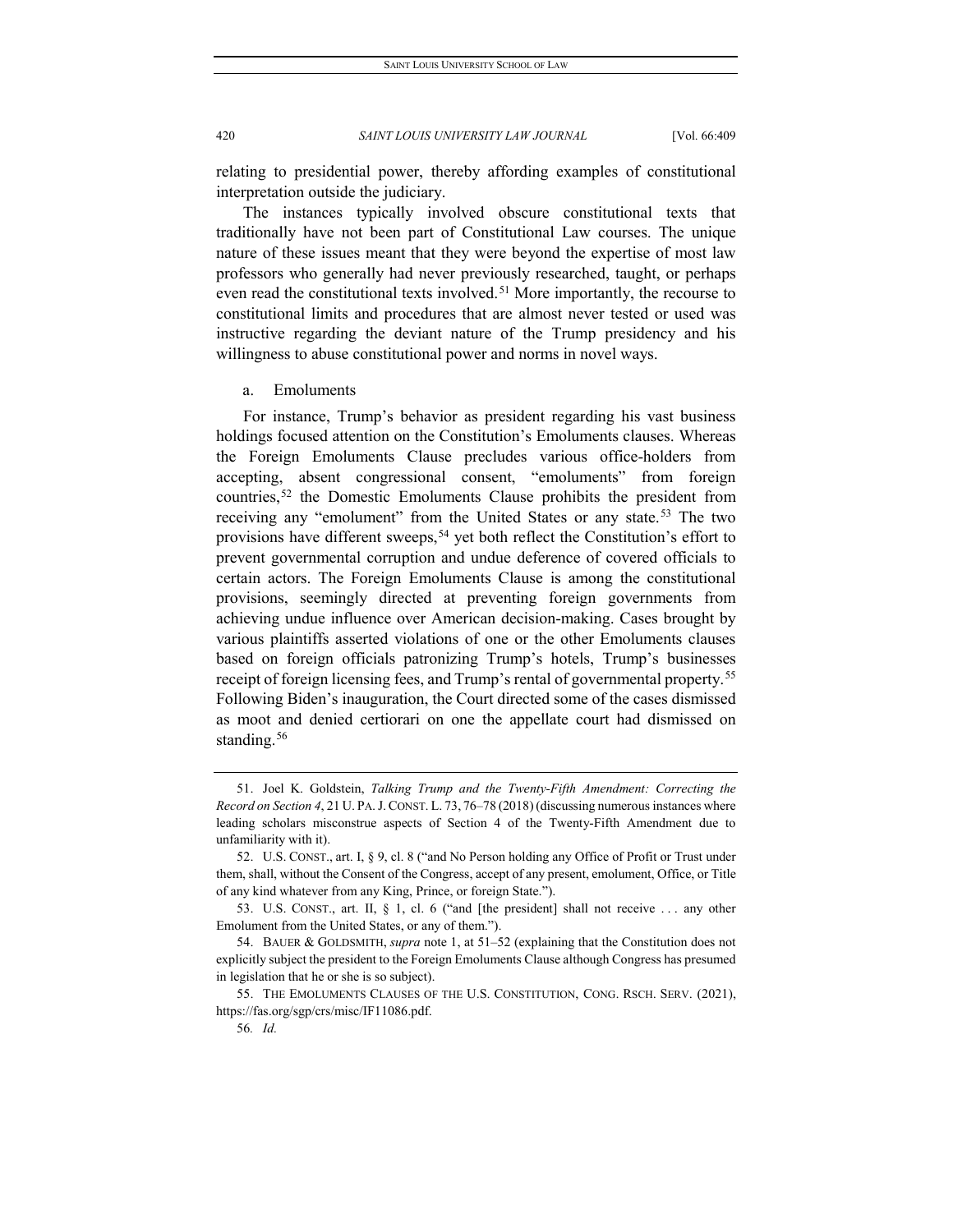relating to presidential power, thereby affording examples of constitutional interpretation outside the judiciary.

The instances typically involved obscure constitutional texts that traditionally have not been part of Constitutional Law courses. The unique nature of these issues meant that they were beyond the expertise of most law professors who generally had never previously researched, taught, or perhaps even read the constitutional texts involved.<sup>[51](#page-12-0)</sup> More importantly, the recourse to constitutional limits and procedures that are almost never tested or used was instructive regarding the deviant nature of the Trump presidency and his willingness to abuse constitutional power and norms in novel ways.

a. Emoluments

For instance, Trump's behavior as president regarding his vast business holdings focused attention on the Constitution's Emoluments clauses. Whereas the Foreign Emoluments Clause precludes various office-holders from accepting, absent congressional consent, "emoluments" from foreign countries,[52](#page-12-1) the Domestic Emoluments Clause prohibits the president from receiving any "emolument" from the United States or any state.<sup>[53](#page-12-2)</sup> The two provisions have different sweeps,<sup>[54](#page-12-3)</sup> yet both reflect the Constitution's effort to prevent governmental corruption and undue deference of covered officials to certain actors. The Foreign Emoluments Clause is among the constitutional provisions, seemingly directed at preventing foreign governments from achieving undue influence over American decision-making. Cases brought by various plaintiffs asserted violations of one or the other Emoluments clauses based on foreign officials patronizing Trump's hotels, Trump's businesses receipt of foreign licensing fees, and Trump's rental of governmental property.<sup>[55](#page-12-4)</sup> Following Biden's inauguration, the Court directed some of the cases dismissed as moot and denied certiorari on one the appellate court had dismissed on standing.<sup>[56](#page-12-5)</sup>

<span id="page-12-0"></span><sup>51.</sup> Joel K. Goldstein, *Talking Trump and the Twenty-Fifth Amendment: Correcting the Record on Section 4*, 21 U. PA.J. CONST. L. 73, 76–78 (2018)(discussing numerous instances where leading scholars misconstrue aspects of Section 4 of the Twenty-Fifth Amendment due to unfamiliarity with it).

<span id="page-12-1"></span><sup>52.</sup> U.S. CONST., art. I, § 9, cl. 8 ("and No Person holding any Office of Profit or Trust under them, shall, without the Consent of the Congress, accept of any present, emolument, Office, or Title of any kind whatever from any King, Prince, or foreign State.").

<span id="page-12-2"></span><sup>53.</sup> U.S. CONST., art. II, § 1, cl. 6 ("and [the president] shall not receive . . . any other Emolument from the United States, or any of them.").

<span id="page-12-3"></span><sup>54.</sup> BAUER & GOLDSMITH, *supra* note 1, at 51–52 (explaining that the Constitution does not explicitly subject the president to the Foreign Emoluments Clause although Congress has presumed in legislation that he or she is so subject).

<span id="page-12-5"></span><span id="page-12-4"></span><sup>55.</sup> THE EMOLUMENTS CLAUSES OF THE U.S. CONSTITUTION, CONG. RSCH. SERV. (2021), https://fas.org/sgp/crs/misc/IF11086.pdf.

<sup>56</sup>*. Id.*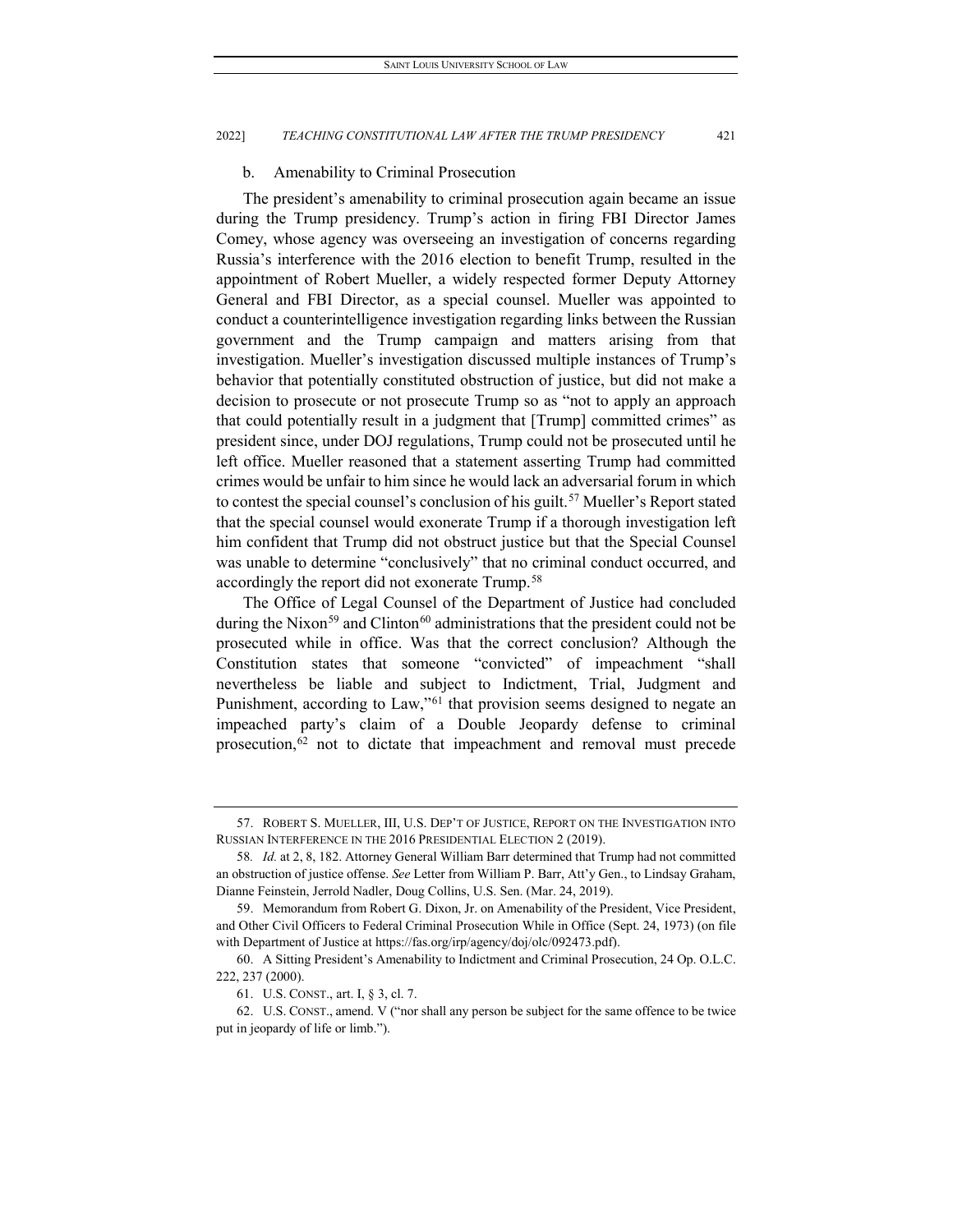#### b. Amenability to Criminal Prosecution

The president's amenability to criminal prosecution again became an issue during the Trump presidency. Trump's action in firing FBI Director James Comey, whose agency was overseeing an investigation of concerns regarding Russia's interference with the 2016 election to benefit Trump, resulted in the appointment of Robert Mueller, a widely respected former Deputy Attorney General and FBI Director, as a special counsel. Mueller was appointed to conduct a counterintelligence investigation regarding links between the Russian government and the Trump campaign and matters arising from that investigation. Mueller's investigation discussed multiple instances of Trump's behavior that potentially constituted obstruction of justice, but did not make a decision to prosecute or not prosecute Trump so as "not to apply an approach that could potentially result in a judgment that [Trump] committed crimes" as president since, under DOJ regulations, Trump could not be prosecuted until he left office. Mueller reasoned that a statement asserting Trump had committed crimes would be unfair to him since he would lack an adversarial forum in which to contest the special counsel's conclusion of his guilt.<sup>[57](#page-13-0)</sup> Mueller's Report stated that the special counsel would exonerate Trump if a thorough investigation left him confident that Trump did not obstruct justice but that the Special Counsel was unable to determine "conclusively" that no criminal conduct occurred, and accordingly the report did not exonerate Trump.<sup>[58](#page-13-1)</sup>

The Office of Legal Counsel of the Department of Justice had concluded during the Nixon<sup>[59](#page-13-2)</sup> and Clinton<sup>[60](#page-13-3)</sup> administrations that the president could not be prosecuted while in office. Was that the correct conclusion? Although the Constitution states that someone "convicted" of impeachment "shall nevertheless be liable and subject to Indictment, Trial, Judgment and Punishment, according to Law,"<sup>[61](#page-13-4)</sup> that provision seems designed to negate an impeached party's claim of a Double Jeopardy defense to criminal prosecution,<sup>[62](#page-13-5)</sup> not to dictate that impeachment and removal must precede

<span id="page-13-0"></span><sup>57.</sup> ROBERT S. MUELLER, III, U.S. DEP'T OF JUSTICE, REPORT ON THE INVESTIGATION INTO RUSSIAN INTERFERENCE IN THE 2016 PRESIDENTIAL ELECTION 2 (2019).

<span id="page-13-1"></span><sup>58</sup>*. Id.* at 2, 8, 182. Attorney General William Barr determined that Trump had not committed an obstruction of justice offense. *See* Letter from William P. Barr, Att'y Gen., to Lindsay Graham, Dianne Feinstein, Jerrold Nadler, Doug Collins, U.S. Sen. (Mar. 24, 2019).

<span id="page-13-2"></span><sup>59.</sup> Memorandum from Robert G. Dixon, Jr. on Amenability of the President, Vice President, and Other Civil Officers to Federal Criminal Prosecution While in Office (Sept. 24, 1973) (on file with Department of Justice at https://fas.org/irp/agency/doj/olc/092473.pdf).

<span id="page-13-3"></span><sup>60.</sup> A Sitting President's Amenability to Indictment and Criminal Prosecution, 24 Op. O.L.C. 222, 237 (2000).

<sup>61.</sup> U.S. CONST., art. I, § 3, cl. 7.

<span id="page-13-5"></span><span id="page-13-4"></span><sup>62.</sup> U.S. CONST., amend. V ("nor shall any person be subject for the same offence to be twice put in jeopardy of life or limb.").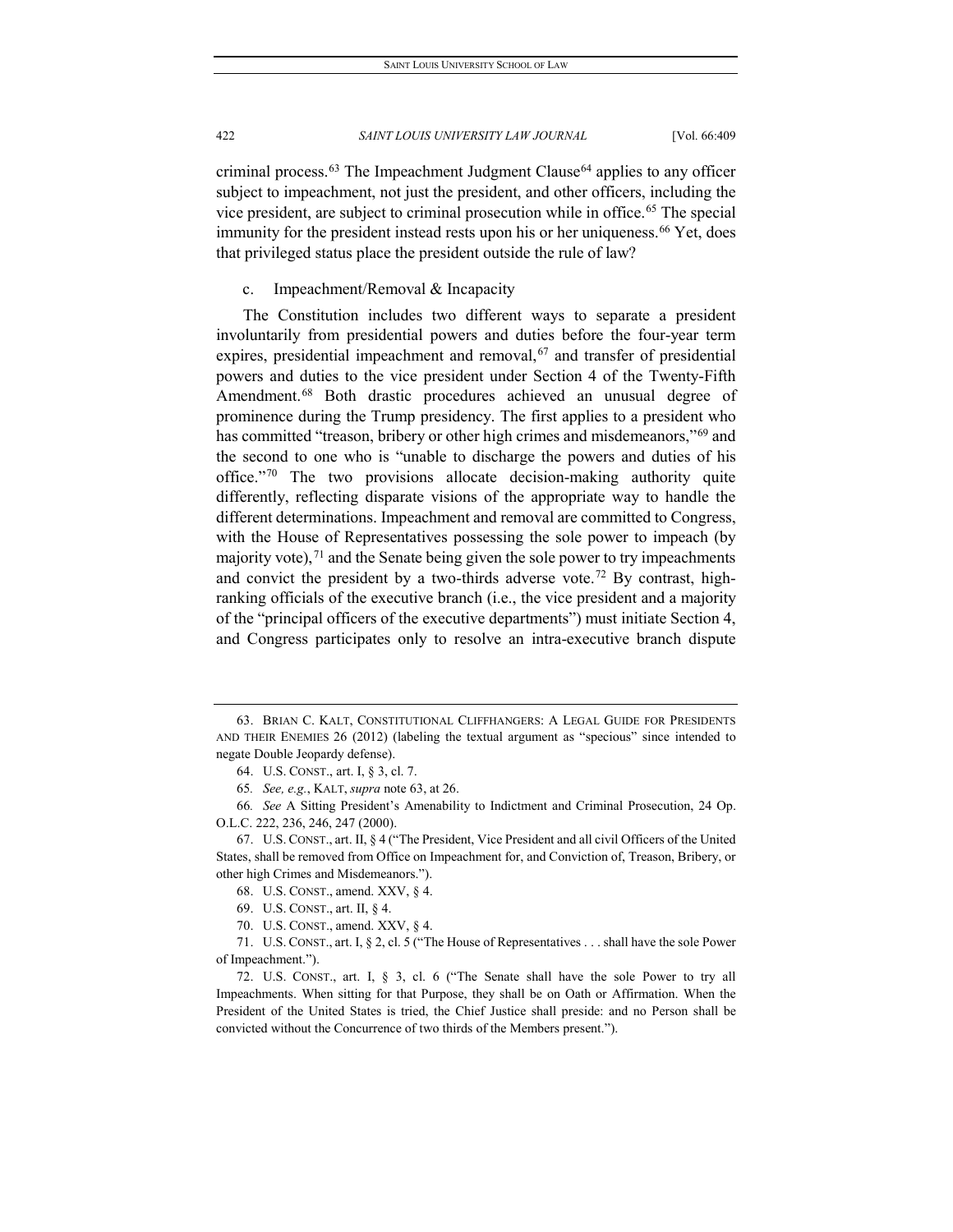criminal process.<sup>[63](#page-14-0)</sup> The Impeachment Judgment Clause<sup>[64](#page-14-1)</sup> applies to any officer subject to impeachment, not just the president, and other officers, including the vice president, are subject to criminal prosecution while in office.<sup>[65](#page-14-2)</sup> The special immunity for the president instead rests upon his or her uniqueness.<sup>[66](#page-14-3)</sup> Yet, does that privileged status place the president outside the rule of law?

# c. Impeachment/Removal & Incapacity

The Constitution includes two different ways to separate a president involuntarily from presidential powers and duties before the four-year term expires, presidential impeachment and removal,<sup>[67](#page-14-4)</sup> and transfer of presidential powers and duties to the vice president under Section 4 of the Twenty-Fifth Amendment.<sup>[68](#page-14-5)</sup> Both drastic procedures achieved an unusual degree of prominence during the Trump presidency. The first applies to a president who has committed "treason, bribery or other high crimes and misdemeanors,"<sup>[69](#page-14-6)</sup> and the second to one who is "unable to discharge the powers and duties of his office."[70](#page-14-7) The two provisions allocate decision-making authority quite differently, reflecting disparate visions of the appropriate way to handle the different determinations. Impeachment and removal are committed to Congress, with the House of Representatives possessing the sole power to impeach (by majority vote),  $71$  and the Senate being given the sole power to try impeachments and convict the president by a two-thirds adverse vote.<sup>[72](#page-14-9)</sup> By contrast, highranking officials of the executive branch (i.e., the vice president and a majority of the "principal officers of the executive departments") must initiate Section 4, and Congress participates only to resolve an intra-executive branch dispute

<span id="page-14-0"></span><sup>63.</sup> BRIAN C. KALT, CONSTITUTIONAL CLIFFHANGERS: A LEGAL GUIDE FOR PRESIDENTS AND THEIR ENEMIES 26 (2012) (labeling the textual argument as "specious" since intended to negate Double Jeopardy defense).

<sup>64.</sup> U.S. CONST., art. I, § 3, cl. 7.

<sup>65</sup>*. See, e.g.*, KALT, *supra* note 63, at 26.

<span id="page-14-3"></span><span id="page-14-2"></span><span id="page-14-1"></span><sup>66</sup>*. See* A Sitting President's Amenability to Indictment and Criminal Prosecution, 24 Op. O.L.C. 222, 236, 246, 247 (2000).

<span id="page-14-5"></span><span id="page-14-4"></span><sup>67.</sup> U.S. CONST., art. II, § 4 ("The President, Vice President and all civil Officers of the United States, shall be removed from Office on Impeachment for, and Conviction of, Treason, Bribery, or other high Crimes and Misdemeanors.").

<sup>68.</sup> U.S. CONST., amend. XXV, § 4.

<sup>69.</sup> U.S. CONST., art. II, § 4.

<sup>70.</sup> U.S. CONST., amend. XXV, § 4.

<span id="page-14-8"></span><span id="page-14-7"></span><span id="page-14-6"></span><sup>71.</sup> U.S. CONST., art. I, § 2, cl. 5 ("The House of Representatives . . . shall have the sole Power of Impeachment.").

<span id="page-14-9"></span><sup>72.</sup> U.S. CONST., art. I, § 3, cl. 6 ("The Senate shall have the sole Power to try all Impeachments. When sitting for that Purpose, they shall be on Oath or Affirmation. When the President of the United States is tried, the Chief Justice shall preside: and no Person shall be convicted without the Concurrence of two thirds of the Members present.").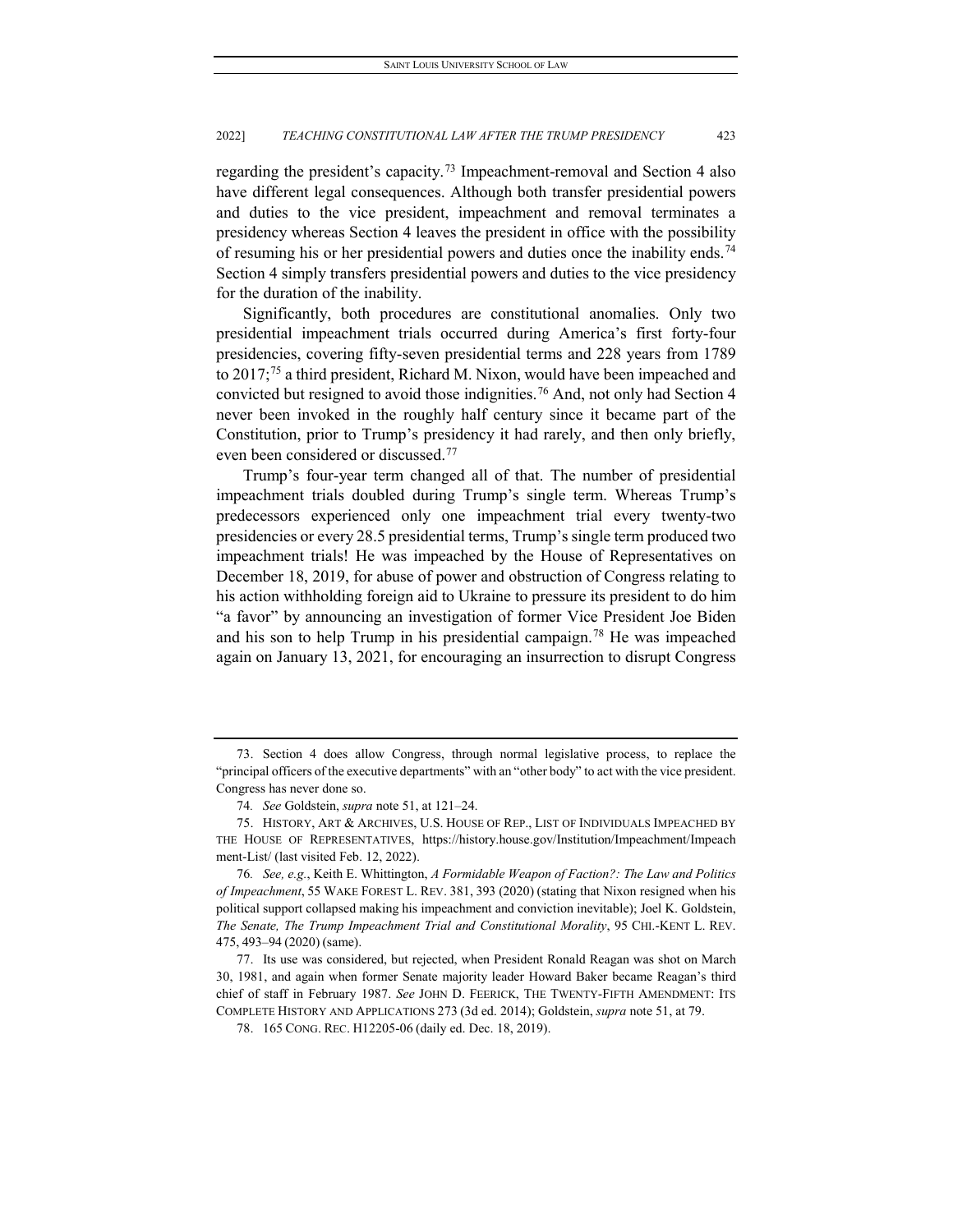regarding the president's capacity.[73](#page-15-0) Impeachment-removal and Section 4 also have different legal consequences. Although both transfer presidential powers and duties to the vice president, impeachment and removal terminates a presidency whereas Section 4 leaves the president in office with the possibility of resuming his or her presidential powers and duties once the inability ends.<sup>[74](#page-15-1)</sup> Section 4 simply transfers presidential powers and duties to the vice presidency for the duration of the inability.

Significantly, both procedures are constitutional anomalies. Only two presidential impeachment trials occurred during America's first forty-four presidencies, covering fifty-seven presidential terms and 228 years from 1789 to 2017;[75](#page-15-2) a third president, Richard M. Nixon, would have been impeached and convicted but resigned to avoid those indignities.<sup>[76](#page-15-3)</sup> And, not only had Section 4 never been invoked in the roughly half century since it became part of the Constitution, prior to Trump's presidency it had rarely, and then only briefly, even been considered or discussed.[77](#page-15-4)

Trump's four-year term changed all of that. The number of presidential impeachment trials doubled during Trump's single term. Whereas Trump's predecessors experienced only one impeachment trial every twenty-two presidencies or every 28.5 presidential terms, Trump's single term produced two impeachment trials! He was impeached by the House of Representatives on December 18, 2019, for abuse of power and obstruction of Congress relating to his action withholding foreign aid to Ukraine to pressure its president to do him "a favor" by announcing an investigation of former Vice President Joe Biden and his son to help Trump in his presidential campaign.[78](#page-15-5) He was impeached again on January 13, 2021, for encouraging an insurrection to disrupt Congress

<span id="page-15-0"></span><sup>73.</sup> Section 4 does allow Congress, through normal legislative process, to replace the "principal officers of the executive departments" with an "other body" to act with the vice president. Congress has never done so.

<sup>74</sup>*. See* Goldstein, *supra* note 51, at 121–24.

<span id="page-15-2"></span><span id="page-15-1"></span><sup>75.</sup> HISTORY, ART & ARCHIVES, U.S. HOUSE OF REP., LIST OF INDIVIDUALS IMPEACHED BY THE HOUSE OF REPRESENTATIVES, https://history.house.gov/Institution/Impeachment/Impeach ment-List/ (last visited Feb. 12, 2022).

<span id="page-15-3"></span><sup>76</sup>*. See, e.g.*, Keith E. Whittington, *A Formidable Weapon of Faction?: The Law and Politics of Impeachment*, 55 WAKE FOREST L. REV. 381, 393 (2020) (stating that Nixon resigned when his political support collapsed making his impeachment and conviction inevitable); Joel K. Goldstein, *The Senate, The Trump Impeachment Trial and Constitutional Morality*, 95 CHI.-KENT L. REV. 475, 493–94 (2020) (same).

<span id="page-15-5"></span><span id="page-15-4"></span><sup>77.</sup> Its use was considered, but rejected, when President Ronald Reagan was shot on March 30, 1981, and again when former Senate majority leader Howard Baker became Reagan's third chief of staff in February 1987. *See* JOHN D. FEERICK, THE TWENTY-FIFTH AMENDMENT: ITS COMPLETE HISTORY AND APPLICATIONS 273 (3d ed. 2014); Goldstein, *supra* note 51, at 79.

<sup>78.</sup> 165 CONG. REC. H12205-06 (daily ed. Dec. 18, 2019).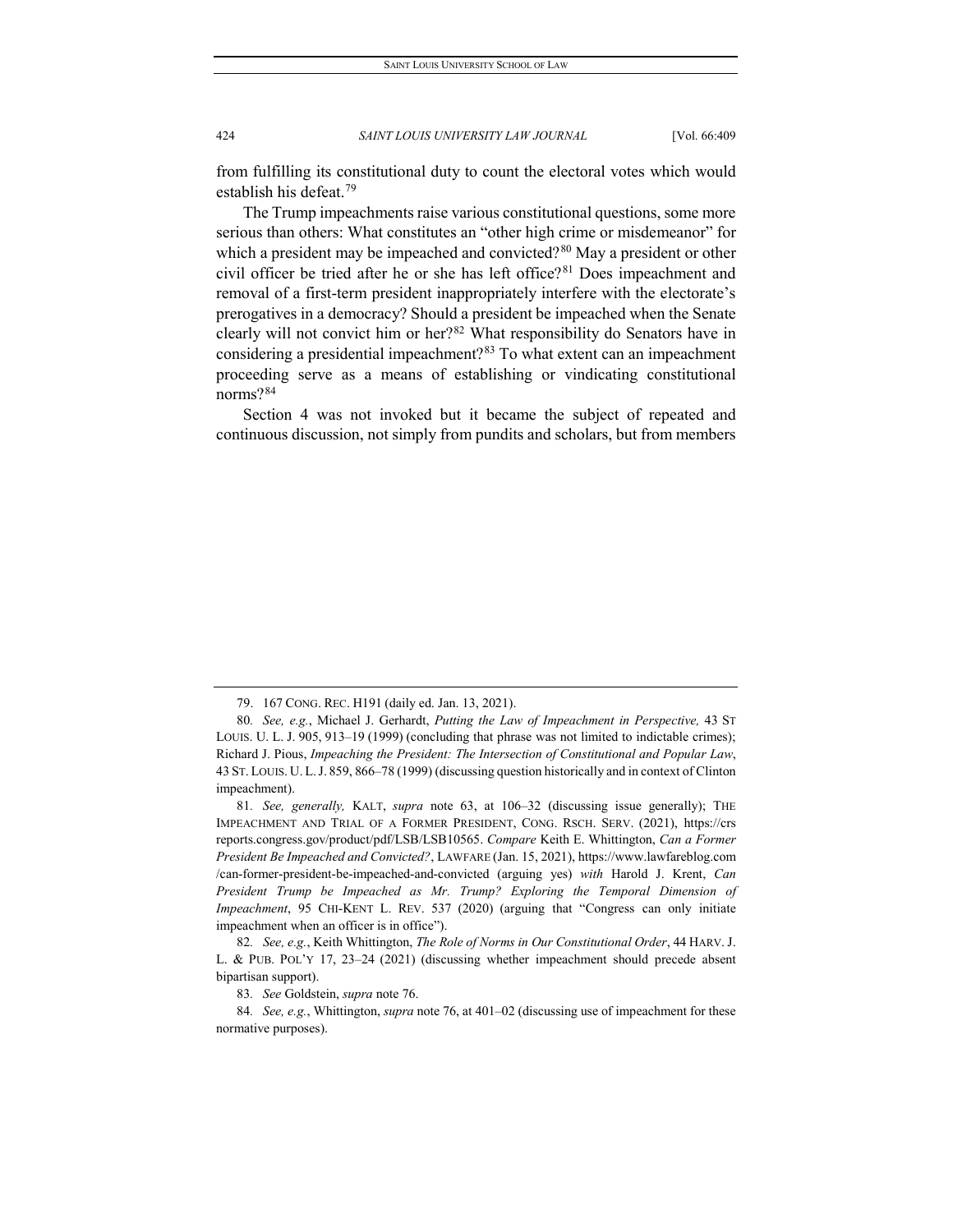from fulfilling its constitutional duty to count the electoral votes which would establish his defeat.<sup>[79](#page-16-0)</sup>

The Trump impeachments raise various constitutional questions, some more serious than others: What constitutes an "other high crime or misdemeanor" for which a president may be impeached and convicted?<sup>[80](#page-16-1)</sup> May a president or other civil officer be tried after he or she has left office?<sup>[81](#page-16-2)</sup> Does impeachment and removal of a first-term president inappropriately interfere with the electorate's prerogatives in a democracy? Should a president be impeached when the Senate clearly will not convict him or her?[82](#page-16-3) What responsibility do Senators have in considering a presidential impeachment?[83](#page-16-4) To what extent can an impeachment proceeding serve as a means of establishing or vindicating constitutional norms?[84](#page-16-5)

Section 4 was not invoked but it became the subject of repeated and continuous discussion, not simply from pundits and scholars, but from members

<sup>79.</sup> 167 CONG. REC. H191 (daily ed. Jan. 13, 2021).

<span id="page-16-1"></span><span id="page-16-0"></span><sup>80</sup>*. See, e.g.*, Michael J. Gerhardt, *Putting the Law of Impeachment in Perspective,* 43 ST LOUIS. U. L. J. 905, 913–19 (1999) (concluding that phrase was not limited to indictable crimes); Richard J. Pious, *Impeaching the President: The Intersection of Constitutional and Popular Law*, 43 ST. LOUIS. U. L.J. 859, 866–78 (1999) (discussing question historically and in context of Clinton impeachment).

<span id="page-16-2"></span><sup>81</sup>*. See, generally,* KALT, *supra* note 63, at 106–32 (discussing issue generally); THE IMPEACHMENT AND TRIAL OF A FORMER PRESIDENT, CONG. RSCH. SERV. (2021), https://crs reports.congress.gov/product/pdf/LSB/LSB10565. *Compare* Keith E. Whittington, *Can a Former President Be Impeached and Convicted?*, LAWFARE (Jan. 15, 2021), https://www.lawfareblog.com /can-former-president-be-impeached-and-convicted (arguing yes) *with* Harold J. Krent, *Can President Trump be Impeached as Mr. Trump? Exploring the Temporal Dimension of Impeachment*, 95 CHI-KENT L. REV. 537 (2020) (arguing that "Congress can only initiate impeachment when an officer is in office").

<span id="page-16-3"></span><sup>82</sup>*. See, e.g.*, Keith Whittington, *The Role of Norms in Our Constitutional Order*, 44 HARV. J. L. & PUB. POL'Y 17, 23–24 (2021) (discussing whether impeachment should precede absent bipartisan support).

<sup>83</sup>*. See* Goldstein, *supra* note 76.

<span id="page-16-5"></span><span id="page-16-4"></span><sup>84</sup>*. See, e.g.*, Whittington, *supra* note 76, at 401–02 (discussing use of impeachment for these normative purposes).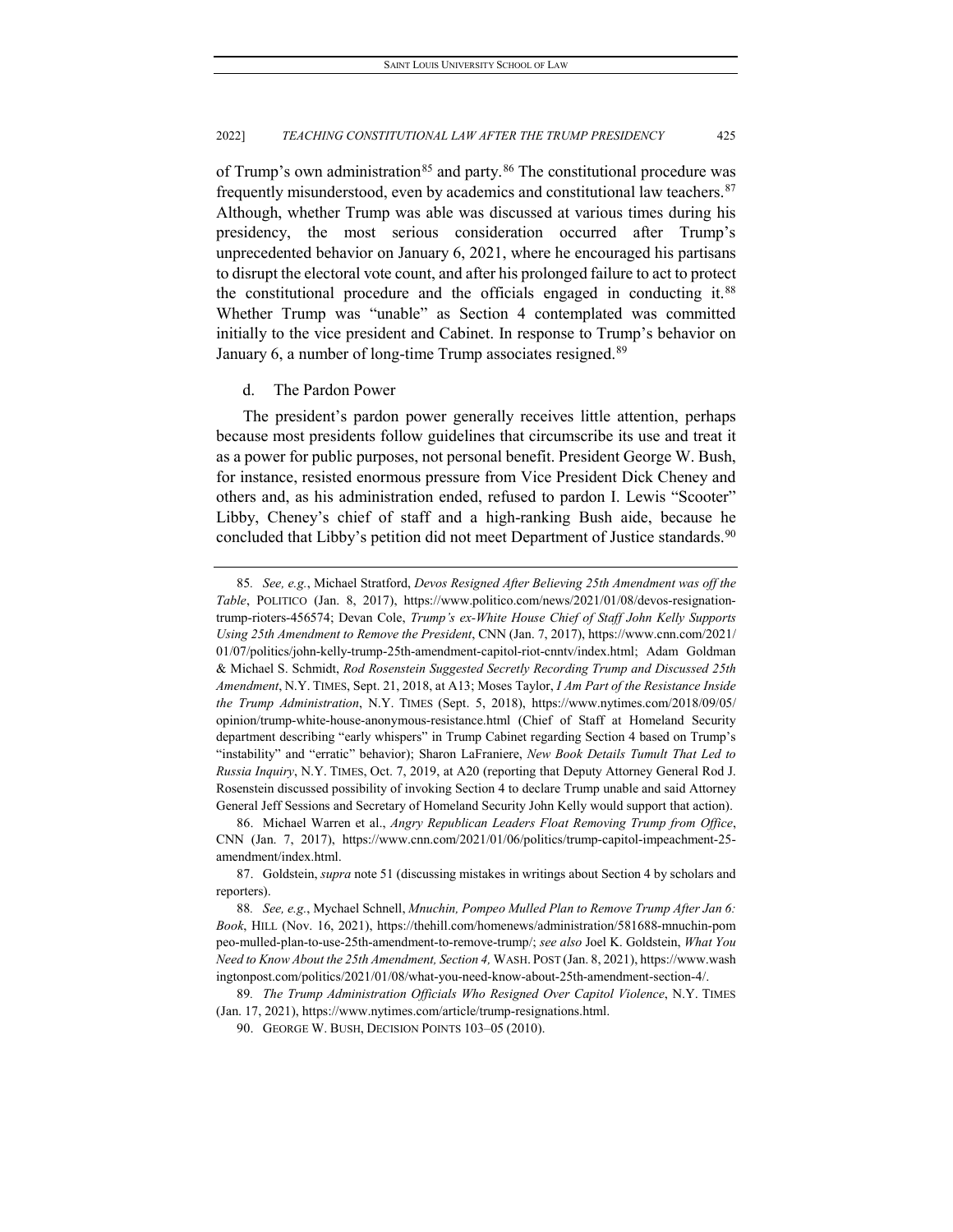of Trump's own administration<sup>[85](#page-17-0)</sup> and party.<sup>[86](#page-17-1)</sup> The constitutional procedure was frequently misunderstood, even by academics and constitutional law teachers.  $87$ Although, whether Trump was able was discussed at various times during his presidency, the most serious consideration occurred after Trump's unprecedented behavior on January 6, 2021, where he encouraged his partisans to disrupt the electoral vote count, and after his prolonged failure to act to protect the constitutional procedure and the officials engaged in conducting it.<sup>[88](#page-17-3)</sup> Whether Trump was "unable" as Section 4 contemplated was committed initially to the vice president and Cabinet. In response to Trump's behavior on January 6, a number of long-time Trump associates resigned.<sup>[89](#page-17-4)</sup>

# d. The Pardon Power

The president's pardon power generally receives little attention, perhaps because most presidents follow guidelines that circumscribe its use and treat it as a power for public purposes, not personal benefit. President George W. Bush, for instance, resisted enormous pressure from Vice President Dick Cheney and others and, as his administration ended, refused to pardon I. Lewis "Scooter" Libby, Cheney's chief of staff and a high-ranking Bush aide, because he concluded that Libby's petition did not meet Department of Justice standards.<sup>[90](#page-17-5)</sup>

<span id="page-17-0"></span><sup>85</sup>*. See, e.g.*, Michael Stratford, *Devos Resigned After Believing 25th Amendment was off the Table*, POLITICO (Jan. 8, 2017), https://www.politico.com/news/2021/01/08/devos-resignationtrump-rioters-456574; Devan Cole, *Trump's ex-White House Chief of Staff John Kelly Supports Using 25th Amendment to Remove the President*, CNN (Jan. 7, 2017), https://www.cnn.com/2021/ 01/07/politics/john-kelly-trump-25th-amendment-capitol-riot-cnntv/index.html; Adam Goldman & Michael S. Schmidt, *Rod Rosenstein Suggested Secretly Recording Trump and Discussed 25th Amendment*, N.Y. TIMES, Sept. 21, 2018, at A13; Moses Taylor, *I Am Part of the Resistance Inside the Trump Administration*, N.Y. TIMES (Sept. 5, 2018), https://www.nytimes.com/2018/09/05/ opinion/trump-white-house-anonymous-resistance.html (Chief of Staff at Homeland Security department describing "early whispers" in Trump Cabinet regarding Section 4 based on Trump's "instability" and "erratic" behavior); Sharon LaFraniere, *New Book Details Tumult That Led to Russia Inquiry*, N.Y. TIMES, Oct. 7, 2019, at A20 (reporting that Deputy Attorney General Rod J. Rosenstein discussed possibility of invoking Section 4 to declare Trump unable and said Attorney General Jeff Sessions and Secretary of Homeland Security John Kelly would support that action).

<span id="page-17-1"></span><sup>86.</sup> Michael Warren et al., *Angry Republican Leaders Float Removing Trump from Office*, CNN (Jan. 7, 2017), https://www.cnn.com/2021/01/06/politics/trump-capitol-impeachment-25 amendment/index.html.

<span id="page-17-2"></span><sup>87.</sup> Goldstein, *supra* note 51 (discussing mistakes in writings about Section 4 by scholars and reporters).

<span id="page-17-3"></span><sup>88</sup>*. See, e.g.*, Mychael Schnell, *Mnuchin, Pompeo Mulled Plan to Remove Trump After Jan 6: Book*, HILL (Nov. 16, 2021), https://thehill.com/homenews/administration/581688-mnuchin-pom peo-mulled-plan-to-use-25th-amendment-to-remove-trump/; *see also* Joel K. Goldstein, *What You Need to Know About the 25th Amendment, Section 4,* WASH. POST (Jan. 8, 2021), https://www.wash ingtonpost.com/politics/2021/01/08/what-you-need-know-about-25th-amendment-section-4/.

<span id="page-17-5"></span><span id="page-17-4"></span><sup>89</sup>*. The Trump Administration Officials Who Resigned Over Capitol Violence*, N.Y. TIMES (Jan. 17, 2021), https://www.nytimes.com/article/trump-resignations.html.

<sup>90.</sup> GEORGE W. BUSH, DECISION POINTS 103–05 (2010).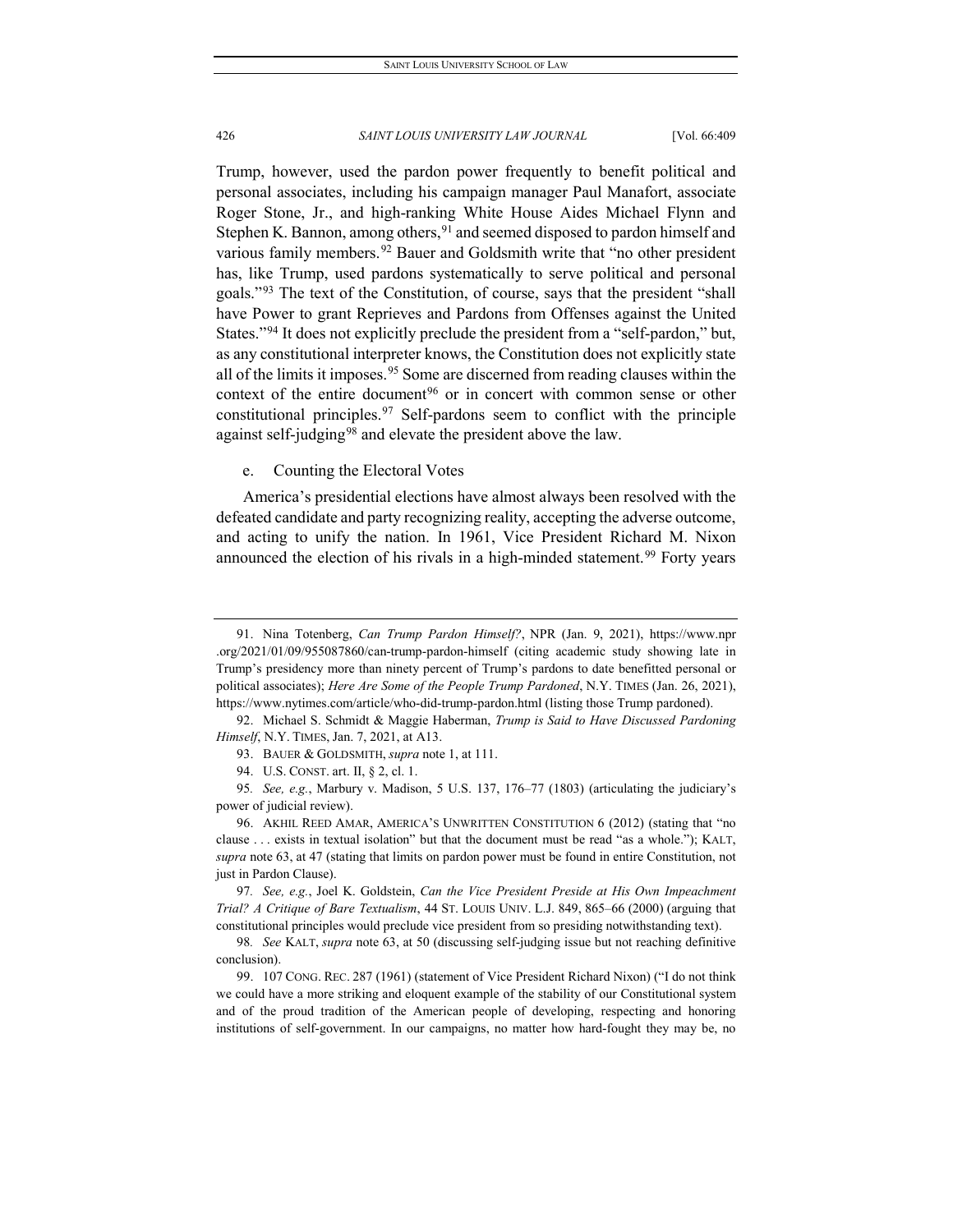Trump, however, used the pardon power frequently to benefit political and personal associates, including his campaign manager Paul Manafort, associate Roger Stone, Jr., and high-ranking White House Aides Michael Flynn and Stephen K. Bannon, among others,  $91$  and seemed disposed to pardon himself and various family members.<sup>[92](#page-18-1)</sup> Bauer and Goldsmith write that "no other president has, like Trump, used pardons systematically to serve political and personal goals."[93](#page-18-2) The text of the Constitution, of course, says that the president "shall have Power to grant Reprieves and Pardons from Offenses against the United States."[94](#page-18-3) It does not explicitly preclude the president from a "self-pardon," but, as any constitutional interpreter knows, the Constitution does not explicitly state all of the limits it imposes.<sup>[95](#page-18-4)</sup> Some are discerned from reading clauses within the context of the entire document<sup>[96](#page-18-5)</sup> or in concert with common sense or other constitutional principles.[97](#page-18-6) Self-pardons seem to conflict with the principle against self-judging<sup>[98](#page-18-7)</sup> and elevate the president above the law.

# e. Counting the Electoral Votes

America's presidential elections have almost always been resolved with the defeated candidate and party recognizing reality, accepting the adverse outcome, and acting to unify the nation. In 1961, Vice President Richard M. Nixon announced the election of his rivals in a high-minded statement.<sup>[99](#page-18-8)</sup> Forty years

<span id="page-18-0"></span><sup>91.</sup> Nina Totenberg, *Can Trump Pardon Himself?*, NPR (Jan. 9, 2021), https://www.npr .org/2021/01/09/955087860/can-trump-pardon-himself (citing academic study showing late in Trump's presidency more than ninety percent of Trump's pardons to date benefitted personal or political associates); *Here Are Some of the People Trump Pardoned*, N.Y. TIMES (Jan. 26, 2021), https://www.nytimes.com/article/who-did-trump-pardon.html (listing those Trump pardoned).

<span id="page-18-2"></span><span id="page-18-1"></span><sup>92.</sup> Michael S. Schmidt & Maggie Haberman, *Trump is Said to Have Discussed Pardoning Himself*, N.Y. TIMES, Jan. 7, 2021, at A13.

<sup>93.</sup> BAUER & GOLDSMITH, *supra* note 1, at 111.

<sup>94.</sup> U.S. CONST. art. II, § 2, cl. 1.

<span id="page-18-4"></span><span id="page-18-3"></span><sup>95</sup>*. See, e.g.*, Marbury v. Madison, 5 U.S. 137, 176–77 (1803) (articulating the judiciary's power of judicial review).

<span id="page-18-5"></span><sup>96.</sup> AKHIL REED AMAR, AMERICA'S UNWRITTEN CONSTITUTION 6 (2012) (stating that "no clause . . . exists in textual isolation" but that the document must be read "as a whole."); KALT, *supra* note 63, at 47 (stating that limits on pardon power must be found in entire Constitution, not just in Pardon Clause).

<span id="page-18-6"></span><sup>97</sup>*. See, e.g.*, Joel K. Goldstein, *Can the Vice President Preside at His Own Impeachment Trial? A Critique of Bare Textualism*, 44 ST. LOUIS UNIV. L.J. 849, 865–66 (2000) (arguing that constitutional principles would preclude vice president from so presiding notwithstanding text).

<span id="page-18-7"></span><sup>98</sup>*. See* KALT, *supra* note 63, at 50 (discussing self-judging issue but not reaching definitive conclusion).

<span id="page-18-8"></span><sup>99.</sup> 107 CONG. REC. 287 (1961) (statement of Vice President Richard Nixon) ("I do not think we could have a more striking and eloquent example of the stability of our Constitutional system and of the proud tradition of the American people of developing, respecting and honoring institutions of self-government. In our campaigns, no matter how hard-fought they may be, no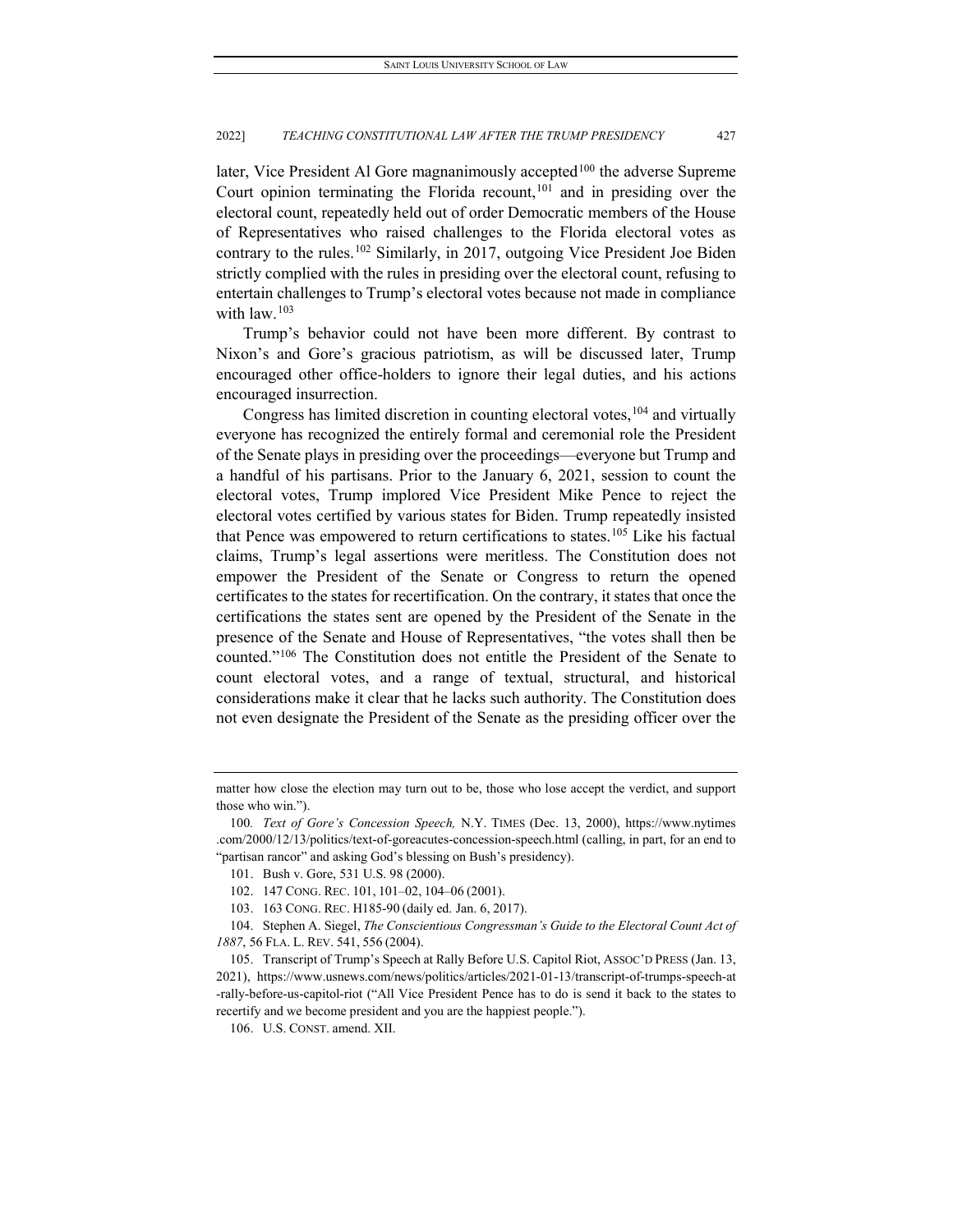later, Vice President Al Gore magnanimously accepted<sup>[100](#page-19-0)</sup> the adverse Supreme Court opinion terminating the Florida recount,  $101$  and in presiding over the electoral count, repeatedly held out of order Democratic members of the House of Representatives who raised challenges to the Florida electoral votes as contrary to the rules.<sup>[102](#page-19-2)</sup> Similarly, in 2017, outgoing Vice President Joe Biden strictly complied with the rules in presiding over the electoral count, refusing to entertain challenges to Trump's electoral votes because not made in compliance with  $law.<sup>103</sup>$  $law.<sup>103</sup>$  $law.<sup>103</sup>$ 

Trump's behavior could not have been more different. By contrast to Nixon's and Gore's gracious patriotism, as will be discussed later, Trump encouraged other office-holders to ignore their legal duties, and his actions encouraged insurrection.

Congress has limited discretion in counting electoral votes,  $104$  and virtually everyone has recognized the entirely formal and ceremonial role the President of the Senate plays in presiding over the proceedings—everyone but Trump and a handful of his partisans. Prior to the January 6, 2021, session to count the electoral votes, Trump implored Vice President Mike Pence to reject the electoral votes certified by various states for Biden. Trump repeatedly insisted that Pence was empowered to return certifications to states.<sup>[105](#page-19-5)</sup> Like his factual claims, Trump's legal assertions were meritless. The Constitution does not empower the President of the Senate or Congress to return the opened certificates to the states for recertification. On the contrary, it states that once the certifications the states sent are opened by the President of the Senate in the presence of the Senate and House of Representatives, "the votes shall then be counted."[106](#page-19-6) The Constitution does not entitle the President of the Senate to count electoral votes, and a range of textual, structural, and historical considerations make it clear that he lacks such authority. The Constitution does not even designate the President of the Senate as the presiding officer over the

matter how close the election may turn out to be, those who lose accept the verdict, and support those who win.").

<span id="page-19-1"></span><span id="page-19-0"></span><sup>100</sup>*. Text of Gore's Concession Speech,* N.Y. TIMES (Dec. 13, 2000), https://www.nytimes .com/2000/12/13/politics/text-of-goreacutes-concession-speech.html (calling, in part, for an end to "partisan rancor" and asking God's blessing on Bush's presidency).

<sup>101.</sup> Bush v. Gore, 531 U.S. 98 (2000).

<sup>102.</sup> 147 CONG. REC. 101, 101–02, 104–06 (2001).

<sup>103.</sup> 163 CONG. REC. H185-90 (daily ed. Jan. 6, 2017).

<span id="page-19-4"></span><span id="page-19-3"></span><span id="page-19-2"></span><sup>104.</sup> Stephen A. Siegel, *The Conscientious Congressman's Guide to the Electoral Count Act of 1887*, 56 FLA. L. REV. 541, 556 (2004).

<span id="page-19-6"></span><span id="page-19-5"></span><sup>105.</sup> Transcript of Trump's Speech at Rally Before U.S. Capitol Riot, ASSOC'D PRESS (Jan. 13, 2021), https://www.usnews.com/news/politics/articles/2021-01-13/transcript-of-trumps-speech-at -rally-before-us-capitol-riot ("All Vice President Pence has to do is send it back to the states to recertify and we become president and you are the happiest people.").

<sup>106.</sup> U.S. CONST. amend. XII.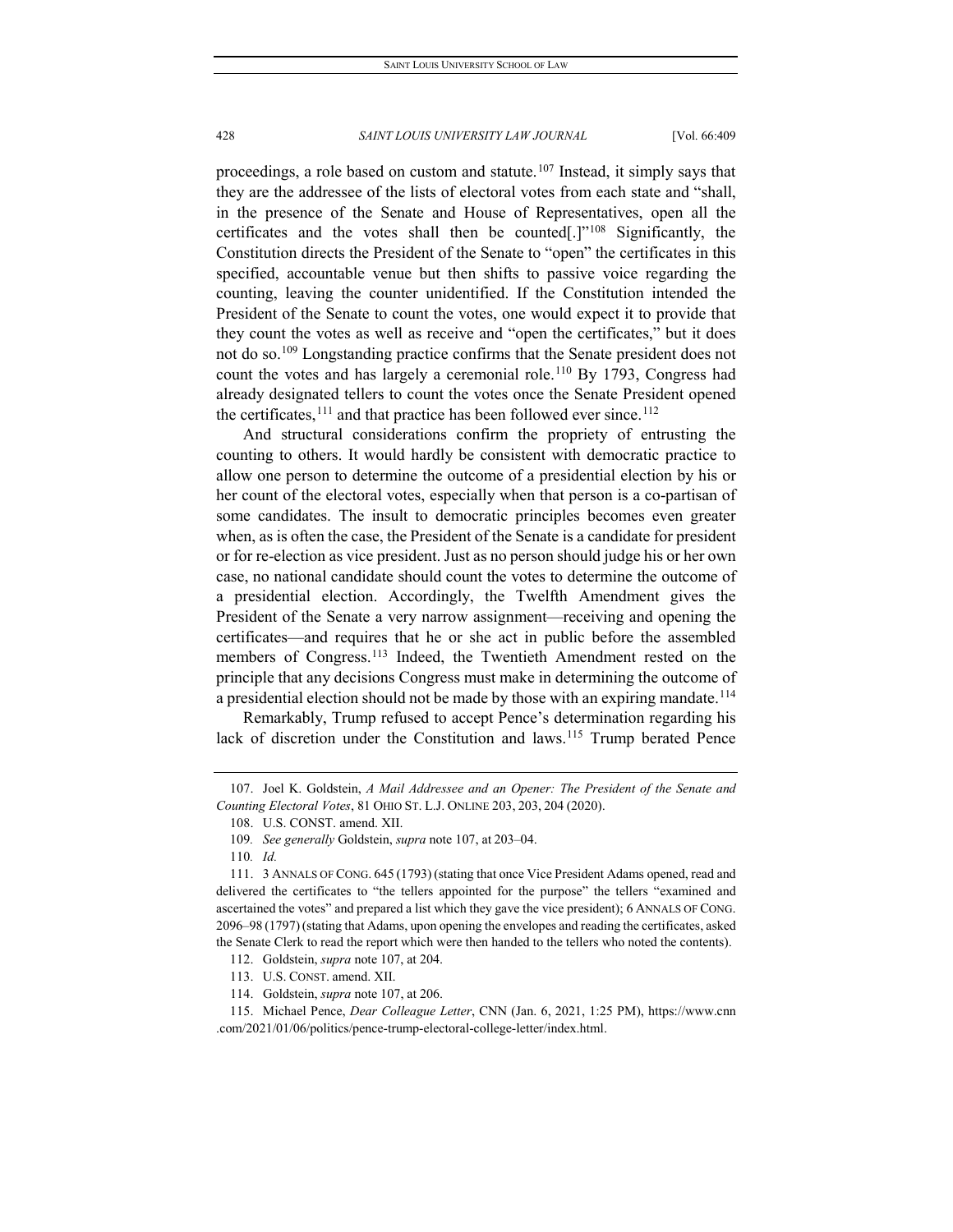proceedings, a role based on custom and statute.<sup>[107](#page-20-0)</sup> Instead, it simply says that they are the addressee of the lists of electoral votes from each state and "shall, in the presence of the Senate and House of Representatives, open all the certificates and the votes shall then be counted[.] $"108$  $"108$  Significantly, the Constitution directs the President of the Senate to "open" the certificates in this specified, accountable venue but then shifts to passive voice regarding the counting, leaving the counter unidentified. If the Constitution intended the President of the Senate to count the votes, one would expect it to provide that they count the votes as well as receive and "open the certificates," but it does not do so.<sup>[109](#page-20-2)</sup> Longstanding practice confirms that the Senate president does not count the votes and has largely a ceremonial role.<sup>[110](#page-20-3)</sup> By 1793, Congress had already designated tellers to count the votes once the Senate President opened the certificates,  $^{111}$  $^{111}$  $^{111}$  and that practice has been followed ever since.<sup>[112](#page-20-5)</sup>

And structural considerations confirm the propriety of entrusting the counting to others. It would hardly be consistent with democratic practice to allow one person to determine the outcome of a presidential election by his or her count of the electoral votes, especially when that person is a co-partisan of some candidates. The insult to democratic principles becomes even greater when, as is often the case, the President of the Senate is a candidate for president or for re-election as vice president. Just as no person should judge his or her own case, no national candidate should count the votes to determine the outcome of a presidential election. Accordingly, the Twelfth Amendment gives the President of the Senate a very narrow assignment—receiving and opening the certificates—and requires that he or she act in public before the assembled members of Congress.<sup>[113](#page-20-6)</sup> Indeed, the Twentieth Amendment rested on the principle that any decisions Congress must make in determining the outcome of a presidential election should not be made by those with an expiring mandate.<sup>114</sup>

Remarkably, Trump refused to accept Pence's determination regarding his lack of discretion under the Constitution and laws.<sup>[115](#page-20-8)</sup> Trump berated Pence

<span id="page-20-1"></span><span id="page-20-0"></span><sup>107.</sup> Joel K. Goldstein, *A Mail Addressee and an Opener: The President of the Senate and Counting Electoral Votes*, 81 OHIO ST. L.J. ONLINE 203, 203, 204 (2020).

<sup>108.</sup> U.S. CONST. amend. XII.

<sup>109</sup>*. See generally* Goldstein, *supra* note 107, at 203–04.

<sup>110</sup>*. Id.*

<span id="page-20-4"></span><span id="page-20-3"></span><span id="page-20-2"></span><sup>111.</sup> 3 ANNALS OF CONG. 645 (1793) (stating that once Vice President Adams opened, read and delivered the certificates to "the tellers appointed for the purpose" the tellers "examined and ascertained the votes" and prepared a list which they gave the vice president); 6 ANNALS OF CONG. 2096–98 (1797) (stating that Adams, upon opening the envelopes and reading the certificates, asked the Senate Clerk to read the report which were then handed to the tellers who noted the contents).

<sup>112.</sup> Goldstein, *supra* note 107, at 204.

<sup>113.</sup> U.S. CONST. amend. XII.

<sup>114.</sup> Goldstein, *supra* note 107, at 206.

<span id="page-20-8"></span><span id="page-20-7"></span><span id="page-20-6"></span><span id="page-20-5"></span><sup>115.</sup> Michael Pence, *Dear Colleague Letter*, CNN (Jan. 6, 2021, 1:25 PM), https://www.cnn .com/2021/01/06/politics/pence-trump-electoral-college-letter/index.html.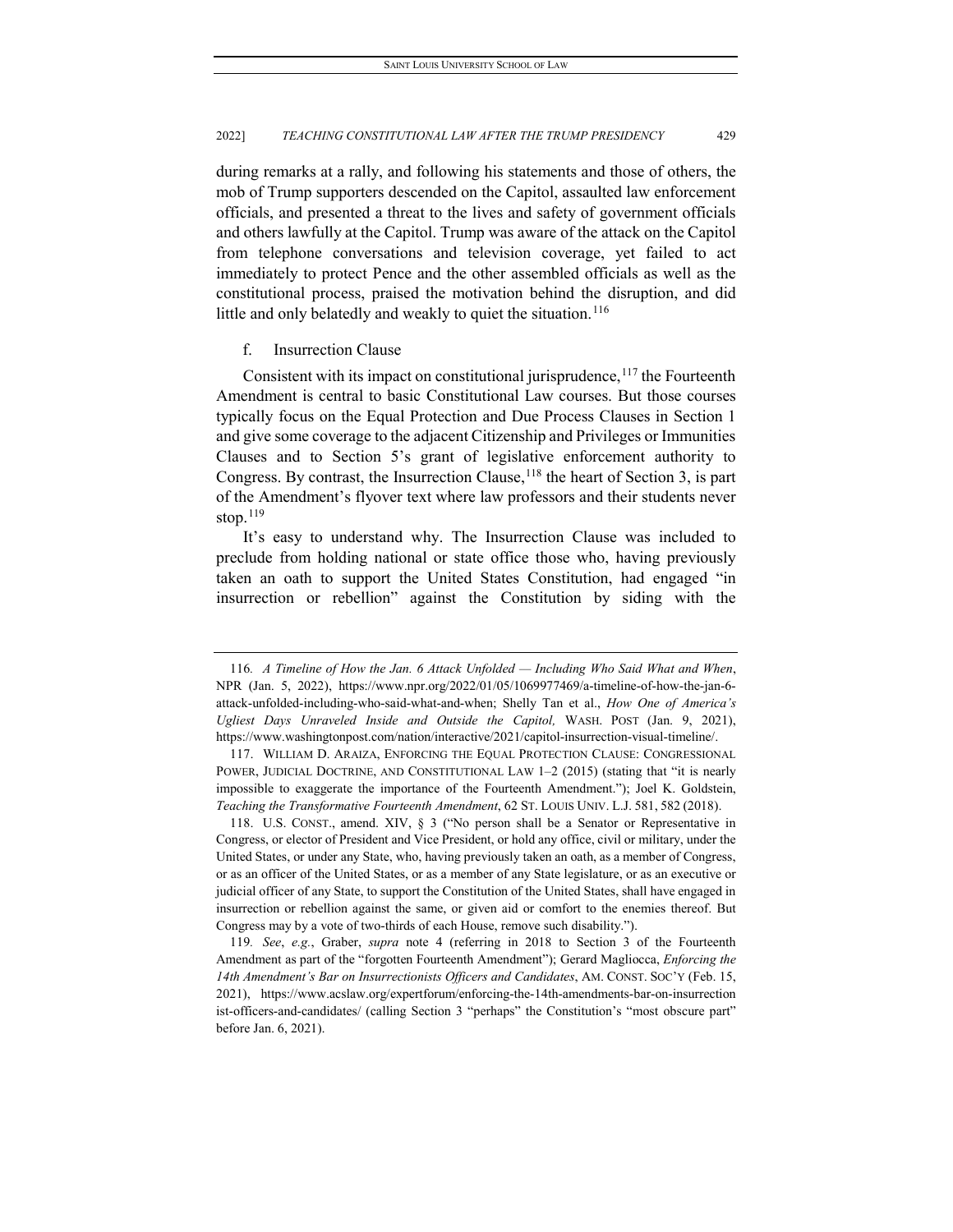during remarks at a rally, and following his statements and those of others, the mob of Trump supporters descended on the Capitol, assaulted law enforcement officials, and presented a threat to the lives and safety of government officials and others lawfully at the Capitol. Trump was aware of the attack on the Capitol from telephone conversations and television coverage, yet failed to act immediately to protect Pence and the other assembled officials as well as the constitutional process, praised the motivation behind the disruption, and did little and only belatedly and weakly to quiet the situation.<sup>[116](#page-21-0)</sup>

# f. Insurrection Clause

Consistent with its impact on constitutional jurisprudence,  $117$  the Fourteenth Amendment is central to basic Constitutional Law courses. But those courses typically focus on the Equal Protection and Due Process Clauses in Section 1 and give some coverage to the adjacent Citizenship and Privileges or Immunities Clauses and to Section 5's grant of legislative enforcement authority to Congress. By contrast, the Insurrection Clause,  $^{118}$  $^{118}$  $^{118}$  the heart of Section 3, is part of the Amendment's flyover text where law professors and their students never stop. $119$ 

It's easy to understand why. The Insurrection Clause was included to preclude from holding national or state office those who, having previously taken an oath to support the United States Constitution, had engaged "in insurrection or rebellion" against the Constitution by siding with the

<span id="page-21-0"></span><sup>116</sup>*. A Timeline of How the Jan. 6 Attack Unfolded — Including Who Said What and When*, NPR (Jan. 5, 2022), https://www.npr.org/2022/01/05/1069977469/a-timeline-of-how-the-jan-6 attack-unfolded-including-who-said-what-and-when; Shelly Tan et al., *How One of America's Ugliest Days Unraveled Inside and Outside the Capitol,* WASH. POST (Jan. 9, 2021), https://www.washingtonpost.com/nation/interactive/2021/capitol-insurrection-visual-timeline/.

<span id="page-21-1"></span><sup>117.</sup> WILLIAM D. ARAIZA, ENFORCING THE EQUAL PROTECTION CLAUSE: CONGRESSIONAL POWER, JUDICIAL DOCTRINE, AND CONSTITUTIONAL LAW 1-2 (2015) (stating that "it is nearly impossible to exaggerate the importance of the Fourteenth Amendment."); Joel K. Goldstein, *Teaching the Transformative Fourteenth Amendment*, 62 ST. LOUIS UNIV. L.J. 581, 582 (2018).

<span id="page-21-2"></span><sup>118.</sup> U.S. CONST., amend. XIV, § 3 ("No person shall be a Senator or Representative in Congress, or elector of President and Vice President, or hold any office, civil or military, under the United States, or under any State, who, having previously taken an oath, as a member of Congress, or as an officer of the United States, or as a member of any State legislature, or as an executive or judicial officer of any State, to support the Constitution of the United States, shall have engaged in insurrection or rebellion against the same, or given aid or comfort to the enemies thereof. But Congress may by a vote of two-thirds of each House, remove such disability.").

<span id="page-21-3"></span><sup>119</sup>*. See*, *e.g.*, Graber, *supra* note 4 (referring in 2018 to Section 3 of the Fourteenth Amendment as part of the "forgotten Fourteenth Amendment"); Gerard Magliocca, *Enforcing the 14th Amendment's Bar on Insurrectionists Officers and Candidates*, AM. CONST. SOC'Y (Feb. 15, 2021), https://www.acslaw.org/expertforum/enforcing-the-14th-amendments-bar-on-insurrection ist-officers-and-candidates/ (calling Section 3 "perhaps" the Constitution's "most obscure part" before Jan. 6, 2021).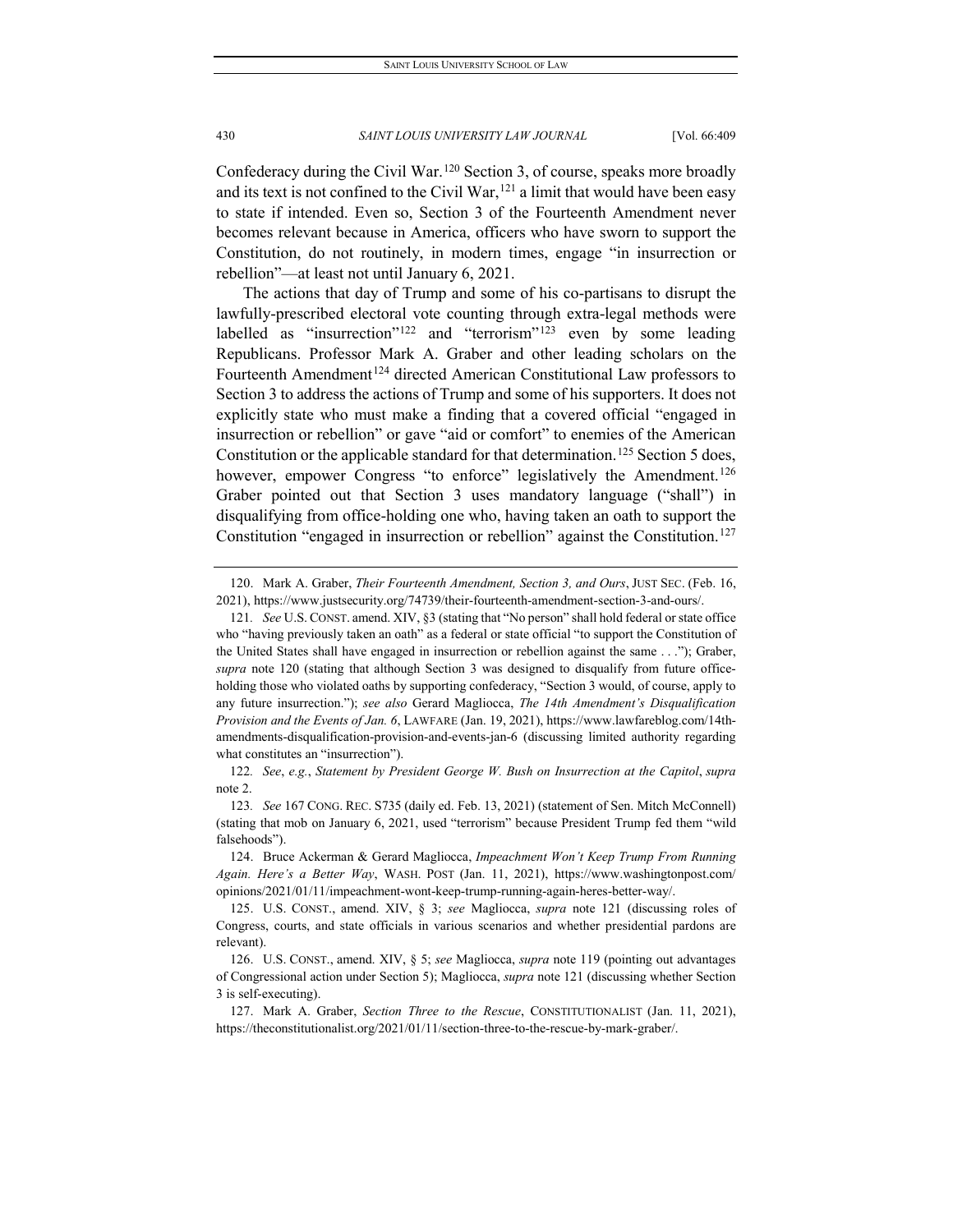Confederacy during the Civil War.[120](#page-22-0) Section 3, of course, speaks more broadly and its text is not confined to the Civil War,  $^{121}$  $^{121}$  $^{121}$  a limit that would have been easy to state if intended. Even so, Section 3 of the Fourteenth Amendment never becomes relevant because in America, officers who have sworn to support the Constitution, do not routinely, in modern times, engage "in insurrection or rebellion"—at least not until January 6, 2021.

The actions that day of Trump and some of his co-partisans to disrupt the lawfully-prescribed electoral vote counting through extra-legal methods were labelled as "insurrection"<sup>[122](#page-22-2)</sup> and "terrorism"<sup>[123](#page-22-3)</sup> even by some leading Republicans. Professor Mark A. Graber and other leading scholars on the Fourteenth Amendment<sup>[124](#page-22-4)</sup> directed American Constitutional Law professors to Section 3 to address the actions of Trump and some of his supporters. It does not explicitly state who must make a finding that a covered official "engaged in insurrection or rebellion" or gave "aid or comfort" to enemies of the American Constitution or the applicable standard for that determination.<sup>[125](#page-22-5)</sup> Section 5 does, however, empower Congress "to enforce" legislatively the Amendment.<sup>[126](#page-22-6)</sup> Graber pointed out that Section 3 uses mandatory language ("shall") in disqualifying from office-holding one who, having taken an oath to support the Constitution "engaged in insurrection or rebellion" against the Constitution.<sup>[127](#page-22-7)</sup>

<span id="page-22-2"></span>122*. See*, *e.g.*, *Statement by President George W. Bush on Insurrection at the Capitol*, *supra* note 2.

<span id="page-22-0"></span><sup>120.</sup> Mark A. Graber, *Their Fourteenth Amendment, Section 3, and Ours*, JUST SEC. (Feb. 16, 2021), https://www.justsecurity.org/74739/their-fourteenth-amendment-section-3-and-ours/.

<span id="page-22-1"></span><sup>121</sup>*. See* U.S. CONST. amend. XIV, §3 (stating that "No person" shall hold federal or state office who "having previously taken an oath" as a federal or state official "to support the Constitution of the United States shall have engaged in insurrection or rebellion against the same . . ."); Graber, *supra* note 120 (stating that although Section 3 was designed to disqualify from future officeholding those who violated oaths by supporting confederacy, "Section 3 would, of course, apply to any future insurrection."); *see also* Gerard Magliocca, *The 14th Amendment's Disqualification Provision and the Events of Jan. 6*, LAWFARE (Jan. 19, 2021), https://www.lawfareblog.com/14thamendments-disqualification-provision-and-events-jan-6 (discussing limited authority regarding what constitutes an "insurrection").

<span id="page-22-3"></span><sup>123</sup>*. See* 167 CONG. REC. S735 (daily ed. Feb. 13, 2021) (statement of Sen. Mitch McConnell) (stating that mob on January 6, 2021, used "terrorism" because President Trump fed them "wild falsehoods").

<span id="page-22-4"></span><sup>124.</sup> Bruce Ackerman & Gerard Magliocca, *Impeachment Won't Keep Trump From Running Again. Here's a Better Way*, WASH. POST (Jan. 11, 2021), https://www.washingtonpost.com/ opinions/2021/01/11/impeachment-wont-keep-trump-running-again-heres-better-way/.

<span id="page-22-5"></span><sup>125.</sup> U.S. CONST., amend. XIV, § 3; *see* Magliocca, *supra* note 121 (discussing roles of Congress, courts, and state officials in various scenarios and whether presidential pardons are relevant).

<span id="page-22-6"></span><sup>126.</sup> U.S. CONST., amend. XIV, § 5; *see* Magliocca, *supra* note 119 (pointing out advantages of Congressional action under Section 5); Magliocca, *supra* note 121 (discussing whether Section 3 is self-executing).

<span id="page-22-7"></span><sup>127.</sup> Mark A. Graber, *Section Three to the Rescue*, CONSTITUTIONALIST (Jan. 11, 2021), https://theconstitutionalist.org/2021/01/11/section-three-to-the-rescue-by-mark-graber/.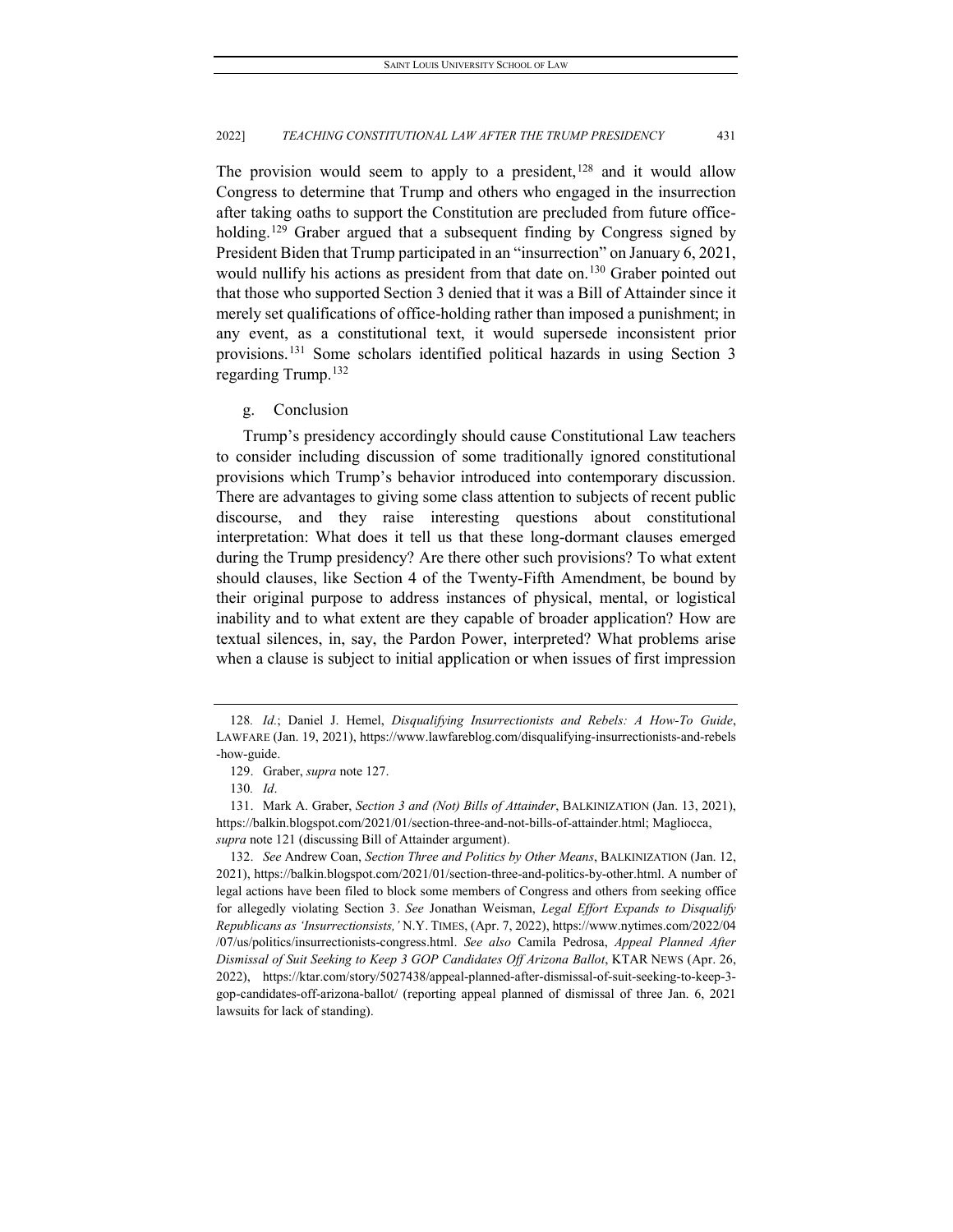The provision would seem to apply to a president,<sup>[128](#page-23-0)</sup> and it would allow Congress to determine that Trump and others who engaged in the insurrection after taking oaths to support the Constitution are precluded from future office-holding.<sup>[129](#page-23-1)</sup> Graber argued that a subsequent finding by Congress signed by President Biden that Trump participated in an "insurrection" on January 6, 2021, would nullify his actions as president from that date on.<sup>[130](#page-23-2)</sup> Graber pointed out that those who supported Section 3 denied that it was a Bill of Attainder since it merely set qualifications of office-holding rather than imposed a punishment; in any event, as a constitutional text, it would supersede inconsistent prior provisions.[131](#page-23-3) Some scholars identified political hazards in using Section 3 regarding Trump. [132](#page-23-4)

# g. Conclusion

Trump's presidency accordingly should cause Constitutional Law teachers to consider including discussion of some traditionally ignored constitutional provisions which Trump's behavior introduced into contemporary discussion. There are advantages to giving some class attention to subjects of recent public discourse, and they raise interesting questions about constitutional interpretation: What does it tell us that these long-dormant clauses emerged during the Trump presidency? Are there other such provisions? To what extent should clauses, like Section 4 of the Twenty-Fifth Amendment, be bound by their original purpose to address instances of physical, mental, or logistical inability and to what extent are they capable of broader application? How are textual silences, in, say, the Pardon Power, interpreted? What problems arise when a clause is subject to initial application or when issues of first impression

<span id="page-23-0"></span><sup>128</sup>*. Id.*; Daniel J. Hemel, *Disqualifying Insurrectionists and Rebels: A How-To Guide*, LAWFARE (Jan. 19, 2021), https://www.lawfareblog.com/disqualifying-insurrectionists-and-rebels -how-guide.

<sup>129.</sup> Graber, *supra* note 127.

<sup>130</sup>*. Id*.

<span id="page-23-3"></span><span id="page-23-2"></span><span id="page-23-1"></span><sup>131.</sup> Mark A. Graber, *Section 3 and (Not) Bills of Attainder*, BALKINIZATION (Jan. 13, 2021), https://balkin.blogspot.com/2021/01/section-three-and-not-bills-of-attainder.html; Magliocca, *supra* note 121 (discussing Bill of Attainder argument).

<span id="page-23-4"></span><sup>132.</sup> *See* Andrew Coan, *Section Three and Politics by Other Means*, BALKINIZATION (Jan. 12, 2021), https://balkin.blogspot.com/2021/01/section-three-and-politics-by-other.html. A number of legal actions have been filed to block some members of Congress and others from seeking office for allegedly violating Section 3. *See* Jonathan Weisman, *Legal Effort Expands to Disqualify Republicans as 'Insurrectionsists,'* N.Y. TIMES, (Apr. 7, 2022), https://www.nytimes.com/2022/04 /07/us/politics/insurrectionists-congress.html. *See also* Camila Pedrosa, *Appeal Planned After Dismissal of Suit Seeking to Keep 3 GOP Candidates Off Arizona Ballot*, KTAR NEWS (Apr. 26, 2022), https://ktar.com/story/5027438/appeal-planned-after-dismissal-of-suit-seeking-to-keep-3 gop-candidates-off-arizona-ballot/ (reporting appeal planned of dismissal of three Jan. 6, 2021 lawsuits for lack of standing).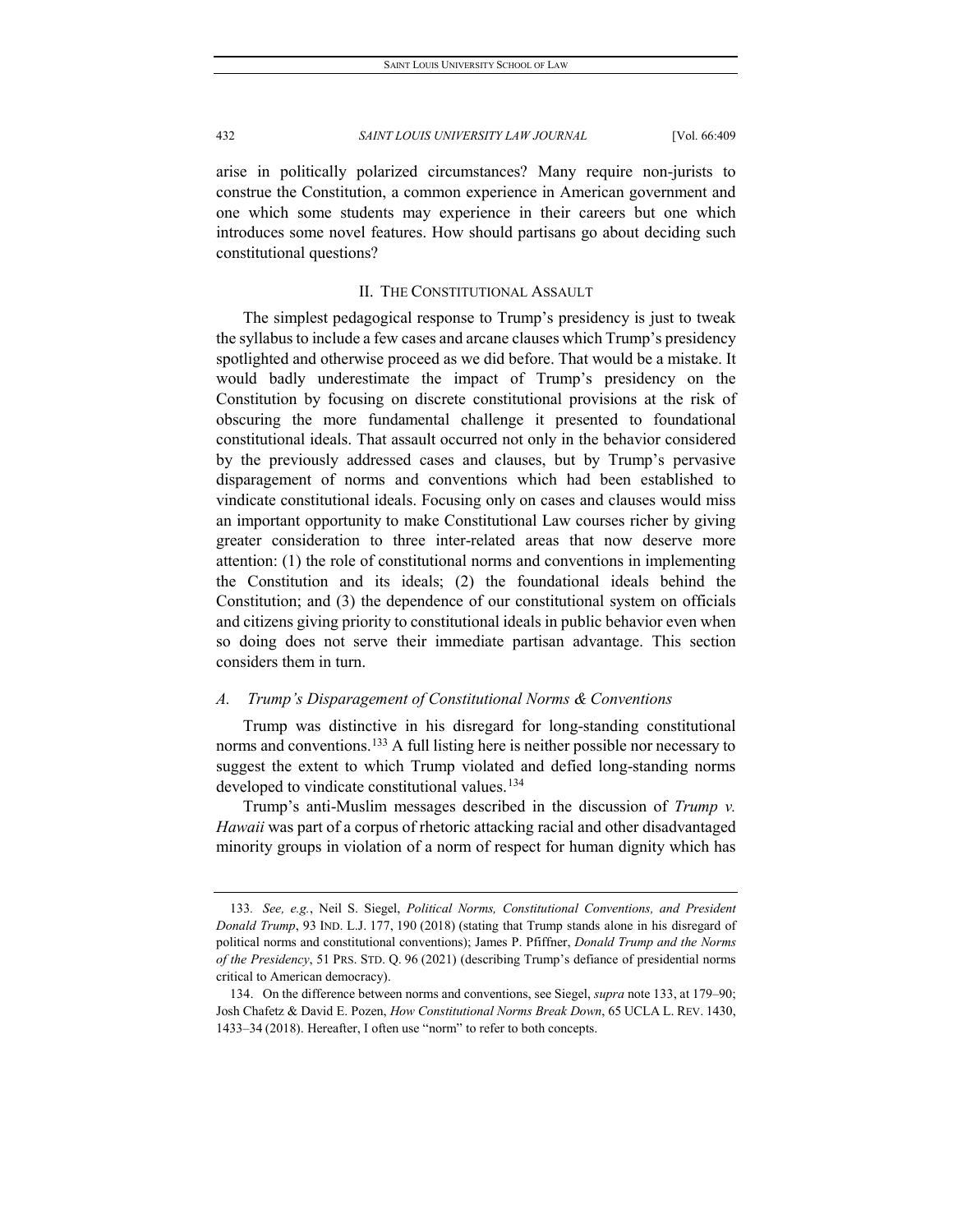arise in politically polarized circumstances? Many require non-jurists to construe the Constitution, a common experience in American government and one which some students may experience in their careers but one which introduces some novel features. How should partisans go about deciding such constitutional questions?

# II. THE CONSTITUTIONAL ASSAULT

The simplest pedagogical response to Trump's presidency is just to tweak the syllabus to include a few cases and arcane clauses which Trump's presidency spotlighted and otherwise proceed as we did before. That would be a mistake. It would badly underestimate the impact of Trump's presidency on the Constitution by focusing on discrete constitutional provisions at the risk of obscuring the more fundamental challenge it presented to foundational constitutional ideals. That assault occurred not only in the behavior considered by the previously addressed cases and clauses, but by Trump's pervasive disparagement of norms and conventions which had been established to vindicate constitutional ideals. Focusing only on cases and clauses would miss an important opportunity to make Constitutional Law courses richer by giving greater consideration to three inter-related areas that now deserve more attention: (1) the role of constitutional norms and conventions in implementing the Constitution and its ideals; (2) the foundational ideals behind the Constitution; and (3) the dependence of our constitutional system on officials and citizens giving priority to constitutional ideals in public behavior even when so doing does not serve their immediate partisan advantage. This section considers them in turn.

# *A. Trump's Disparagement of Constitutional Norms & Conventions*

Trump was distinctive in his disregard for long-standing constitutional norms and conventions.<sup>[133](#page-24-0)</sup> A full listing here is neither possible nor necessary to suggest the extent to which Trump violated and defied long-standing norms developed to vindicate constitutional values.<sup>[134](#page-24-1)</sup>

Trump's anti-Muslim messages described in the discussion of *Trump v. Hawaii* was part of a corpus of rhetoric attacking racial and other disadvantaged minority groups in violation of a norm of respect for human dignity which has

<span id="page-24-0"></span><sup>133</sup>*. See, e.g.*, Neil S. Siegel, *Political Norms, Constitutional Conventions, and President Donald Trump*, 93 IND. L.J. 177, 190 (2018) (stating that Trump stands alone in his disregard of political norms and constitutional conventions); James P. Pfiffner, *Donald Trump and the Norms of the Presidency*, 51 PRS. STD. Q. 96 (2021) (describing Trump's defiance of presidential norms critical to American democracy).

<span id="page-24-1"></span><sup>134.</sup> On the difference between norms and conventions, see Siegel, *supra* note 133, at 179–90; Josh Chafetz & David E. Pozen, *How Constitutional Norms Break Down*, 65 UCLA L. REV. 1430, 1433–34 (2018). Hereafter, I often use "norm" to refer to both concepts.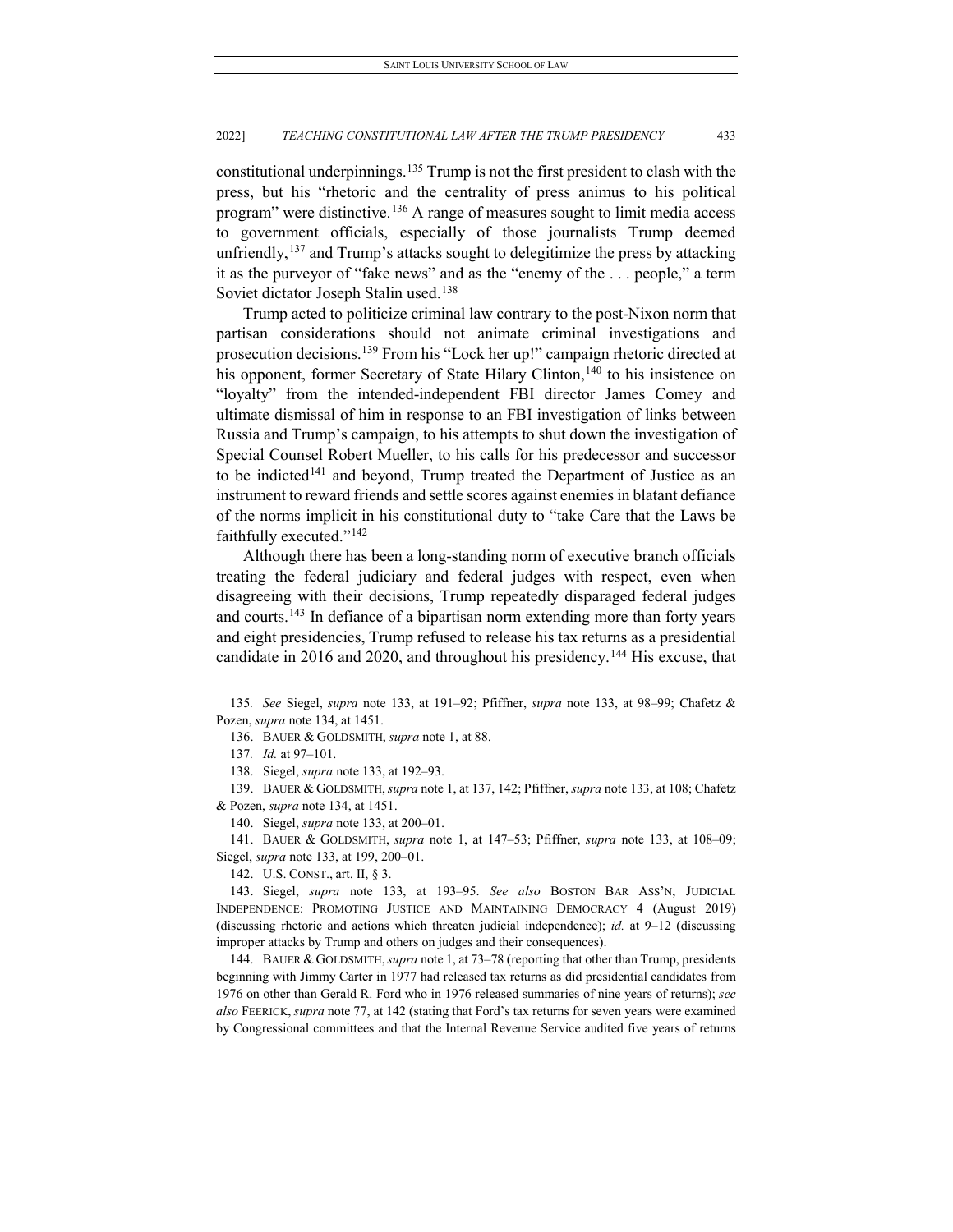constitutional underpinnings.[135](#page-25-0) Trump is not the first president to clash with the press, but his "rhetoric and the centrality of press animus to his political program" were distinctive.<sup>[136](#page-25-1)</sup> A range of measures sought to limit media access to government officials, especially of those journalists Trump deemed unfriendly,  $137$  and Trump's attacks sought to delegitimize the press by attacking it as the purveyor of "fake news" and as the "enemy of the . . . people," a term Soviet dictator Joseph Stalin used.[138](#page-25-3)

Trump acted to politicize criminal law contrary to the post-Nixon norm that partisan considerations should not animate criminal investigations and prosecution decisions.[139](#page-25-4) From his "Lock her up!" campaign rhetoric directed at his opponent, former Secretary of State Hilary Clinton,<sup>[140](#page-25-5)</sup> to his insistence on "loyalty" from the intended-independent FBI director James Comey and ultimate dismissal of him in response to an FBI investigation of links between Russia and Trump's campaign, to his attempts to shut down the investigation of Special Counsel Robert Mueller, to his calls for his predecessor and successor to be indicted<sup>[141](#page-25-6)</sup> and beyond, Trump treated the Department of Justice as an instrument to reward friends and settle scores against enemies in blatant defiance of the norms implicit in his constitutional duty to "take Care that the Laws be faithfully executed."[142](#page-25-7)

Although there has been a long-standing norm of executive branch officials treating the federal judiciary and federal judges with respect, even when disagreeing with their decisions, Trump repeatedly disparaged federal judges and courts.<sup>[143](#page-25-8)</sup> In defiance of a bipartisan norm extending more than forty years and eight presidencies, Trump refused to release his tax returns as a presidential candidate in 2016 and 2020, and throughout his presidency.<sup>[144](#page-25-9)</sup> His excuse, that

<span id="page-25-4"></span><span id="page-25-3"></span><span id="page-25-2"></span>139. BAUER & GOLDSMITH,*supra* note 1, at 137, 142; Pfiffner, *supra* note 133, at 108; Chafetz & Pozen, *supra* note 134, at 1451.

140. Siegel, *supra* note 133, at 200–01.

<span id="page-25-6"></span><span id="page-25-5"></span>141. BAUER & GOLDSMITH, *supra* note 1, at 147–53; Pfiffner, *supra* note 133, at 108–09; Siegel, *supra* note 133, at 199, 200–01.

142. U.S. CONST., art. II, § 3.

<span id="page-25-9"></span>144. BAUER & GOLDSMITH,*supra* note 1, at 73–78 (reporting that other than Trump, presidents beginning with Jimmy Carter in 1977 had released tax returns as did presidential candidates from 1976 on other than Gerald R. Ford who in 1976 released summaries of nine years of returns); *see also* FEERICK, *supra* note 77, at 142 (stating that Ford's tax returns for seven years were examined by Congressional committees and that the Internal Revenue Service audited five years of returns

<span id="page-25-1"></span><span id="page-25-0"></span><sup>135</sup>*. See* Siegel, *supra* note 133, at 191–92; Pfiffner, *supra* note 133, at 98–99; Chafetz & Pozen, *supra* note 134, at 1451.

<sup>136.</sup> BAUER & GOLDSMITH, *supra* note 1, at 88.

<sup>137</sup>*. Id.* at 97–101.

<sup>138.</sup> Siegel, *supra* note 133, at 192–93.

<span id="page-25-8"></span><span id="page-25-7"></span><sup>143.</sup> Siegel, *supra* note 133, at 193–95. *See also* BOSTON BAR ASS'N, JUDICIAL INDEPENDENCE: PROMOTING JUSTICE AND MAINTAINING DEMOCRACY 4 (August 2019) (discussing rhetoric and actions which threaten judicial independence); *id.* at 9–12 (discussing improper attacks by Trump and others on judges and their consequences).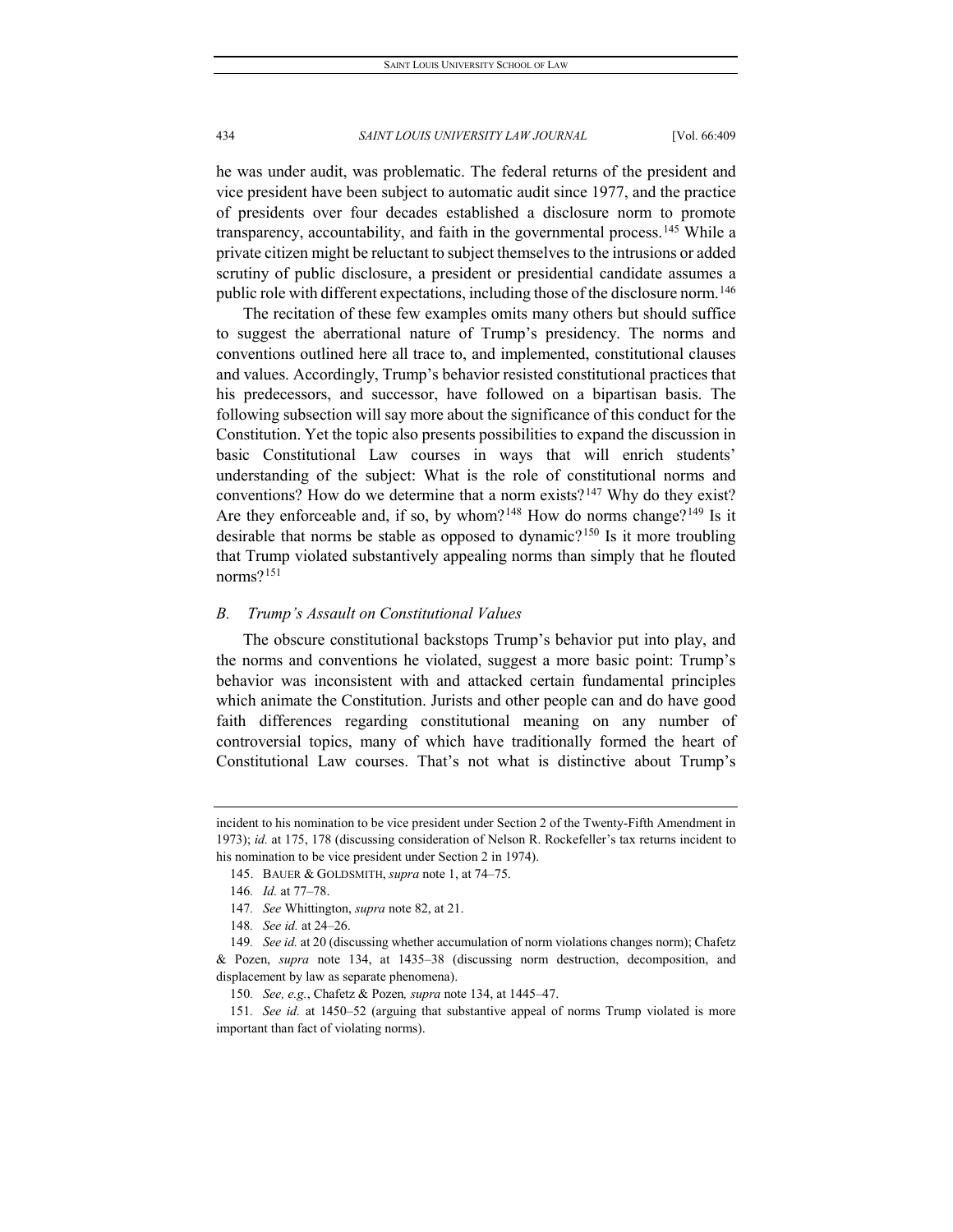he was under audit, was problematic. The federal returns of the president and vice president have been subject to automatic audit since 1977, and the practice of presidents over four decades established a disclosure norm to promote transparency, accountability, and faith in the governmental process.<sup>[145](#page-26-0)</sup> While a private citizen might be reluctant to subject themselves to the intrusions or added scrutiny of public disclosure, a president or presidential candidate assumes a public role with different expectations, including those of the disclosure norm.[146](#page-26-1)

The recitation of these few examples omits many others but should suffice to suggest the aberrational nature of Trump's presidency. The norms and conventions outlined here all trace to, and implemented, constitutional clauses and values. Accordingly, Trump's behavior resisted constitutional practices that his predecessors, and successor, have followed on a bipartisan basis. The following subsection will say more about the significance of this conduct for the Constitution. Yet the topic also presents possibilities to expand the discussion in basic Constitutional Law courses in ways that will enrich students' understanding of the subject: What is the role of constitutional norms and conventions? How do we determine that a norm exists?<sup>[147](#page-26-2)</sup> Why do they exist? Are they enforceable and, if so, by whom?<sup>[148](#page-26-3)</sup> How do norms change?<sup>[149](#page-26-4)</sup> Is it desirable that norms be stable as opposed to dynamic?[150](#page-26-5) Is it more troubling that Trump violated substantively appealing norms than simply that he flouted norms?[151](#page-26-6)

#### *B. Trump's Assault on Constitutional Values*

The obscure constitutional backstops Trump's behavior put into play, and the norms and conventions he violated, suggest a more basic point: Trump's behavior was inconsistent with and attacked certain fundamental principles which animate the Constitution. Jurists and other people can and do have good faith differences regarding constitutional meaning on any number of controversial topics, many of which have traditionally formed the heart of Constitutional Law courses. That's not what is distinctive about Trump's

<span id="page-26-0"></span>incident to his nomination to be vice president under Section 2 of the Twenty-Fifth Amendment in 1973); *id.* at 175, 178 (discussing consideration of Nelson R. Rockefeller's tax returns incident to his nomination to be vice president under Section 2 in 1974).

<sup>145.</sup> BAUER & GOLDSMITH, *supra* note 1, at 74–75.

<sup>146</sup>*. Id.* at 77–78.

<sup>147</sup>*. See* Whittington, *supra* note 82, at 21.

<sup>148</sup>*. See id.* at 24–26.

<span id="page-26-4"></span><span id="page-26-3"></span><span id="page-26-2"></span><span id="page-26-1"></span><sup>149</sup>*. See id.* at 20 (discussing whether accumulation of norm violations changes norm); Chafetz & Pozen, *supra* note 134, at 1435–38 (discussing norm destruction, decomposition, and displacement by law as separate phenomena).

<sup>150</sup>*. See, e.g.*, Chafetz & Pozen*, supra* note 134, at 1445–47.

<span id="page-26-6"></span><span id="page-26-5"></span><sup>151</sup>*. See id.* at 1450–52 (arguing that substantive appeal of norms Trump violated is more important than fact of violating norms).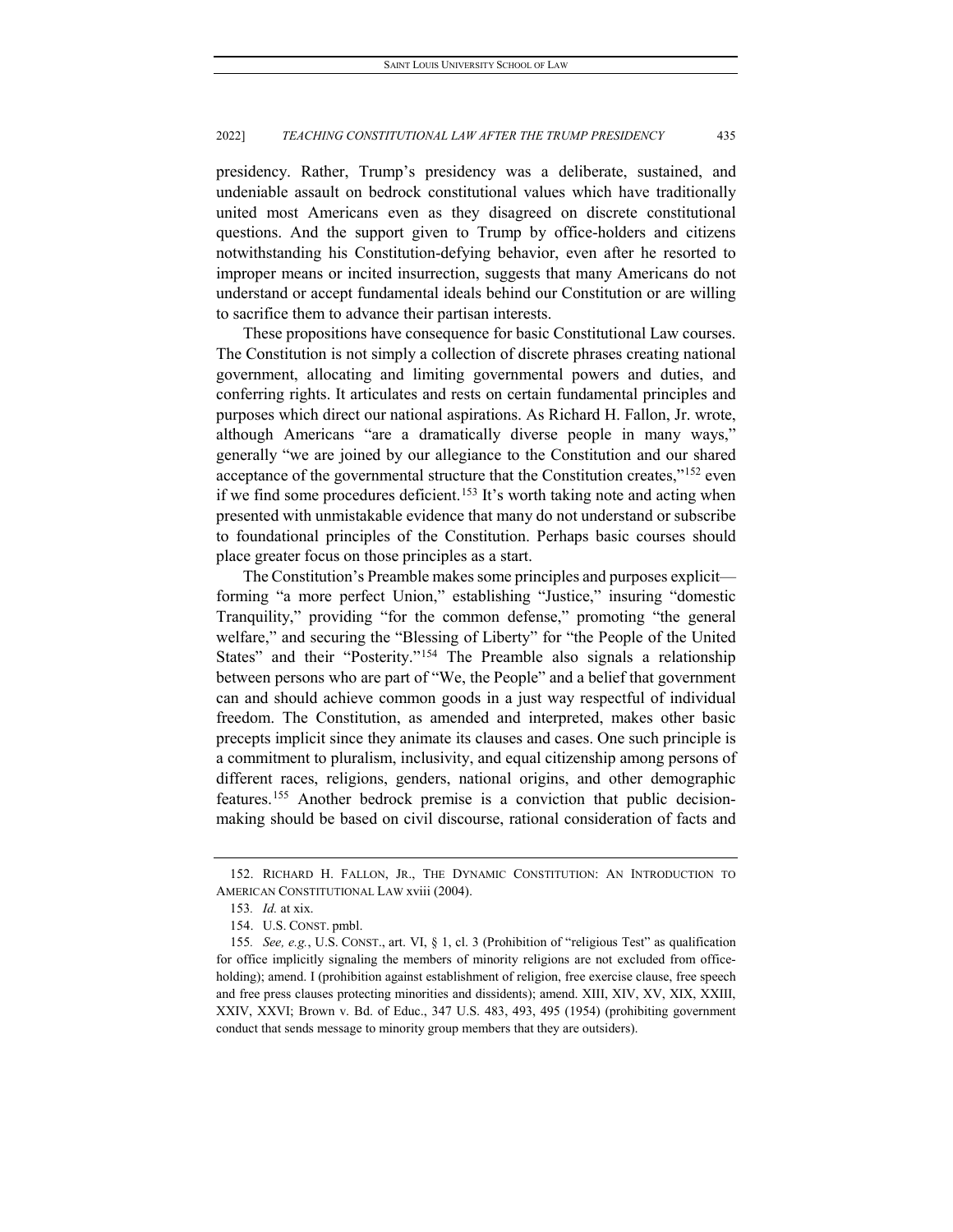presidency. Rather, Trump's presidency was a deliberate, sustained, and undeniable assault on bedrock constitutional values which have traditionally united most Americans even as they disagreed on discrete constitutional questions. And the support given to Trump by office-holders and citizens notwithstanding his Constitution-defying behavior, even after he resorted to improper means or incited insurrection, suggests that many Americans do not understand or accept fundamental ideals behind our Constitution or are willing to sacrifice them to advance their partisan interests.

These propositions have consequence for basic Constitutional Law courses. The Constitution is not simply a collection of discrete phrases creating national government, allocating and limiting governmental powers and duties, and conferring rights. It articulates and rests on certain fundamental principles and purposes which direct our national aspirations. As Richard H. Fallon, Jr. wrote, although Americans "are a dramatically diverse people in many ways," generally "we are joined by our allegiance to the Constitution and our shared acceptance of the governmental structure that the Constitution creates,"[152](#page-27-0) even if we find some procedures deficient.<sup>[153](#page-27-1)</sup> It's worth taking note and acting when presented with unmistakable evidence that many do not understand or subscribe to foundational principles of the Constitution. Perhaps basic courses should place greater focus on those principles as a start.

The Constitution's Preamble makes some principles and purposes explicit forming "a more perfect Union," establishing "Justice," insuring "domestic Tranquility," providing "for the common defense," promoting "the general welfare," and securing the "Blessing of Liberty" for "the People of the United States" and their "Posterity."<sup>[154](#page-27-2)</sup> The Preamble also signals a relationship between persons who are part of "We, the People" and a belief that government can and should achieve common goods in a just way respectful of individual freedom. The Constitution, as amended and interpreted, makes other basic precepts implicit since they animate its clauses and cases. One such principle is a commitment to pluralism, inclusivity, and equal citizenship among persons of different races, religions, genders, national origins, and other demographic features.[155](#page-27-3) Another bedrock premise is a conviction that public decisionmaking should be based on civil discourse, rational consideration of facts and

<span id="page-27-1"></span><span id="page-27-0"></span><sup>152.</sup> RICHARD H. FALLON, JR., THE DYNAMIC CONSTITUTION: AN INTRODUCTION TO AMERICAN CONSTITUTIONAL LAW xviii (2004).

<sup>153</sup>*. Id.* at xix.

<sup>154.</sup> U.S. CONST. pmbl.

<span id="page-27-3"></span><span id="page-27-2"></span><sup>155</sup>*. See, e.g.*, U.S. CONST., art. VI, § 1, cl. 3 (Prohibition of "religious Test" as qualification for office implicitly signaling the members of minority religions are not excluded from officeholding); amend. I (prohibition against establishment of religion, free exercise clause, free speech and free press clauses protecting minorities and dissidents); amend. XIII, XIV, XV, XIX, XXIII, XXIV, XXVI; Brown v. Bd. of Educ., 347 U.S. 483, 493, 495 (1954) (prohibiting government conduct that sends message to minority group members that they are outsiders).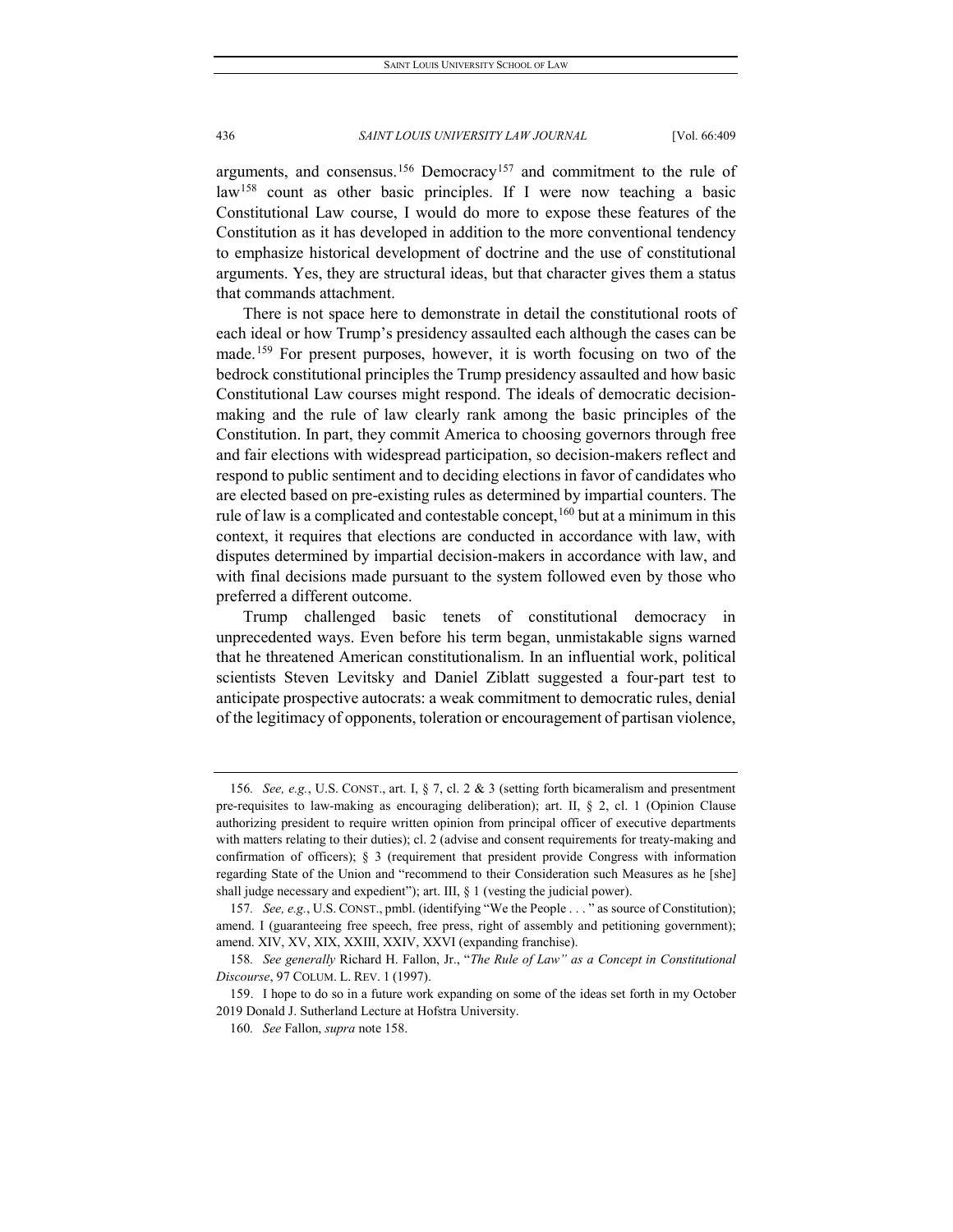arguments, and consensus.<sup>[156](#page-28-0)</sup> Democracy<sup>[157](#page-28-1)</sup> and commitment to the rule of law<sup>[158](#page-28-2)</sup> count as other basic principles. If I were now teaching a basic Constitutional Law course, I would do more to expose these features of the Constitution as it has developed in addition to the more conventional tendency to emphasize historical development of doctrine and the use of constitutional arguments. Yes, they are structural ideas, but that character gives them a status that commands attachment.

There is not space here to demonstrate in detail the constitutional roots of each ideal or how Trump's presidency assaulted each although the cases can be made.<sup>[159](#page-28-3)</sup> For present purposes, however, it is worth focusing on two of the bedrock constitutional principles the Trump presidency assaulted and how basic Constitutional Law courses might respond. The ideals of democratic decisionmaking and the rule of law clearly rank among the basic principles of the Constitution. In part, they commit America to choosing governors through free and fair elections with widespread participation, so decision-makers reflect and respond to public sentiment and to deciding elections in favor of candidates who are elected based on pre-existing rules as determined by impartial counters. The rule of law is a complicated and contestable concept,  $160$  but at a minimum in this context, it requires that elections are conducted in accordance with law, with disputes determined by impartial decision-makers in accordance with law, and with final decisions made pursuant to the system followed even by those who preferred a different outcome.

Trump challenged basic tenets of constitutional democracy in unprecedented ways. Even before his term began, unmistakable signs warned that he threatened American constitutionalism. In an influential work, political scientists Steven Levitsky and Daniel Ziblatt suggested a four-part test to anticipate prospective autocrats: a weak commitment to democratic rules, denial of the legitimacy of opponents, toleration or encouragement of partisan violence,

<span id="page-28-0"></span><sup>156</sup>*. See, e.g.*, U.S. CONST., art. I, § 7, cl. 2 & 3 (setting forth bicameralism and presentment pre-requisites to law-making as encouraging deliberation); art. II, § 2, cl. 1 (Opinion Clause authorizing president to require written opinion from principal officer of executive departments with matters relating to their duties); cl. 2 (advise and consent requirements for treaty-making and confirmation of officers); § 3 (requirement that president provide Congress with information regarding State of the Union and "recommend to their Consideration such Measures as he [she] shall judge necessary and expedient"); art. III,  $\S$  1 (vesting the judicial power).

<span id="page-28-1"></span><sup>157</sup>*. See, e.g.*, U.S. CONST., pmbl. (identifying "We the People . . . " as source of Constitution); amend. I (guaranteeing free speech, free press, right of assembly and petitioning government); amend. XIV, XV, XIX, XXIII, XXIV, XXVI (expanding franchise).

<span id="page-28-2"></span><sup>158</sup>*. See generally* Richard H. Fallon, Jr., "*The Rule of Law" as a Concept in Constitutional Discourse*, 97 COLUM. L. REV. 1 (1997).

<span id="page-28-4"></span><span id="page-28-3"></span><sup>159.</sup> I hope to do so in a future work expanding on some of the ideas set forth in my October 2019 Donald J. Sutherland Lecture at Hofstra University.

<sup>160</sup>*. See* Fallon, *supra* note 158.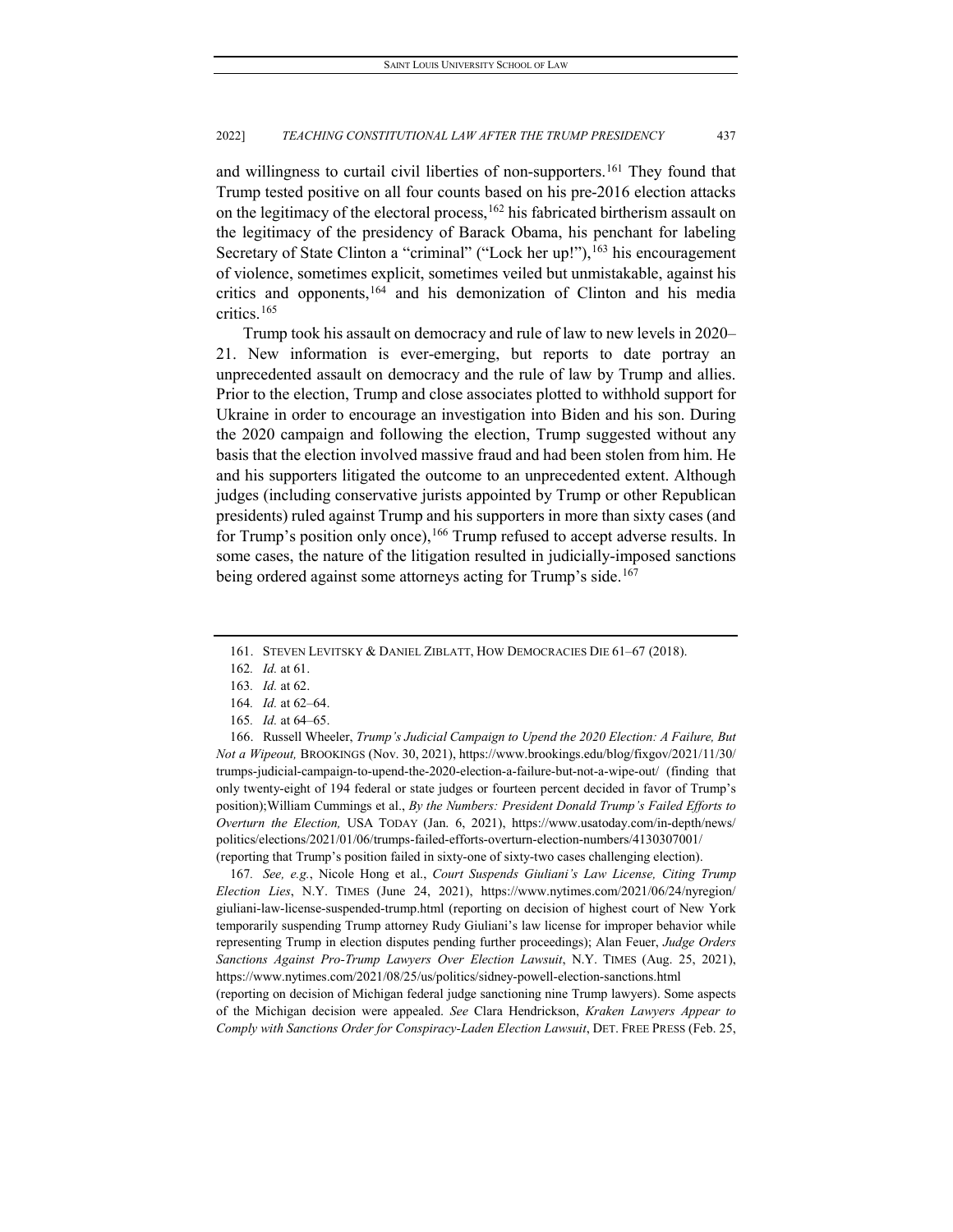and willingness to curtail civil liberties of non-supporters.<sup>[161](#page-29-0)</sup> They found that Trump tested positive on all four counts based on his pre-2016 election attacks on the legitimacy of the electoral process,<sup>[162](#page-29-1)</sup> his fabricated birtherism assault on the legitimacy of the presidency of Barack Obama, his penchant for labeling Secretary of State Clinton a "criminal" ("Lock her up!"), <sup>[163](#page-29-2)</sup> his encouragement of violence, sometimes explicit, sometimes veiled but unmistakable, against his critics and opponents,<sup>[164](#page-29-3)</sup> and his demonization of Clinton and his media critics.[165](#page-29-4)

Trump took his assault on democracy and rule of law to new levels in 2020– 21. New information is ever-emerging, but reports to date portray an unprecedented assault on democracy and the rule of law by Trump and allies. Prior to the election, Trump and close associates plotted to withhold support for Ukraine in order to encourage an investigation into Biden and his son. During the 2020 campaign and following the election, Trump suggested without any basis that the election involved massive fraud and had been stolen from him. He and his supporters litigated the outcome to an unprecedented extent. Although judges (including conservative jurists appointed by Trump or other Republican presidents) ruled against Trump and his supporters in more than sixty cases (and for Trump's position only once),  $166$  Trump refused to accept adverse results. In some cases, the nature of the litigation resulted in judicially-imposed sanctions being ordered against some attorneys acting for Trump's side.<sup>[167](#page-29-6)</sup>

<span id="page-29-5"></span><span id="page-29-4"></span><span id="page-29-3"></span><span id="page-29-2"></span><span id="page-29-1"></span>166. Russell Wheeler, *Trump's Judicial Campaign to Upend the 2020 Election: A Failure, But Not a Wipeout,* BROOKINGS (Nov. 30, 2021), https://www.brookings.edu/blog/fixgov/2021/11/30/ trumps-judicial-campaign-to-upend-the-2020-election-a-failure-but-not-a-wipe-out/ (finding that only twenty-eight of 194 federal or state judges or fourteen percent decided in favor of Trump's position);William Cummings et al., *By the Numbers: President Donald Trump's Failed Efforts to Overturn the Election,* USA TODAY (Jan. 6, 2021), https://www.usatoday.com/in-depth/news/ politics/elections/2021/01/06/trumps-failed-efforts-overturn-election-numbers/4130307001/ (reporting that Trump's position failed in sixty-one of sixty-two cases challenging election).

<span id="page-29-6"></span>167*. See, e.g.*, Nicole Hong et al., *Court Suspends Giuliani's Law License, Citing Trump Election Lies*, N.Y. TIMES (June 24, 2021), https://www.nytimes.com/2021/06/24/nyregion/ giuliani-law-license-suspended-trump.html (reporting on decision of highest court of New York temporarily suspending Trump attorney Rudy Giuliani's law license for improper behavior while representing Trump in election disputes pending further proceedings); Alan Feuer, *Judge Orders Sanctions Against Pro-Trump Lawyers Over Election Lawsuit*, N.Y. TIMES (Aug. 25, 2021), https://www.nytimes.com/2021/08/25/us/politics/sidney-powell-election-sanctions.html (reporting on decision of Michigan federal judge sanctioning nine Trump lawyers). Some aspects of the Michigan decision were appealed. *See* Clara Hendrickson, *Kraken Lawyers Appear to Comply with Sanctions Order for Conspiracy-Laden Election Lawsuit*, DET. FREE PRESS (Feb. 25,

<sup>161.</sup> STEVEN LEVITSKY & DANIEL ZIBLATT, HOW DEMOCRACIES DIE 61–67 (2018).

<span id="page-29-0"></span><sup>162</sup>*. Id.* at 61.

<sup>163</sup>*. Id.* at 62.

<sup>164</sup>*. Id.* at 62–64.

<sup>165</sup>*. Id.* at 64–65.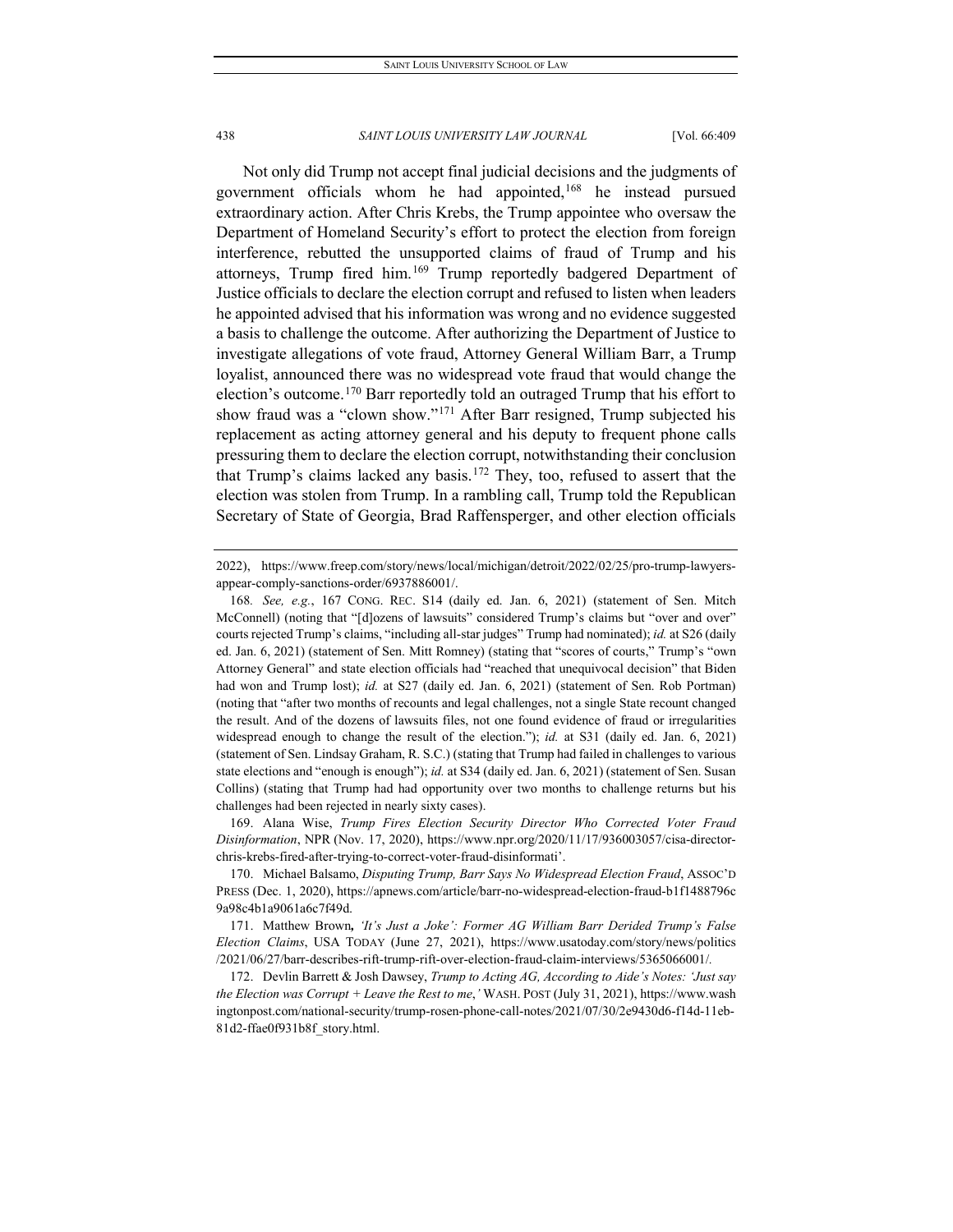Not only did Trump not accept final judicial decisions and the judgments of government officials whom he had appointed,[168](#page-30-0) he instead pursued extraordinary action. After Chris Krebs, the Trump appointee who oversaw the Department of Homeland Security's effort to protect the election from foreign interference, rebutted the unsupported claims of fraud of Trump and his attorneys, Trump fired him.[169](#page-30-1) Trump reportedly badgered Department of Justice officials to declare the election corrupt and refused to listen when leaders he appointed advised that his information was wrong and no evidence suggested a basis to challenge the outcome. After authorizing the Department of Justice to investigate allegations of vote fraud, Attorney General William Barr, a Trump loyalist, announced there was no widespread vote fraud that would change the election's outcome.<sup>[170](#page-30-2)</sup> Barr reportedly told an outraged Trump that his effort to show fraud was a "clown show."[171](#page-30-3) After Barr resigned, Trump subjected his replacement as acting attorney general and his deputy to frequent phone calls pressuring them to declare the election corrupt, notwithstanding their conclusion that Trump's claims lacked any basis.[172](#page-30-4) They, too, refused to assert that the election was stolen from Trump. In a rambling call, Trump told the Republican Secretary of State of Georgia, Brad Raffensperger, and other election officials

<span id="page-30-1"></span>169. Alana Wise, *Trump Fires Election Security Director Who Corrected Voter Fraud Disinformation*, NPR (Nov. 17, 2020), https://www.npr.org/2020/11/17/936003057/cisa-directorchris-krebs-fired-after-trying-to-correct-voter-fraud-disinformati'.

<sup>2022),</sup> https://www.freep.com/story/news/local/michigan/detroit/2022/02/25/pro-trump-lawyersappear-comply-sanctions-order/6937886001/.

<span id="page-30-0"></span><sup>168</sup>*. See, e.g.*, 167 CONG. REC. S14 (daily ed. Jan. 6, 2021) (statement of Sen. Mitch McConnell) (noting that "[d]ozens of lawsuits" considered Trump's claims but "over and over" courts rejected Trump's claims, "including all-star judges" Trump had nominated); *id.* at S26 (daily ed. Jan. 6, 2021) (statement of Sen. Mitt Romney) (stating that "scores of courts," Trump's "own Attorney General" and state election officials had "reached that unequivocal decision" that Biden had won and Trump lost); *id.* at S27 (daily ed. Jan. 6, 2021) (statement of Sen. Rob Portman) (noting that "after two months of recounts and legal challenges, not a single State recount changed the result. And of the dozens of lawsuits files, not one found evidence of fraud or irregularities widespread enough to change the result of the election."); *id.* at S31 (daily ed. Jan. 6, 2021) (statement of Sen. Lindsay Graham, R. S.C.) (stating that Trump had failed in challenges to various state elections and "enough is enough"); *id.* at S34 (daily ed. Jan. 6, 2021) (statement of Sen. Susan Collins) (stating that Trump had had opportunity over two months to challenge returns but his challenges had been rejected in nearly sixty cases).

<span id="page-30-2"></span><sup>170.</sup> Michael Balsamo, *Disputing Trump, Barr Says No Widespread Election Fraud*, ASSOC'D PRESS (Dec. 1, 2020), https://apnews.com/article/barr-no-widespread-election-fraud-b1f1488796c 9a98c4b1a9061a6c7f49d.

<span id="page-30-3"></span><sup>171.</sup> Matthew Brown*, 'It's Just a Joke': Former AG William Barr Derided Trump's False Election Claims*, USA TODAY (June 27, 2021), https://www.usatoday.com/story/news/politics /2021/06/27/barr-describes-rift-trump-rift-over-election-fraud-claim-interviews/5365066001/*.*

<span id="page-30-4"></span><sup>172.</sup> Devlin Barrett & Josh Dawsey, *Trump to Acting AG, According to Aide's Notes: 'Just say the Election was Corrupt + Leave the Rest to me*,*'* WASH. POST (July 31, 2021), https://www.wash ingtonpost.com/national-security/trump-rosen-phone-call-notes/2021/07/30/2e9430d6-f14d-11eb-81d2-ffae0f931b8f\_story.html.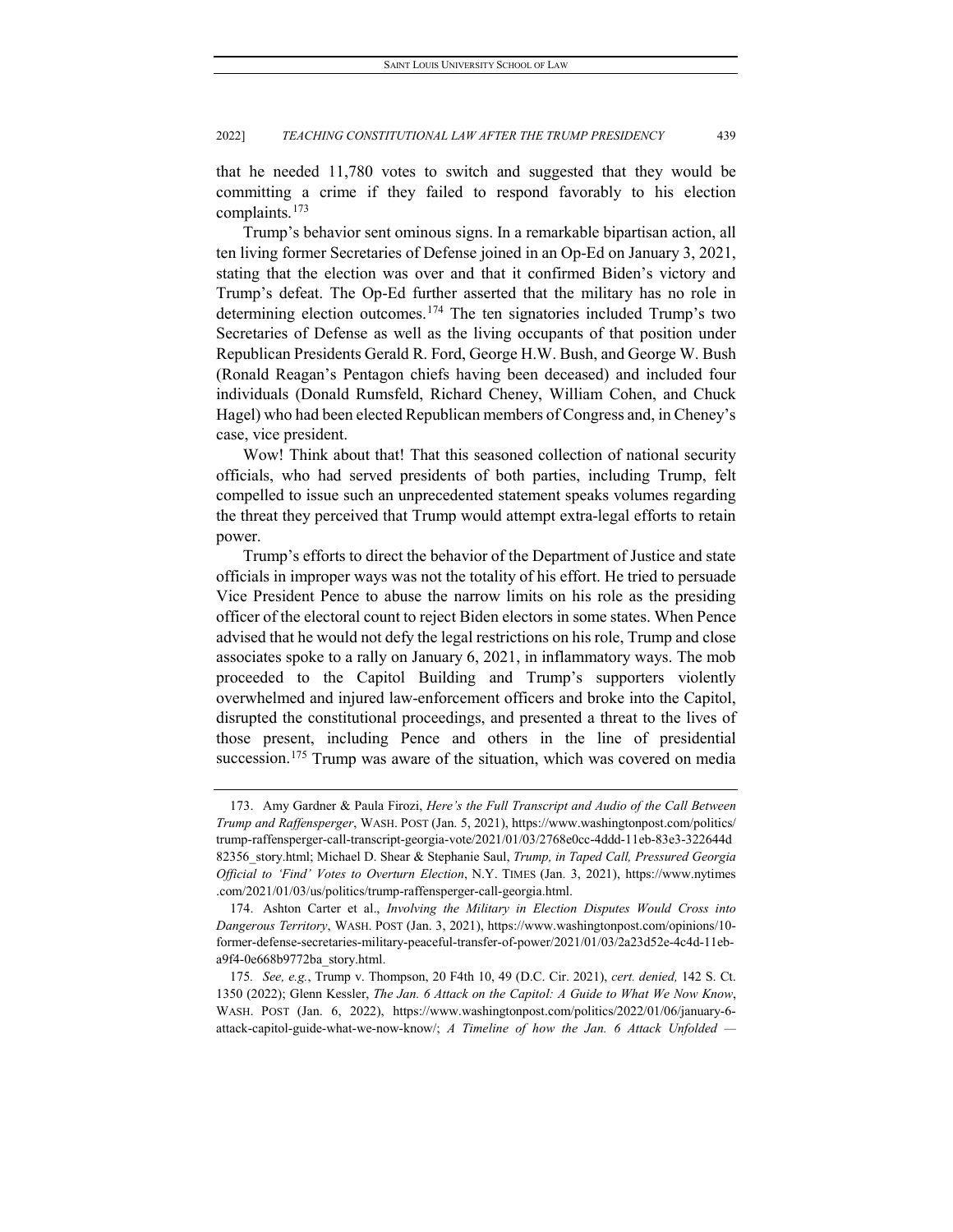that he needed 11,780 votes to switch and suggested that they would be committing a crime if they failed to respond favorably to his election complaints.[173](#page-31-0)

Trump's behavior sent ominous signs. In a remarkable bipartisan action, all ten living former Secretaries of Defense joined in an Op-Ed on January 3, 2021, stating that the election was over and that it confirmed Biden's victory and Trump's defeat. The Op-Ed further asserted that the military has no role in determining election outcomes.<sup>[174](#page-31-1)</sup> The ten signatories included Trump's two Secretaries of Defense as well as the living occupants of that position under Republican Presidents Gerald R. Ford, George H.W. Bush, and George W. Bush (Ronald Reagan's Pentagon chiefs having been deceased) and included four individuals (Donald Rumsfeld, Richard Cheney, William Cohen, and Chuck Hagel) who had been elected Republican members of Congress and, in Cheney's case, vice president.

Wow! Think about that! That this seasoned collection of national security officials, who had served presidents of both parties, including Trump, felt compelled to issue such an unprecedented statement speaks volumes regarding the threat they perceived that Trump would attempt extra-legal efforts to retain power.

Trump's efforts to direct the behavior of the Department of Justice and state officials in improper ways was not the totality of his effort. He tried to persuade Vice President Pence to abuse the narrow limits on his role as the presiding officer of the electoral count to reject Biden electors in some states. When Pence advised that he would not defy the legal restrictions on his role, Trump and close associates spoke to a rally on January 6, 2021, in inflammatory ways. The mob proceeded to the Capitol Building and Trump's supporters violently overwhelmed and injured law-enforcement officers and broke into the Capitol, disrupted the constitutional proceedings, and presented a threat to the lives of those present, including Pence and others in the line of presidential succession.<sup>[175](#page-31-2)</sup> Trump was aware of the situation, which was covered on media

<span id="page-31-0"></span><sup>173.</sup> Amy Gardner & Paula Firozi, *Here's the Full Transcript and Audio of the Call Between Trump and Raffensperger*, WASH. POST (Jan. 5, 2021), https://www.washingtonpost.com/politics/ trump-raffensperger-call-transcript-georgia-vote/2021/01/03/2768e0cc-4ddd-11eb-83e3-322644d 82356\_story.html; Michael D. Shear & Stephanie Saul, *Trump, in Taped Call, Pressured Georgia Official to 'Find' Votes to Overturn Election*, N.Y. TIMES (Jan. 3, 2021), https://www.nytimes .com/2021/01/03/us/politics/trump-raffensperger-call-georgia.html.

<span id="page-31-1"></span><sup>174.</sup> Ashton Carter et al., *Involving the Military in Election Disputes Would Cross into Dangerous Territory*, WASH. POST (Jan. 3, 2021), https://www.washingtonpost.com/opinions/10 former-defense-secretaries-military-peaceful-transfer-of-power/2021/01/03/2a23d52e-4c4d-11eba9f4-0e668b9772ba\_story.html.

<span id="page-31-2"></span><sup>175</sup>*. See, e.g.*, Trump v. Thompson, 20 F4th 10, 49 (D.C. Cir. 2021), *cert. denied,* 142 S. Ct. 1350 (2022); Glenn Kessler, *The Jan. 6 Attack on the Capitol: A Guide to What We Now Know*, WASH. POST (Jan. 6, 2022), https://www.washingtonpost.com/politics/2022/01/06/january-6 attack-capitol-guide-what-we-now-know/; *A Timeline of how the Jan. 6 Attack Unfolded —*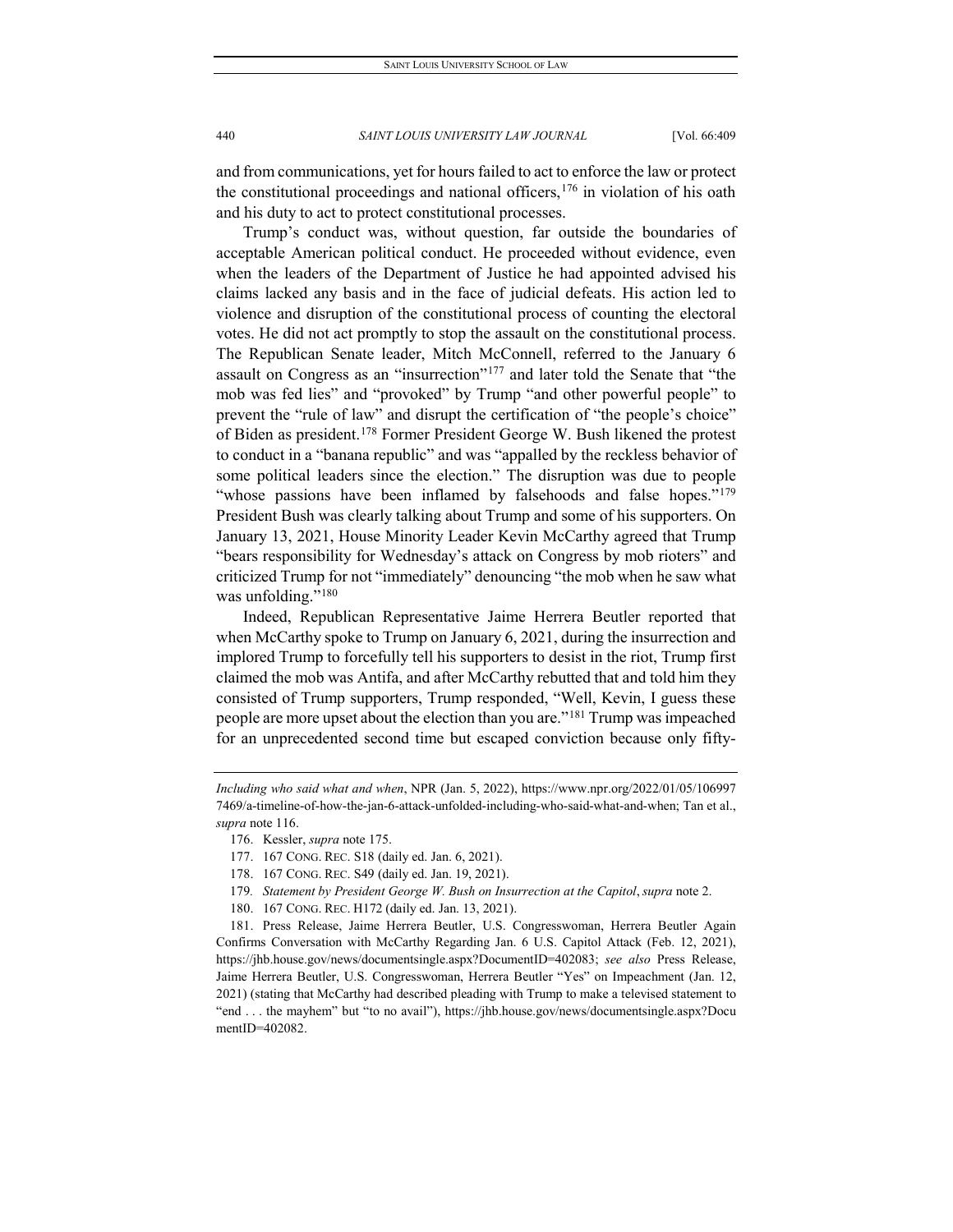and from communications, yet for hours failed to act to enforce the law or protect the constitutional proceedings and national officers,  $176$  in violation of his oath and his duty to act to protect constitutional processes.

Trump's conduct was, without question, far outside the boundaries of acceptable American political conduct. He proceeded without evidence, even when the leaders of the Department of Justice he had appointed advised his claims lacked any basis and in the face of judicial defeats. His action led to violence and disruption of the constitutional process of counting the electoral votes. He did not act promptly to stop the assault on the constitutional process. The Republican Senate leader, Mitch McConnell, referred to the January 6 assault on Congress as an "insurrection"[177](#page-32-1) and later told the Senate that "the mob was fed lies" and "provoked" by Trump "and other powerful people" to prevent the "rule of law" and disrupt the certification of "the people's choice" of Biden as president.[178](#page-32-2) Former President George W. Bush likened the protest to conduct in a "banana republic" and was "appalled by the reckless behavior of some political leaders since the election." The disruption was due to people "whose passions have been inflamed by falsehoods and false hopes."<sup>[179](#page-32-3)</sup> President Bush was clearly talking about Trump and some of his supporters. On January 13, 2021, House Minority Leader Kevin McCarthy agreed that Trump "bears responsibility for Wednesday's attack on Congress by mob rioters" and criticized Trump for not "immediately" denouncing "the mob when he saw what was unfolding."<sup>[180](#page-32-4)</sup>

Indeed, Republican Representative Jaime Herrera Beutler reported that when McCarthy spoke to Trump on January 6, 2021, during the insurrection and implored Trump to forcefully tell his supporters to desist in the riot, Trump first claimed the mob was Antifa, and after McCarthy rebutted that and told him they consisted of Trump supporters, Trump responded, "Well, Kevin, I guess these people are more upset about the election than you are."[181](#page-32-5) Trump was impeached for an unprecedented second time but escaped conviction because only fifty-

179*. Statement by President George W. Bush on Insurrection at the Capitol*, *supra* note 2.

<span id="page-32-1"></span><span id="page-32-0"></span>*Including who said what and when*, NPR (Jan. 5, 2022), https://www.npr.org/2022/01/05/106997 7469/a-timeline-of-how-the-jan-6-attack-unfolded-including-who-said-what-and-when; Tan et al., *supra* note 116.

<sup>176.</sup> Kessler, *supra* note 175.

<sup>177.</sup> 167 CONG. REC. S18 (daily ed. Jan. 6, 2021).

<sup>178.</sup> 167 CONG. REC. S49 (daily ed. Jan. 19, 2021).

<sup>180.</sup> 167 CONG. REC. H172 (daily ed. Jan. 13, 2021).

<span id="page-32-5"></span><span id="page-32-4"></span><span id="page-32-3"></span><span id="page-32-2"></span><sup>181.</sup> Press Release, Jaime Herrera Beutler, U.S. Congresswoman, Herrera Beutler Again Confirms Conversation with McCarthy Regarding Jan. 6 U.S. Capitol Attack (Feb. 12, 2021), https://jhb.house.gov/news/documentsingle.aspx?DocumentID=402083; *see also* Press Release, Jaime Herrera Beutler, U.S. Congresswoman, Herrera Beutler "Yes" on Impeachment (Jan. 12, 2021) (stating that McCarthy had described pleading with Trump to make a televised statement to "end . . . the mayhem" but "to no avail"), https://jhb.house.gov/news/documentsingle.aspx?Docu mentID=402082.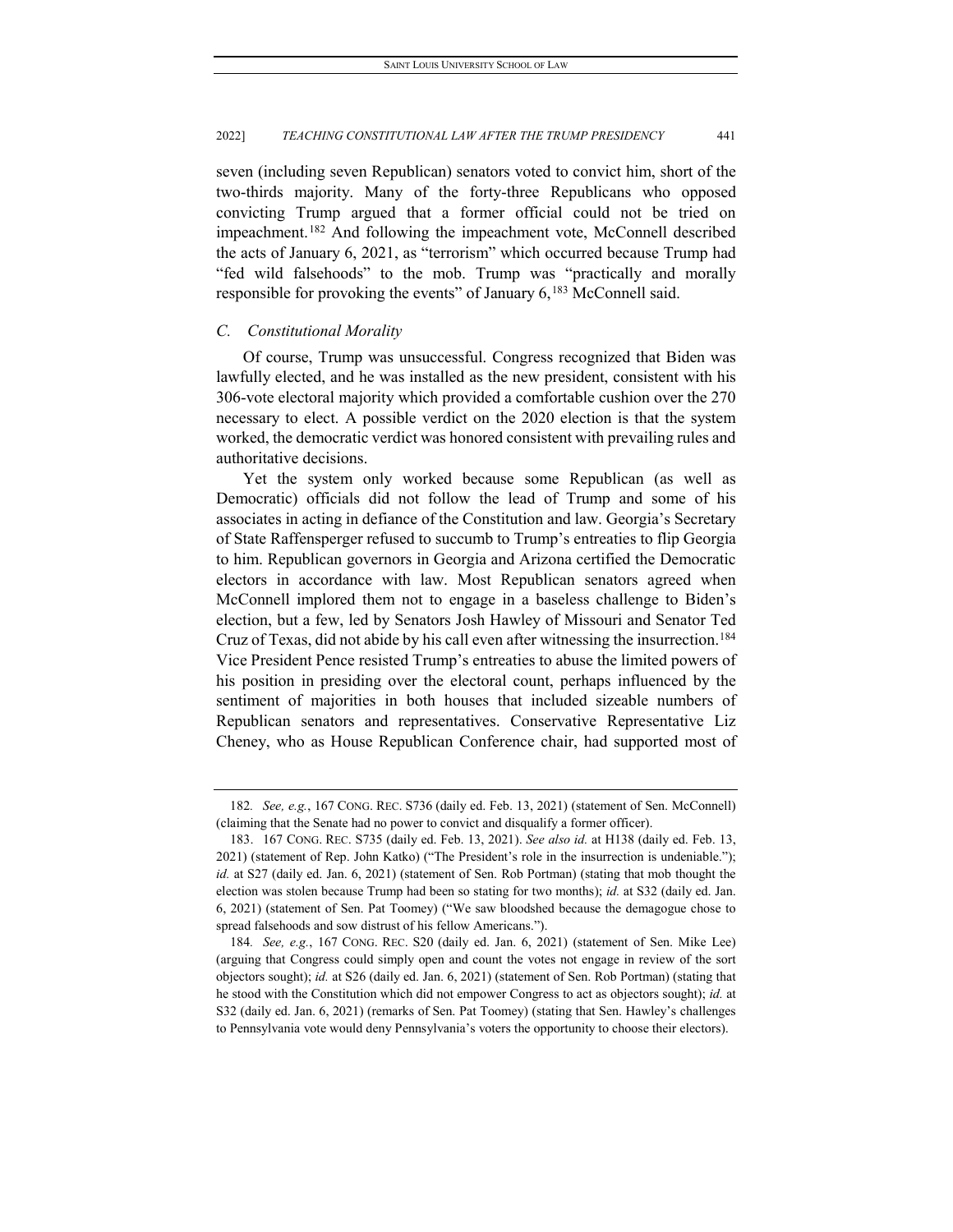seven (including seven Republican) senators voted to convict him, short of the two-thirds majority. Many of the forty-three Republicans who opposed convicting Trump argued that a former official could not be tried on impeachment.[182](#page-33-0) And following the impeachment vote, McConnell described the acts of January 6, 2021, as "terrorism" which occurred because Trump had "fed wild falsehoods" to the mob. Trump was "practically and morally responsible for provoking the events" of January 6,<sup>[183](#page-33-1)</sup> McConnell said.

# *C. Constitutional Morality*

Of course, Trump was unsuccessful. Congress recognized that Biden was lawfully elected, and he was installed as the new president, consistent with his 306-vote electoral majority which provided a comfortable cushion over the 270 necessary to elect. A possible verdict on the 2020 election is that the system worked, the democratic verdict was honored consistent with prevailing rules and authoritative decisions.

Yet the system only worked because some Republican (as well as Democratic) officials did not follow the lead of Trump and some of his associates in acting in defiance of the Constitution and law. Georgia's Secretary of State Raffensperger refused to succumb to Trump's entreaties to flip Georgia to him. Republican governors in Georgia and Arizona certified the Democratic electors in accordance with law. Most Republican senators agreed when McConnell implored them not to engage in a baseless challenge to Biden's election, but a few, led by Senators Josh Hawley of Missouri and Senator Ted Cruz of Texas, did not abide by his call even after witnessing the insurrection[.184](#page-33-2) Vice President Pence resisted Trump's entreaties to abuse the limited powers of his position in presiding over the electoral count, perhaps influenced by the sentiment of majorities in both houses that included sizeable numbers of Republican senators and representatives. Conservative Representative Liz Cheney, who as House Republican Conference chair, had supported most of

<span id="page-33-0"></span><sup>182</sup>*. See, e.g.*, 167 CONG. REC. S736 (daily ed. Feb. 13, 2021) (statement of Sen. McConnell) (claiming that the Senate had no power to convict and disqualify a former officer).

<span id="page-33-1"></span><sup>183.</sup> 167 CONG. REC. S735 (daily ed. Feb. 13, 2021). *See also id.* at H138 (daily ed. Feb. 13, 2021) (statement of Rep. John Katko) ("The President's role in the insurrection is undeniable."); *id.* at S27 (daily ed. Jan. 6, 2021) (statement of Sen. Rob Portman) (stating that mob thought the election was stolen because Trump had been so stating for two months); *id.* at S32 (daily ed. Jan. 6, 2021) (statement of Sen. Pat Toomey) ("We saw bloodshed because the demagogue chose to spread falsehoods and sow distrust of his fellow Americans.").

<span id="page-33-2"></span><sup>184</sup>*. See, e.g.*, 167 CONG. REC. S20 (daily ed. Jan. 6, 2021) (statement of Sen. Mike Lee) (arguing that Congress could simply open and count the votes not engage in review of the sort objectors sought); *id.* at S26 (daily ed. Jan. 6, 2021) (statement of Sen. Rob Portman) (stating that he stood with the Constitution which did not empower Congress to act as objectors sought); *id.* at S32 (daily ed. Jan. 6, 2021) (remarks of Sen. Pat Toomey) (stating that Sen. Hawley's challenges to Pennsylvania vote would deny Pennsylvania's voters the opportunity to choose their electors).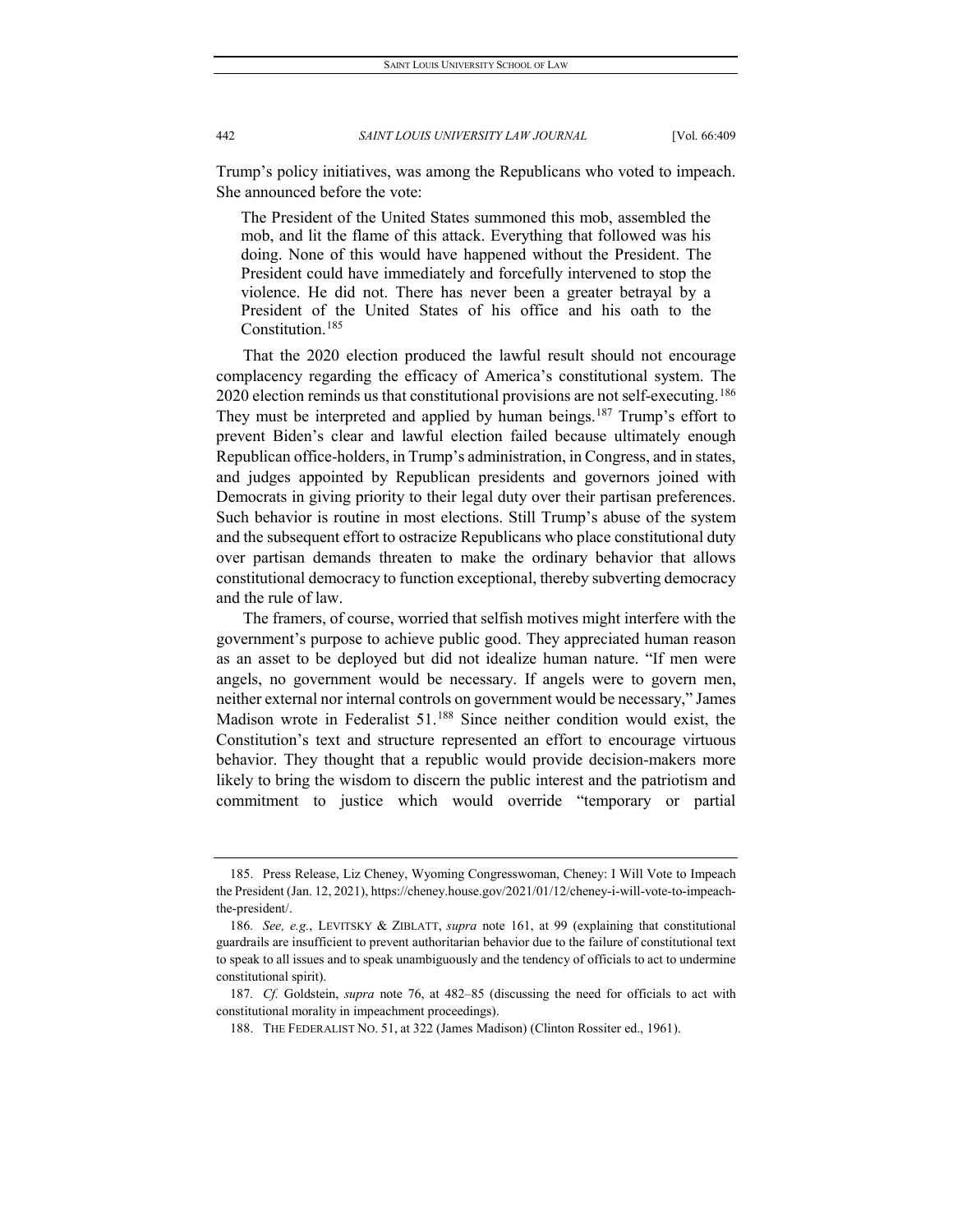Trump's policy initiatives, was among the Republicans who voted to impeach. She announced before the vote:

The President of the United States summoned this mob, assembled the mob, and lit the flame of this attack. Everything that followed was his doing. None of this would have happened without the President. The President could have immediately and forcefully intervened to stop the violence. He did not. There has never been a greater betrayal by a President of the United States of his office and his oath to the Constitution.[185](#page-34-0)

That the 2020 election produced the lawful result should not encourage complacency regarding the efficacy of America's constitutional system. The 2020 election reminds us that constitutional provisions are not self-executing.<sup>[186](#page-34-1)</sup> They must be interpreted and applied by human beings.<sup>[187](#page-34-2)</sup> Trump's effort to prevent Biden's clear and lawful election failed because ultimately enough Republican office-holders, in Trump's administration, in Congress, and in states, and judges appointed by Republican presidents and governors joined with Democrats in giving priority to their legal duty over their partisan preferences. Such behavior is routine in most elections. Still Trump's abuse of the system and the subsequent effort to ostracize Republicans who place constitutional duty over partisan demands threaten to make the ordinary behavior that allows constitutional democracy to function exceptional, thereby subverting democracy and the rule of law.

The framers, of course, worried that selfish motives might interfere with the government's purpose to achieve public good. They appreciated human reason as an asset to be deployed but did not idealize human nature. "If men were angels, no government would be necessary. If angels were to govern men, neither external nor internal controls on government would be necessary," James Madison wrote in Federalist 51.<sup>[188](#page-34-3)</sup> Since neither condition would exist, the Constitution's text and structure represented an effort to encourage virtuous behavior. They thought that a republic would provide decision-makers more likely to bring the wisdom to discern the public interest and the patriotism and commitment to justice which would override "temporary or partial

<span id="page-34-0"></span><sup>185.</sup> Press Release, Liz Cheney, Wyoming Congresswoman, Cheney: I Will Vote to Impeach the President (Jan. 12, 2021), https://cheney.house.gov/2021/01/12/cheney-i-will-vote-to-impeachthe-president/.

<span id="page-34-1"></span><sup>186</sup>*. See, e.g.*, LEVITSKY & ZIBLATT, *supra* note 161, at 99 (explaining that constitutional guardrails are insufficient to prevent authoritarian behavior due to the failure of constitutional text to speak to all issues and to speak unambiguously and the tendency of officials to act to undermine constitutional spirit).

<span id="page-34-3"></span><span id="page-34-2"></span><sup>187</sup>*. Cf.* Goldstein, *supra* note 76, at 482–85 (discussing the need for officials to act with constitutional morality in impeachment proceedings).

<sup>188.</sup> THE FEDERALIST NO. 51, at 322 (James Madison) (Clinton Rossiter ed., 1961).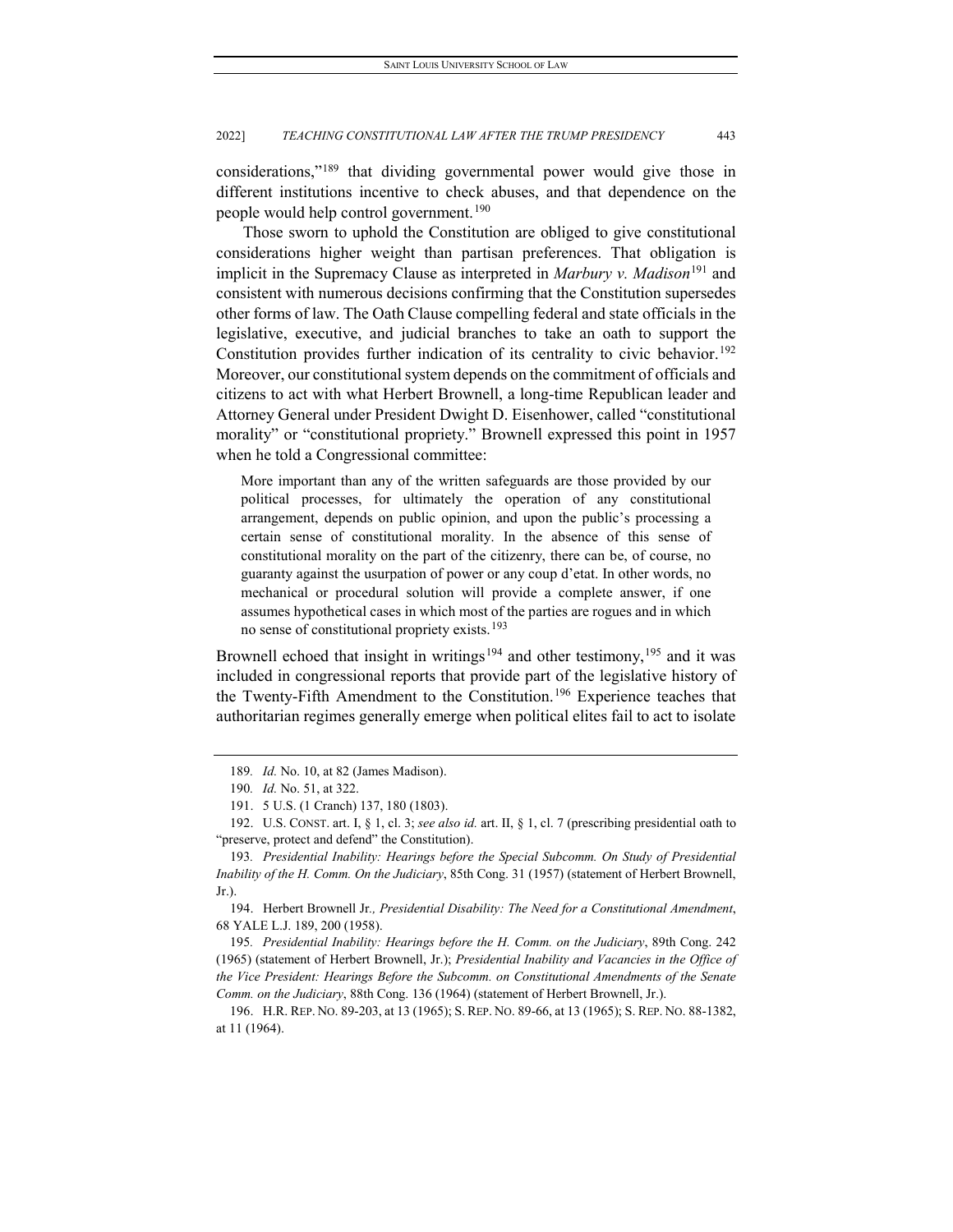considerations,["189](#page-35-0) that dividing governmental power would give those in different institutions incentive to check abuses, and that dependence on the people would help control government.<sup>[190](#page-35-1)</sup>

Those sworn to uphold the Constitution are obliged to give constitutional considerations higher weight than partisan preferences. That obligation is implicit in the Supremacy Clause as interpreted in *Marbury v. Madison*<sup>[191](#page-35-2)</sup> and consistent with numerous decisions confirming that the Constitution supersedes other forms of law. The Oath Clause compelling federal and state officials in the legislative, executive, and judicial branches to take an oath to support the Constitution provides further indication of its centrality to civic behavior.<sup>[192](#page-35-3)</sup> Moreover, our constitutional system depends on the commitment of officials and citizens to act with what Herbert Brownell, a long-time Republican leader and Attorney General under President Dwight D. Eisenhower, called "constitutional morality" or "constitutional propriety." Brownell expressed this point in 1957 when he told a Congressional committee:

More important than any of the written safeguards are those provided by our political processes, for ultimately the operation of any constitutional arrangement, depends on public opinion, and upon the public's processing a certain sense of constitutional morality. In the absence of this sense of constitutional morality on the part of the citizenry, there can be, of course, no guaranty against the usurpation of power or any coup d'etat. In other words, no mechanical or procedural solution will provide a complete answer, if one assumes hypothetical cases in which most of the parties are rogues and in which no sense of constitutional propriety exists.<sup>[193](#page-35-4)</sup>

Brownell echoed that insight in writings<sup>[194](#page-35-5)</sup> and other testimony,<sup>[195](#page-35-6)</sup> and it was included in congressional reports that provide part of the legislative history of the Twenty-Fifth Amendment to the Constitution.<sup>[196](#page-35-7)</sup> Experience teaches that authoritarian regimes generally emerge when political elites fail to act to isolate

<span id="page-35-5"></span>194. Herbert Brownell Jr*., Presidential Disability: The Need for a Constitutional Amendment*, 68 YALE L.J. 189, 200 (1958).

<span id="page-35-6"></span>195*. Presidential Inability: Hearings before the H. Comm. on the Judiciary*, 89th Cong. 242 (1965) (statement of Herbert Brownell, Jr.); *Presidential Inability and Vacancies in the Office of the Vice President: Hearings Before the Subcomm. on Constitutional Amendments of the Senate Comm. on the Judiciary*, 88th Cong. 136 (1964) (statement of Herbert Brownell, Jr.).

<sup>189</sup>*. Id.* No. 10, at 82 (James Madison).

<sup>190</sup>*. Id.* No. 51, at 322.

<sup>191.</sup> 5 U.S. (1 Cranch) 137, 180 (1803).

<span id="page-35-3"></span><span id="page-35-2"></span><span id="page-35-1"></span><span id="page-35-0"></span><sup>192.</sup> U.S. CONST. art. I, § 1, cl. 3; *see also id.* art. II, § 1, cl. 7 (prescribing presidential oath to "preserve, protect and defend" the Constitution).

<span id="page-35-4"></span><sup>193</sup>*. Presidential Inability: Hearings before the Special Subcomm. On Study of Presidential Inability of the H. Comm. On the Judiciary*, 85th Cong. 31 (1957) (statement of Herbert Brownell, Jr.).

<span id="page-35-7"></span><sup>196.</sup> H.R. REP. NO. 89-203, at 13 (1965); S. REP. NO. 89-66, at 13 (1965); S. REP. NO. 88-1382, at 11 (1964).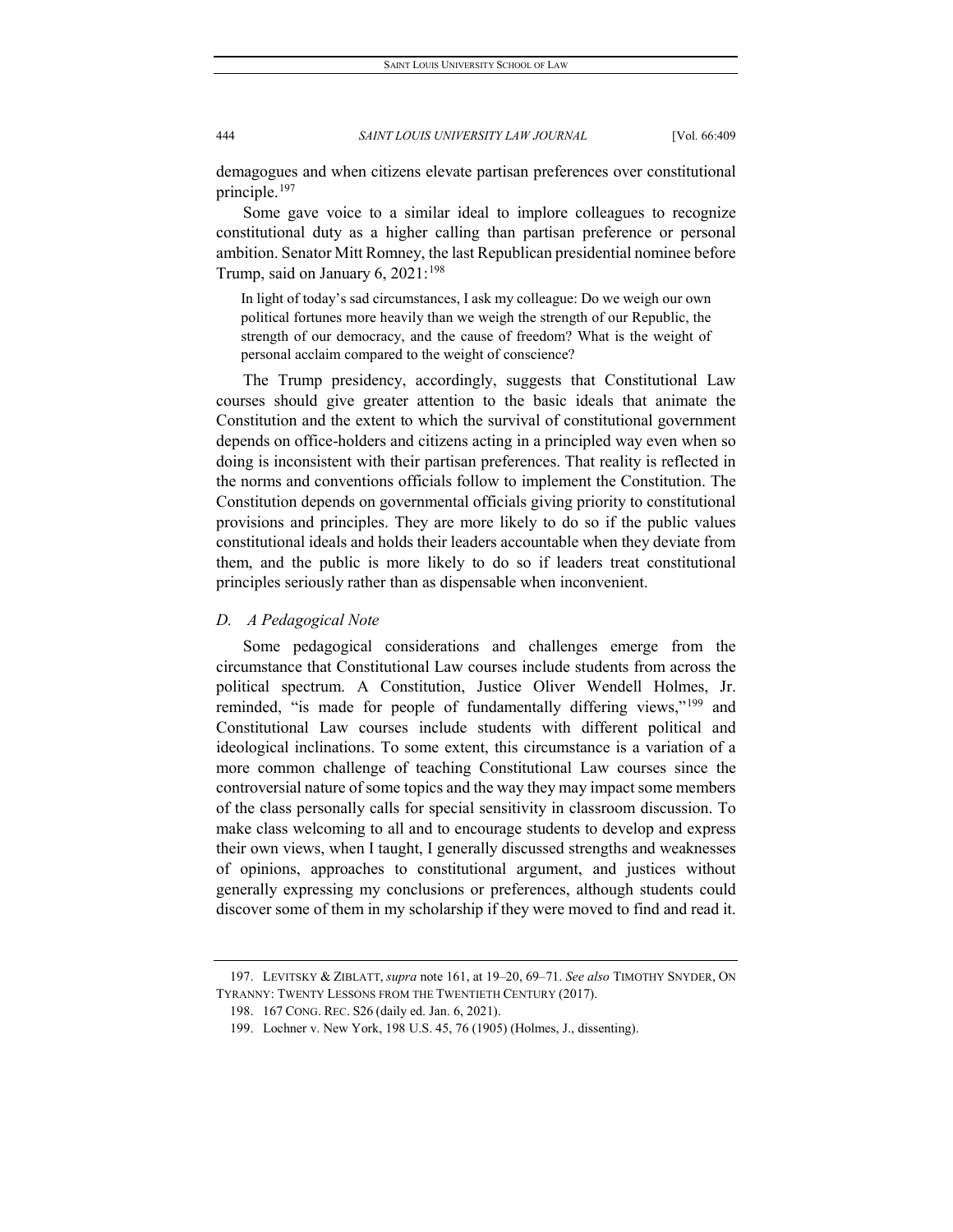demagogues and when citizens elevate partisan preferences over constitutional principle.[197](#page-36-0)

Some gave voice to a similar ideal to implore colleagues to recognize constitutional duty as a higher calling than partisan preference or personal ambition. Senator Mitt Romney, the last Republican presidential nominee before Trump, said on January 6, 2021:<sup>[198](#page-36-1)</sup>

In light of today's sad circumstances, I ask my colleague: Do we weigh our own political fortunes more heavily than we weigh the strength of our Republic, the strength of our democracy, and the cause of freedom? What is the weight of personal acclaim compared to the weight of conscience?

The Trump presidency, accordingly, suggests that Constitutional Law courses should give greater attention to the basic ideals that animate the Constitution and the extent to which the survival of constitutional government depends on office-holders and citizens acting in a principled way even when so doing is inconsistent with their partisan preferences. That reality is reflected in the norms and conventions officials follow to implement the Constitution. The Constitution depends on governmental officials giving priority to constitutional provisions and principles. They are more likely to do so if the public values constitutional ideals and holds their leaders accountable when they deviate from them, and the public is more likely to do so if leaders treat constitutional principles seriously rather than as dispensable when inconvenient.

# *D. A Pedagogical Note*

Some pedagogical considerations and challenges emerge from the circumstance that Constitutional Law courses include students from across the political spectrum. A Constitution, Justice Oliver Wendell Holmes, Jr. reminded, "is made for people of fundamentally differing views,"<sup>[199](#page-36-2)</sup> and Constitutional Law courses include students with different political and ideological inclinations. To some extent, this circumstance is a variation of a more common challenge of teaching Constitutional Law courses since the controversial nature of some topics and the way they may impact some members of the class personally calls for special sensitivity in classroom discussion. To make class welcoming to all and to encourage students to develop and express their own views, when I taught, I generally discussed strengths and weaknesses of opinions, approaches to constitutional argument, and justices without generally expressing my conclusions or preferences, although students could discover some of them in my scholarship if they were moved to find and read it.

<span id="page-36-2"></span><span id="page-36-1"></span><span id="page-36-0"></span><sup>197.</sup> LEVITSKY & ZIBLATT, *supra* note 161, at 19–20, 69–71. *See also* TIMOTHY SNYDER, ON TYRANNY: TWENTY LESSONS FROM THE TWENTIETH CENTURY (2017).

<sup>198.</sup> 167 CONG. REC. S26 (daily ed. Jan. 6, 2021).

<sup>199.</sup> Lochner v. New York, 198 U.S. 45, 76 (1905) (Holmes, J., dissenting).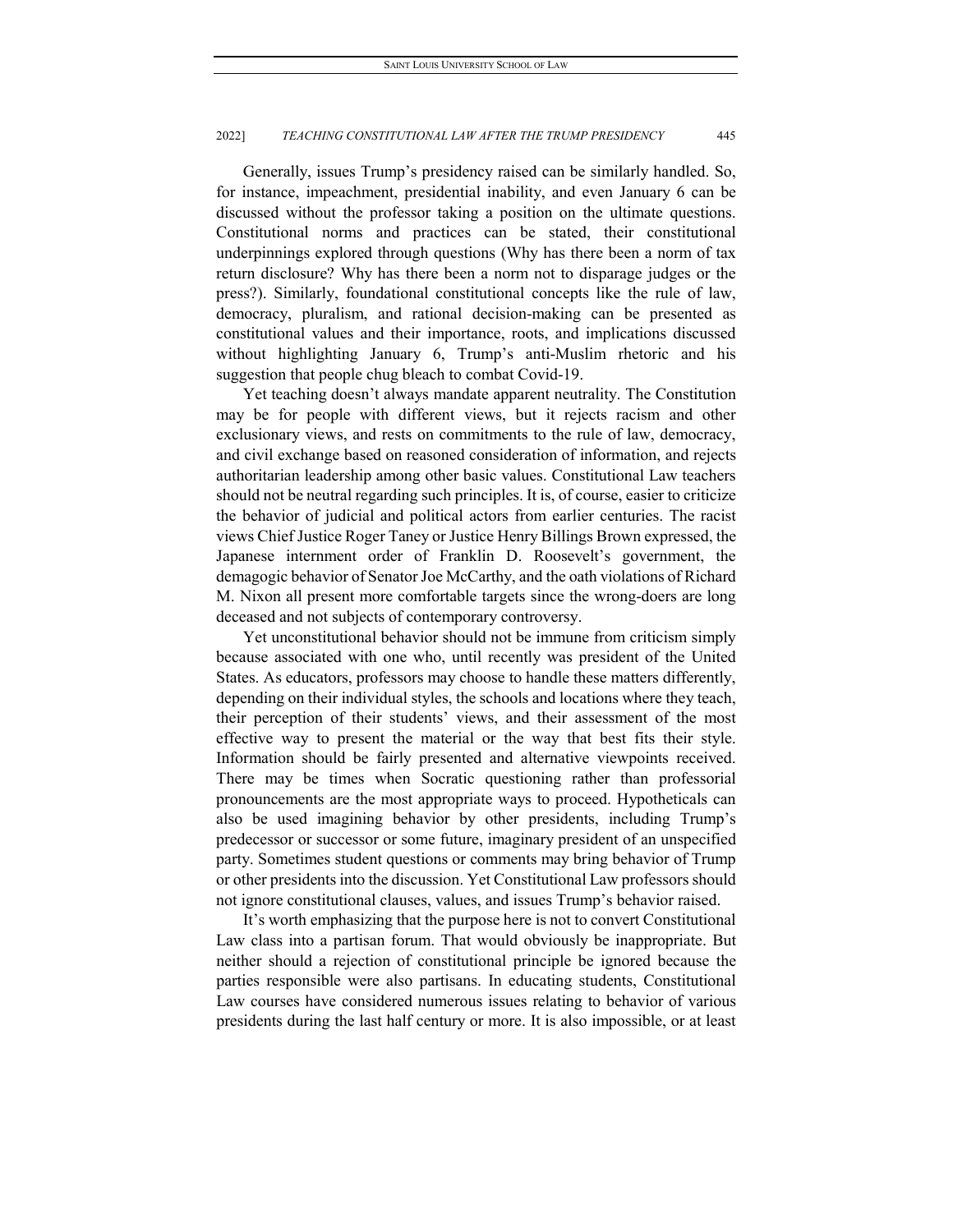Generally, issues Trump's presidency raised can be similarly handled. So, for instance, impeachment, presidential inability, and even January 6 can be discussed without the professor taking a position on the ultimate questions. Constitutional norms and practices can be stated, their constitutional underpinnings explored through questions (Why has there been a norm of tax return disclosure? Why has there been a norm not to disparage judges or the press?). Similarly, foundational constitutional concepts like the rule of law, democracy, pluralism, and rational decision-making can be presented as constitutional values and their importance, roots, and implications discussed without highlighting January 6, Trump's anti-Muslim rhetoric and his suggestion that people chug bleach to combat Covid-19.

Yet teaching doesn't always mandate apparent neutrality. The Constitution may be for people with different views, but it rejects racism and other exclusionary views, and rests on commitments to the rule of law, democracy, and civil exchange based on reasoned consideration of information, and rejects authoritarian leadership among other basic values. Constitutional Law teachers should not be neutral regarding such principles. It is, of course, easier to criticize the behavior of judicial and political actors from earlier centuries. The racist views Chief Justice Roger Taney or Justice Henry Billings Brown expressed, the Japanese internment order of Franklin D. Roosevelt's government, the demagogic behavior of Senator Joe McCarthy, and the oath violations of Richard M. Nixon all present more comfortable targets since the wrong-doers are long deceased and not subjects of contemporary controversy.

Yet unconstitutional behavior should not be immune from criticism simply because associated with one who, until recently was president of the United States. As educators, professors may choose to handle these matters differently, depending on their individual styles, the schools and locations where they teach, their perception of their students' views, and their assessment of the most effective way to present the material or the way that best fits their style. Information should be fairly presented and alternative viewpoints received. There may be times when Socratic questioning rather than professorial pronouncements are the most appropriate ways to proceed. Hypotheticals can also be used imagining behavior by other presidents, including Trump's predecessor or successor or some future, imaginary president of an unspecified party. Sometimes student questions or comments may bring behavior of Trump or other presidents into the discussion. Yet Constitutional Law professors should not ignore constitutional clauses, values, and issues Trump's behavior raised.

It's worth emphasizing that the purpose here is not to convert Constitutional Law class into a partisan forum. That would obviously be inappropriate. But neither should a rejection of constitutional principle be ignored because the parties responsible were also partisans. In educating students, Constitutional Law courses have considered numerous issues relating to behavior of various presidents during the last half century or more. It is also impossible, or at least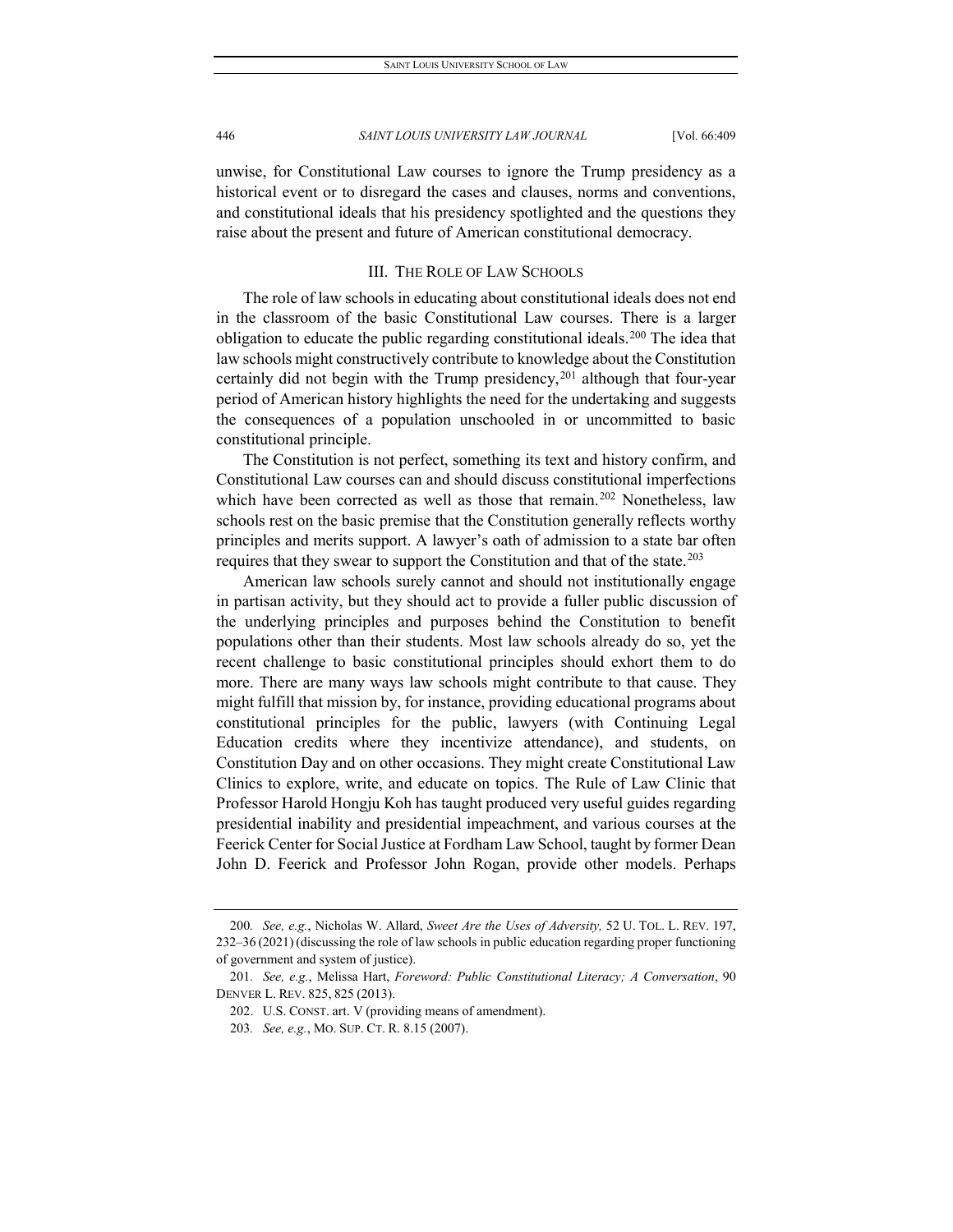unwise, for Constitutional Law courses to ignore the Trump presidency as a historical event or to disregard the cases and clauses, norms and conventions, and constitutional ideals that his presidency spotlighted and the questions they raise about the present and future of American constitutional democracy.

# III. THE ROLE OF LAW SCHOOLS

The role of law schools in educating about constitutional ideals does not end in the classroom of the basic Constitutional Law courses. There is a larger obligation to educate the public regarding constitutional ideals.<sup>[200](#page-38-0)</sup> The idea that law schools might constructively contribute to knowledge about the Constitution certainly did not begin with the Trump presidency,<sup>[201](#page-38-1)</sup> although that four-year period of American history highlights the need for the undertaking and suggests the consequences of a population unschooled in or uncommitted to basic constitutional principle.

The Constitution is not perfect, something its text and history confirm, and Constitutional Law courses can and should discuss constitutional imperfections which have been corrected as well as those that remain.<sup>[202](#page-38-2)</sup> Nonetheless, law schools rest on the basic premise that the Constitution generally reflects worthy principles and merits support. A lawyer's oath of admission to a state bar often requires that they swear to support the Constitution and that of the state.<sup>[203](#page-38-3)</sup>

American law schools surely cannot and should not institutionally engage in partisan activity, but they should act to provide a fuller public discussion of the underlying principles and purposes behind the Constitution to benefit populations other than their students. Most law schools already do so, yet the recent challenge to basic constitutional principles should exhort them to do more. There are many ways law schools might contribute to that cause. They might fulfill that mission by, for instance, providing educational programs about constitutional principles for the public, lawyers (with Continuing Legal Education credits where they incentivize attendance), and students, on Constitution Day and on other occasions. They might create Constitutional Law Clinics to explore, write, and educate on topics. The Rule of Law Clinic that Professor Harold Hongju Koh has taught produced very useful guides regarding presidential inability and presidential impeachment, and various courses at the Feerick Center for Social Justice at Fordham Law School, taught by former Dean John D. Feerick and Professor John Rogan, provide other models. Perhaps

- 202. U.S. CONST. art. V (providing means of amendment).
- 203*. See, e.g.*, MO. SUP. CT. R. 8.15 (2007).

<span id="page-38-0"></span><sup>200</sup>*. See, e.g.*, Nicholas W. Allard, *Sweet Are the Uses of Adversity,* 52 U. TOL. L. REV. 197, 232–36 (2021) (discussing the role of law schools in public education regarding proper functioning of government and system of justice).

<span id="page-38-3"></span><span id="page-38-2"></span><span id="page-38-1"></span><sup>201</sup>*. See, e.g.*, Melissa Hart, *Foreword: Public Constitutional Literacy; A Conversation*, 90 DENVER L. REV. 825, 825 (2013).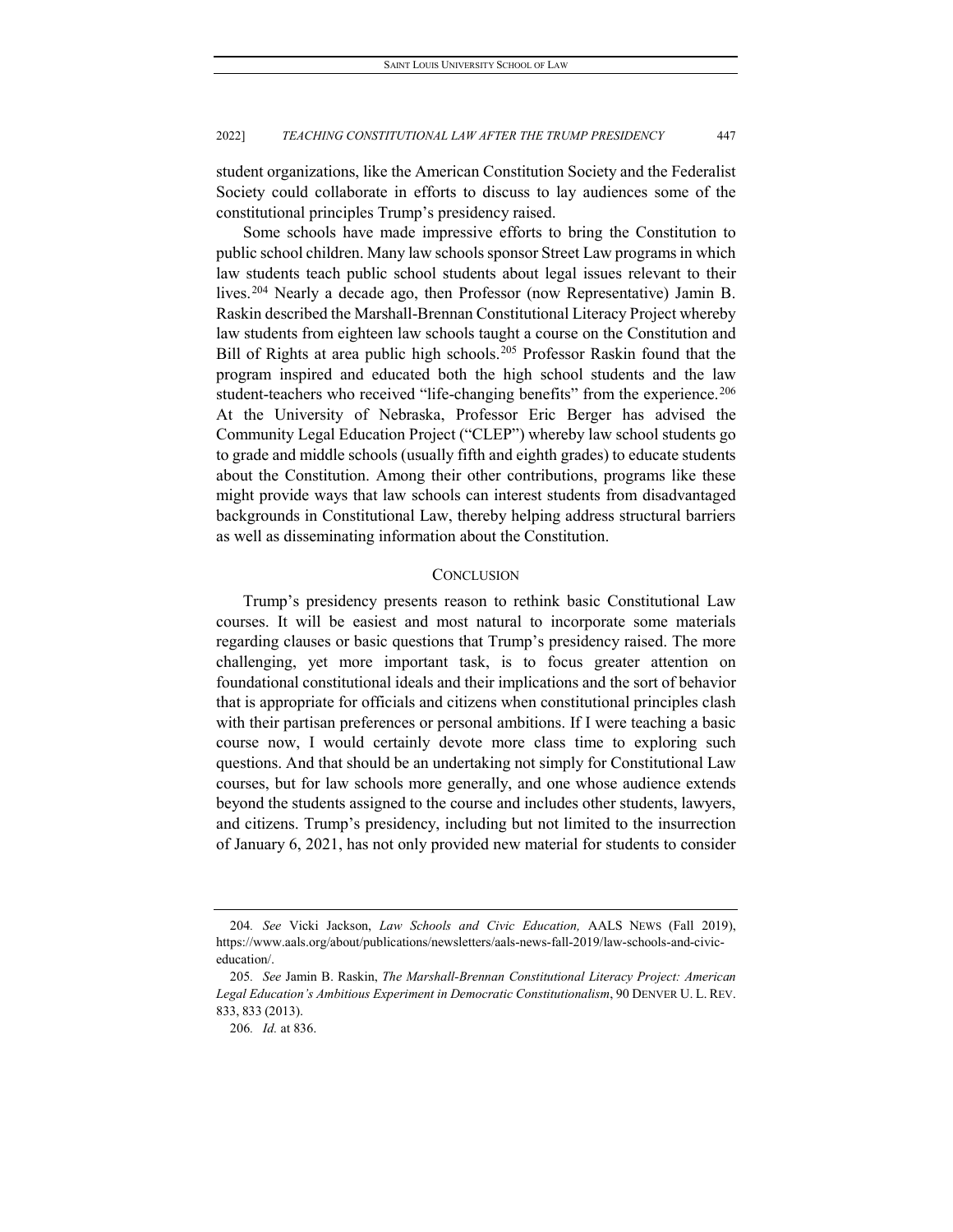student organizations, like the American Constitution Society and the Federalist Society could collaborate in efforts to discuss to lay audiences some of the constitutional principles Trump's presidency raised.

Some schools have made impressive efforts to bring the Constitution to public school children. Many law schools sponsor Street Law programs in which law students teach public school students about legal issues relevant to their lives.<sup>[204](#page-39-0)</sup> Nearly a decade ago, then Professor (now Representative) Jamin B. Raskin described the Marshall-Brennan Constitutional Literacy Project whereby law students from eighteen law schools taught a course on the Constitution and Bill of Rights at area public high schools.[205](#page-39-1) Professor Raskin found that the program inspired and educated both the high school students and the law student-teachers who received "life-changing benefits" from the experience.<sup>[206](#page-39-2)</sup> At the University of Nebraska, Professor Eric Berger has advised the Community Legal Education Project ("CLEP") whereby law school students go to grade and middle schools (usually fifth and eighth grades) to educate students about the Constitution. Among their other contributions, programs like these might provide ways that law schools can interest students from disadvantaged backgrounds in Constitutional Law, thereby helping address structural barriers as well as disseminating information about the Constitution.

# **CONCLUSION**

Trump's presidency presents reason to rethink basic Constitutional Law courses. It will be easiest and most natural to incorporate some materials regarding clauses or basic questions that Trump's presidency raised. The more challenging, yet more important task, is to focus greater attention on foundational constitutional ideals and their implications and the sort of behavior that is appropriate for officials and citizens when constitutional principles clash with their partisan preferences or personal ambitions. If I were teaching a basic course now, I would certainly devote more class time to exploring such questions. And that should be an undertaking not simply for Constitutional Law courses, but for law schools more generally, and one whose audience extends beyond the students assigned to the course and includes other students, lawyers, and citizens. Trump's presidency, including but not limited to the insurrection of January 6, 2021, has not only provided new material for students to consider

<span id="page-39-0"></span><sup>204</sup>*. See* Vicki Jackson, *Law Schools and Civic Education,* AALS NEWS (Fall 2019), https://www.aals.org/about/publications/newsletters/aals-news-fall-2019/law-schools-and-civiceducation/.

<span id="page-39-2"></span><span id="page-39-1"></span><sup>205</sup>*. See* Jamin B. Raskin, *The Marshall-Brennan Constitutional Literacy Project: American Legal Education's Ambitious Experiment in Democratic Constitutionalism*, 90 DENVER U. L. REV. 833, 833 (2013).

<sup>206</sup>*. Id.* at 836.